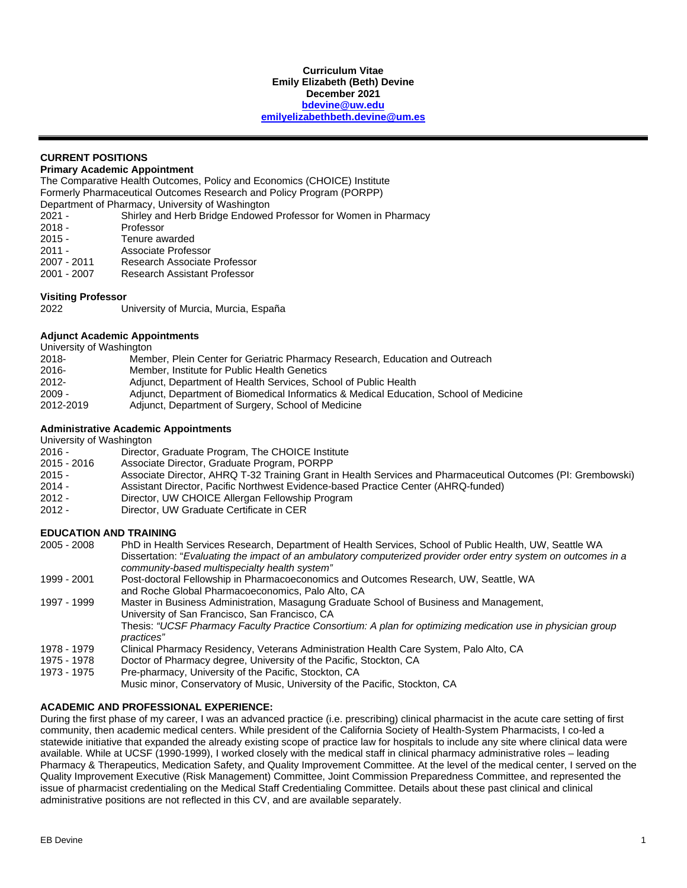#### **Curriculum Vitae Emily Elizabeth (Beth) Devine December 2021 [bdevine@uw.edu](mailto:bdevine@uw.edu) [emilyelizabethbeth.devine@um.es](mailto:emilyelizabethbeth.devine@um.es)**

## **CURRENT POSITIONS**

## **Primary Academic Appointment**

The Comparative Health Outcomes, Policy and Economics (CHOICE) Institute Formerly Pharmaceutical Outcomes Research and Policy Program (PORPP) Department of Pharmacy, University of Washington

2021 - Shirley and Herb Bridge Endowed Professor for Women in Pharmacy<br>2018 - Professor

- 2018 Professor<br>2015 Tenure av
- Tenure awarded
- 2011 Associate Professor<br>2007 2011 – Research Associate
- 2007 2011 Research Associate Professor
- **Research Assistant Professor**

## **Visiting Professor**

University of Murcia, Murcia, España

## **Adjunct Academic Appointments**

| University of Washington |                                                                                       |
|--------------------------|---------------------------------------------------------------------------------------|
| 2018-                    | Member, Plein Center for Geriatric Pharmacy Research, Education and Outreach          |
| $2016 -$                 | Member, Institute for Public Health Genetics                                          |
| $2012 -$                 | Adjunct, Department of Health Services, School of Public Health                       |
| $2009 -$                 | Adjunct, Department of Biomedical Informatics & Medical Education, School of Medicine |
| 2012-2019                | Adjunct, Department of Surgery, School of Medicine                                    |

## **Administrative Academic Appointments**

## University of Washington

| $2016 -$      | Director, Graduate Program, The CHOICE Institute |
|---------------|--------------------------------------------------|
| $2015 - 2016$ | Associate Director, Graduate Program, PORPP      |

- 2015 2016 Associate Director, Graduate Program, P<br>2015 Associate Director, AHRQ T-32 Training ( 2015 - Associate Director, AHRQ T-32 Training Grant in Health Services and Pharmaceutical Outcomes (PI: Grembowski)
- 2014 Assistant Director, Pacific Northwest Evidence-based Practice Center (AHRQ-funded)<br>2012 Director, UW CHOICE Allergan Fellowship Program
- 2012 Director, UW CHOICE Allergan Fellowship Program<br>2012 Director, UW Graduate Certificate in CER
- Director, UW Graduate Certificate in CER

## **EDUCATION AND TRAINING**

| $2005 - 2008$ | PhD in Health Services Research, Department of Health Services, School of Public Health, UW, Seattle WA         |
|---------------|-----------------------------------------------------------------------------------------------------------------|
|               | Dissertation: "Evaluating the impact of an ambulatory computerized provider order entry system on outcomes in a |
|               | community-based multispecialty health system"                                                                   |
| 1999 - 2001   | Post-doctoral Fellowship in Pharmacoeconomics and Outcomes Research, UW, Seattle, WA                            |
|               | and Roche Global Pharmacoeconomics, Palo Alto, CA                                                               |
| 1997 - 1999   | Master in Business Administration, Masagung Graduate School of Business and Management,                         |
|               | University of San Francisco, San Francisco, CA                                                                  |
|               | Thesis: "UCSF Pharmacy Faculty Practice Consortium: A plan for optimizing medication use in physician group     |
|               | practices"                                                                                                      |
| 1978 - 1979   | Clinical Pharmacy Residency, Veterans Administration Health Care System, Palo Alto, CA                          |
| 1975 - 1978   | Doctor of Pharmacy degree, University of the Pacific, Stockton, CA                                              |
| 1973 - 1975   | Pre-pharmacy, University of the Pacific, Stockton, CA                                                           |
|               | Music minor, Conservatory of Music, University of the Pacific, Stockton, CA                                     |

## **ACADEMIC AND PROFESSIONAL EXPERIENCE:**

During the first phase of my career, I was an advanced practice (i.e. prescribing) clinical pharmacist in the acute care setting of first community, then academic medical centers. While president of the California Society of Health-System Pharmacists, I co-led a statewide initiative that expanded the already existing scope of practice law for hospitals to include any site where clinical data were available. While at UCSF (1990-1999), I worked closely with the medical staff in clinical pharmacy administrative roles – leading Pharmacy & Therapeutics, Medication Safety, and Quality Improvement Committee. At the level of the medical center, I served on the Quality Improvement Executive (Risk Management) Committee, Joint Commission Preparedness Committee, and represented the issue of pharmacist credentialing on the Medical Staff Credentialing Committee. Details about these past clinical and clinical administrative positions are not reflected in this CV, and are available separately.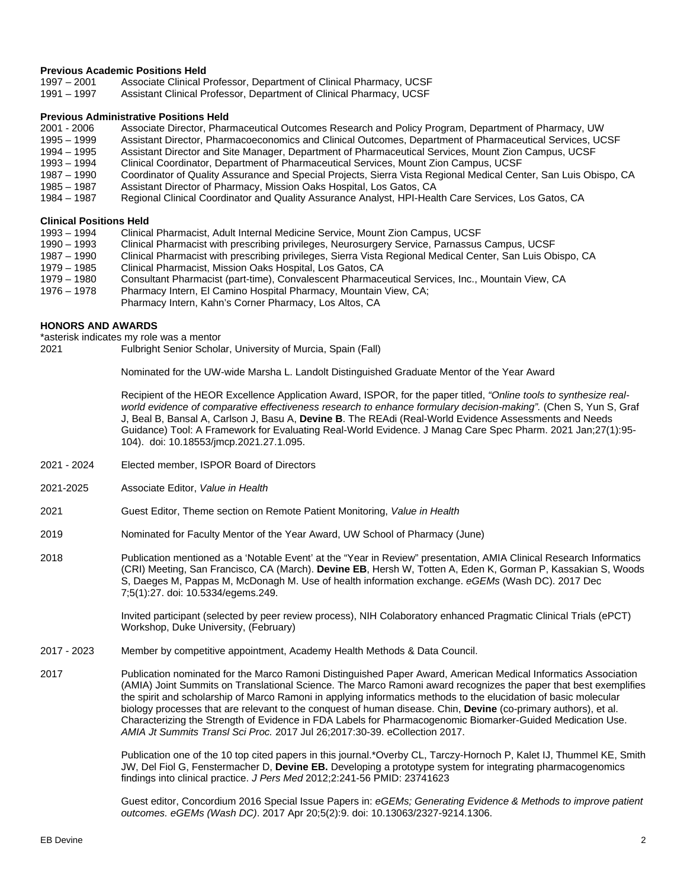# **Previous Academic Positions Held**<br>1997 – 2001 Associate Clinical P

- 1997 2001 Associate Clinical Professor, Department of Clinical Pharmacy, UCSF<br>1991 1997 Assistant Clinical Professor, Department of Clinical Pharmacy, UCSF
- Assistant Clinical Professor, Department of Clinical Pharmacy, UCSF

# **Previous Administrative Positions Held**<br>2001 - 2006 Associate Director, Phar

- Associate Director, Pharmaceutical Outcomes Research and Policy Program, Department of Pharmacy, UW
- 1995 1999 Assistant Director, Pharmacoeconomics and Clinical Outcomes, Department of Pharmaceutical Services, UCSF
- 1994 1995 Assistant Director and Site Manager, Department of Pharmaceutical Services, Mount Zion Campus, UCSF<br>1993 1994 Clinical Coordinator, Department of Pharmaceutical Services, Mount Zion Campus, UCSF
- 1993 1994 Clinical Coordinator, Department of Pharmaceutical Services, Mount Zion Campus, UCSF
- 1987 1990 Coordinator of Quality Assurance and Special Projects, Sierra Vista Regional Medical Center, San Luis Obispo, CA<br>1985 1987 Assistant Director of Pharmacy, Mission Oaks Hospital, Los Gatos, CA Assistant Director of Pharmacy, Mission Oaks Hospital, Los Gatos, CA
- 1984 1987 Regional Clinical Coordinator and Quality Assurance Analyst, HPI-Health Care Services, Los Gatos, CA

# **Clinical Positions Held**<br>1993 – 1994 Clinica

- 1993 1994 Clinical Pharmacist, Adult Internal Medicine Service, Mount Zion Campus, UCSF<br>1990 1993 Clinical Pharmacist with prescribing privileges, Neurosurgery Service, Parnassus
- 
- 1990 1993 Clinical Pharmacist with prescribing privileges, Neurosurgery Service, Parnassus Campus, UCSF<br>1987 1990 Clinical Pharmacist with prescribing privileges, Sierra Vista Regional Medical Center, San Luis Ob 1987 – 1990 Clinical Pharmacist with prescribing privileges, Sierra Vista Regional Medical Center, San Luis Obispo, CA
- 1979 1985 Clinical Pharmacist, Mission Oaks Hospital, Los Gatos, CA
- 1979 1980 Consultant Pharmacist (part-time), Convalescent Pharmaceutical Services, Inc., Mountain View, CA<br>1976 1978 Pharmacy Intern. El Camino Hospital Pharmacy. Mountain View. CA:
	- Pharmacy Intern, El Camino Hospital Pharmacy, Mountain View, CA;
	- Pharmacy Intern, Kahn's Corner Pharmacy, Los Altos, CA

## **HONORS AND AWARDS**

\*asterisk indicates my role was a mentor

2021 Fulbright Senior Scholar, University of Murcia, Spain (Fall)

Nominated for the UW-wide Marsha L. Landolt Distinguished Graduate Mentor of the Year Award

Recipient of the HEOR Excellence Application Award, ISPOR, for the paper titled, *"Online tools to synthesize real*world evidence of comparative effectiveness research to enhance formulary decision-making". (Chen S, Yun S, Graf J, Beal B, Bansal A, Carlson J, Basu A, **Devine B**. The REAdi (Real-World Evidence Assessments and Needs Guidance) Tool: A Framework for Evaluating Real-World Evidence. J Manag Care Spec Pharm. 2021 Jan;27(1):95- 104). doi: 10.18553/jmcp.2021.27.1.095.

- 2021 2024 Elected member, ISPOR Board of Directors
- 2021-2025 Associate Editor, *Value in Health*
- 2021 Guest Editor, Theme section on Remote Patient Monitoring, *Value in Health*
- 2019 Nominated for Faculty Mentor of the Year Award, UW School of Pharmacy (June)
- 2018 Publication mentioned as a 'Notable Event' at the "Year in Review" presentation, AMIA Clinical Research Informatics (CRI) Meeting, San Francisco, CA (March). **Devine EB**, Hersh W, Totten A, Eden K, Gorman P, Kassakian S, Woods S, Daeges M, Pappas M, McDonagh M. Use of health information exchange. *eGEMs* (Wash DC). 2017 Dec 7;5(1):27. doi: 10.5334/egems.249.

Invited participant (selected by peer review process), NIH Colaboratory enhanced Pragmatic Clinical Trials (ePCT) Workshop, Duke University, (February)

- 2017 2023 Member by competitive appointment, Academy Health Methods & Data Council.
- 2017 Publication nominated for the Marco Ramoni Distinguished Paper Award, American Medical Informatics Association (AMIA) Joint Summits on Translational Science. The Marco Ramoni award recognizes the paper that best exemplifies the spirit and scholarship of Marco Ramoni in applying informatics methods to the elucidation of basic molecular biology processes that are relevant to the conquest of human disease. Chin, **Devine** (co-primary authors), et al. Characterizing the Strength of Evidence in FDA Labels for Pharmacogenomic Biomarker-Guided Medication Use. *AMIA Jt Summits Transl Sci Proc.* 2017 Jul 26;2017:30-39. eCollection 2017.

Publication one of the 10 top cited papers in this journal.\*Overby CL, Tarczy-Hornoch P, Kalet IJ, Thummel KE, Smith JW, Del Fiol G, Fenstermacher D, **Devine EB.** Developing a prototype system for integrating pharmacogenomics findings into clinical practice. *J Pers Med* 2012;2:241-56 PMID: 23741623

Guest editor, Concordium 2016 Special Issue Papers in: *eGEMs; Generating Evidence & Methods to improve patient outcomes. eGEMs (Wash DC)*. 2017 Apr 20;5(2):9. doi: 10.13063/2327-9214.1306.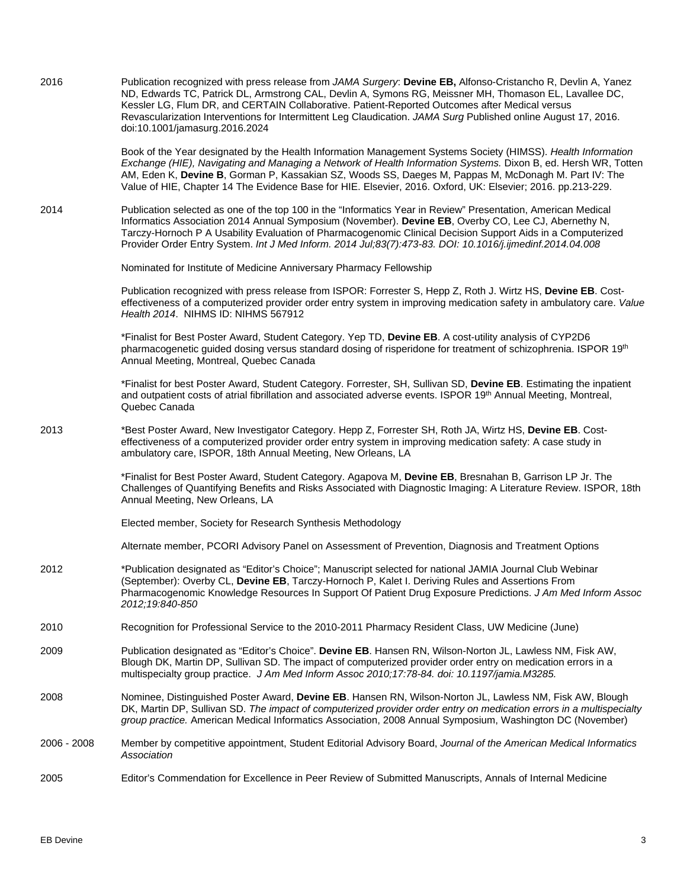| 2016 | Publication recognized with press release from JAMA Surgery: Devine EB, Alfonso-Cristancho R, Devlin A, Yanez<br>ND, Edwards TC, Patrick DL, Armstrong CAL, Devlin A, Symons RG, Meissner MH, Thomason EL, Lavallee DC,<br>Kessler LG, Flum DR, and CERTAIN Collaborative. Patient-Reported Outcomes after Medical versus<br>Revascularization Interventions for Intermittent Leg Claudication. JAMA Surg Published online August 17, 2016.<br>doi:10.1001/jamasurg.2016.2024 |
|------|-------------------------------------------------------------------------------------------------------------------------------------------------------------------------------------------------------------------------------------------------------------------------------------------------------------------------------------------------------------------------------------------------------------------------------------------------------------------------------|
|      | Book of the Year designated by the Health Information Management Systems Society (HIMSS). Health Information<br>Exchange (HIE), Navigating and Managing a Network of Health Information Systems. Dixon B, ed. Hersh WR, Totten<br>AM, Eden K, Devine B, Gorman P, Kassakian SZ, Woods SS, Daeges M, Pappas M, McDonagh M. Part IV: The<br>Value of HIE, Chapter 14 The Evidence Base for HIE. Elsevier, 2016. Oxford, UK: Elsevier; 2016. pp.213-229.                         |
| 2014 | Publication selected as one of the top 100 in the "Informatics Year in Review" Presentation, American Medical<br>Informatics Association 2014 Annual Symposium (November). Devine EB, Overby CO, Lee CJ, Abernethy N,<br>Tarczy-Hornoch P A Usability Evaluation of Pharmacogenomic Clinical Decision Support Aids in a Computerized<br>Provider Order Entry System. Int J Med Inform. 2014 Jul;83(7):473-83. DOI: 10.1016/j.ijmedinf.2014.04.008                             |
|      | Nominated for Institute of Medicine Anniversary Pharmacy Fellowship                                                                                                                                                                                                                                                                                                                                                                                                           |
|      | Publication recognized with press release from ISPOR: Forrester S, Hepp Z, Roth J. Wirtz HS, Devine EB. Cost-<br>effectiveness of a computerized provider order entry system in improving medication safety in ambulatory care. Value<br>Health 2014. NIHMS ID: NIHMS 567912                                                                                                                                                                                                  |
|      | *Finalist for Best Poster Award, Student Category. Yep TD, Devine EB. A cost-utility analysis of CYP2D6<br>pharmacogenetic guided dosing versus standard dosing of risperidone for treatment of schizophrenia. ISPOR 19 <sup>th</sup><br>Annual Meeting, Montreal, Quebec Canada                                                                                                                                                                                              |
|      | *Finalist for best Poster Award, Student Category. Forrester, SH, Sullivan SD, Devine EB. Estimating the inpatient<br>and outpatient costs of atrial fibrillation and associated adverse events. ISPOR 19th Annual Meeting, Montreal,<br>Quebec Canada                                                                                                                                                                                                                        |
| 2013 | *Best Poster Award, New Investigator Category. Hepp Z, Forrester SH, Roth JA, Wirtz HS, Devine EB. Cost-<br>effectiveness of a computerized provider order entry system in improving medication safety: A case study in<br>ambulatory care, ISPOR, 18th Annual Meeting, New Orleans, LA                                                                                                                                                                                       |
|      | *Finalist for Best Poster Award, Student Category. Agapova M, Devine EB, Bresnahan B, Garrison LP Jr. The<br>Challenges of Quantifying Benefits and Risks Associated with Diagnostic Imaging: A Literature Review. ISPOR, 18th<br>Annual Meeting, New Orleans, LA                                                                                                                                                                                                             |
|      | Elected member, Society for Research Synthesis Methodology                                                                                                                                                                                                                                                                                                                                                                                                                    |
|      | Alternate member, PCORI Advisory Panel on Assessment of Prevention, Diagnosis and Treatment Options                                                                                                                                                                                                                                                                                                                                                                           |
| 2012 | *Publication designated as "Editor's Choice"; Manuscript selected for national JAMIA Journal Club Webinar<br>(September): Overby CL, Devine EB, Tarczy-Hornoch P, Kalet I. Deriving Rules and Assertions From<br>Pharmacogenomic Knowledge Resources In Support Of Patient Drug Exposure Predictions. J Am Med Inform Assoc<br>2012;19:840-850                                                                                                                                |
| 2010 | Recognition for Professional Service to the 2010-2011 Pharmacy Resident Class, UW Medicine (June)                                                                                                                                                                                                                                                                                                                                                                             |

- 2009 Publication designated as "Editor's Choice". **Devine EB**. Hansen RN, Wilson-Norton JL, Lawless NM, Fisk AW, Blough DK, Martin DP, Sullivan SD. The impact of computerized provider order entry on medication errors in a multispecialty group practice. *J Am Med Inform Assoc 2010;17:78-84. doi: 10.1197/jamia.M3285.*
- 2008 Nominee, Distinguished Poster Award, **Devine EB**. Hansen RN, Wilson-Norton JL, Lawless NM, Fisk AW, Blough DK, Martin DP, Sullivan SD. *The impact of computerized provider order entry on medication errors in a multispecialty group practice.* American Medical Informatics Association, 2008 Annual Symposium, Washington DC (November)
- 2006 2008 Member by competitive appointment, Student Editorial Advisory Board, *Journal of the American Medical Informatics Association*
- 2005 Editor's Commendation for Excellence in Peer Review of Submitted Manuscripts, Annals of Internal Medicine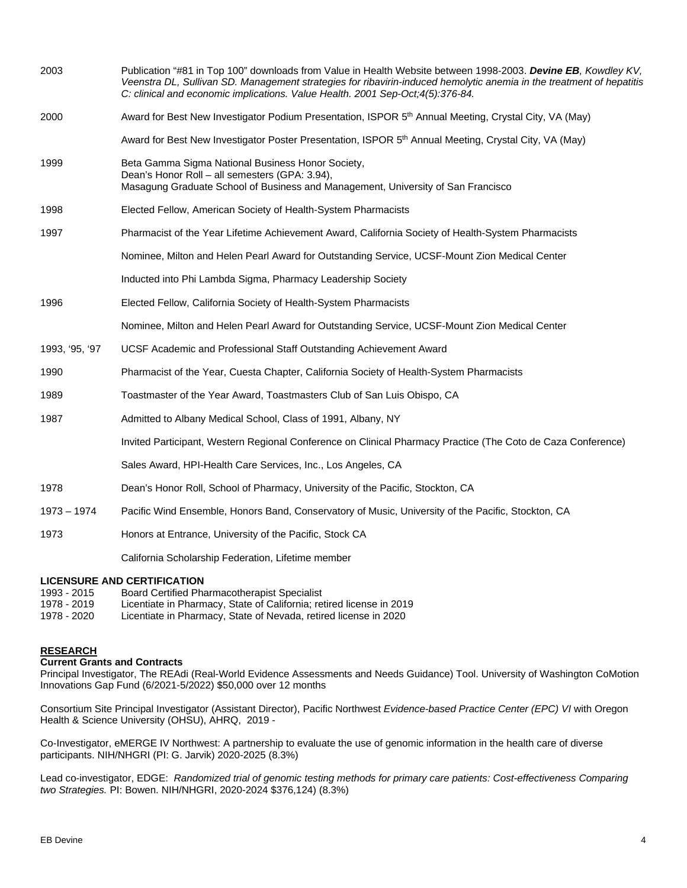| 2003                               | Publication "#81 in Top 100" downloads from Value in Health Website between 1998-2003. Devine EB, Kowdley KV,<br>Veenstra DL, Sullivan SD. Management strategies for ribavirin-induced hemolytic anemia in the treatment of hepatitis<br>C: clinical and economic implications. Value Health. 2001 Sep-Oct;4(5):376-84. |
|------------------------------------|-------------------------------------------------------------------------------------------------------------------------------------------------------------------------------------------------------------------------------------------------------------------------------------------------------------------------|
| 2000                               | Award for Best New Investigator Podium Presentation, ISPOR 5 <sup>th</sup> Annual Meeting, Crystal City, VA (May)                                                                                                                                                                                                       |
|                                    | Award for Best New Investigator Poster Presentation, ISPOR 5 <sup>th</sup> Annual Meeting, Crystal City, VA (May)                                                                                                                                                                                                       |
| 1999                               | Beta Gamma Sigma National Business Honor Society,<br>Dean's Honor Roll - all semesters (GPA: 3.94),<br>Masagung Graduate School of Business and Management, University of San Francisco                                                                                                                                 |
| 1998                               | Elected Fellow, American Society of Health-System Pharmacists                                                                                                                                                                                                                                                           |
| 1997                               | Pharmacist of the Year Lifetime Achievement Award, California Society of Health-System Pharmacists                                                                                                                                                                                                                      |
|                                    | Nominee, Milton and Helen Pearl Award for Outstanding Service, UCSF-Mount Zion Medical Center                                                                                                                                                                                                                           |
|                                    | Inducted into Phi Lambda Sigma, Pharmacy Leadership Society                                                                                                                                                                                                                                                             |
| 1996                               | Elected Fellow, California Society of Health-System Pharmacists                                                                                                                                                                                                                                                         |
|                                    | Nominee, Milton and Helen Pearl Award for Outstanding Service, UCSF-Mount Zion Medical Center                                                                                                                                                                                                                           |
| 1993, '95, '97                     | UCSF Academic and Professional Staff Outstanding Achievement Award                                                                                                                                                                                                                                                      |
| 1990                               | Pharmacist of the Year, Cuesta Chapter, California Society of Health-System Pharmacists                                                                                                                                                                                                                                 |
| 1989                               | Toastmaster of the Year Award, Toastmasters Club of San Luis Obispo, CA                                                                                                                                                                                                                                                 |
| 1987                               | Admitted to Albany Medical School, Class of 1991, Albany, NY                                                                                                                                                                                                                                                            |
|                                    | Invited Participant, Western Regional Conference on Clinical Pharmacy Practice (The Coto de Caza Conference)                                                                                                                                                                                                            |
|                                    | Sales Award, HPI-Health Care Services, Inc., Los Angeles, CA                                                                                                                                                                                                                                                            |
| 1978                               | Dean's Honor Roll, School of Pharmacy, University of the Pacific, Stockton, CA                                                                                                                                                                                                                                          |
| $1973 - 1974$                      | Pacific Wind Ensemble, Honors Band, Conservatory of Music, University of the Pacific, Stockton, CA                                                                                                                                                                                                                      |
| 1973                               | Honors at Entrance, University of the Pacific, Stock CA                                                                                                                                                                                                                                                                 |
|                                    | California Scholarship Federation, Lifetime member                                                                                                                                                                                                                                                                      |
| <b>LICENSURE AND CERTIFICATION</b> |                                                                                                                                                                                                                                                                                                                         |

- 1993 2015 Board Certified Pharmacotherapist Specialist<br>1978 2019 Licentiate in Pharmacy, State of California; re
- 1978 2019 Licentiate in Pharmacy, State of California; retired license in 2019
- Licentiate in Pharmacy, State of Nevada, retired license in 2020

## **RESEARCH**

## **Current Grants and Contracts**

Principal Investigator, The REAdi (Real-World Evidence Assessments and Needs Guidance) Tool. University of Washington CoMotion Innovations Gap Fund (6/2021-5/2022) \$50,000 over 12 months

Consortium Site Principal Investigator (Assistant Director), Pacific Northwest *Evidence-based Practice Center (EPC) VI* with Oregon Health & Science University (OHSU), AHRQ, 2019 -

Co-Investigator, eMERGE IV Northwest: A partnership to evaluate the use of genomic information in the health care of diverse participants. NIH/NHGRI (PI: G. Jarvik) 2020-2025 (8.3%)

Lead co-investigator, EDGE: *Randomized trial of genomic testing methods for primary care patients: Cost-effectiveness Comparing two Strategies.* PI: Bowen. NIH/NHGRI, 2020-2024 \$376,124) (8.3%)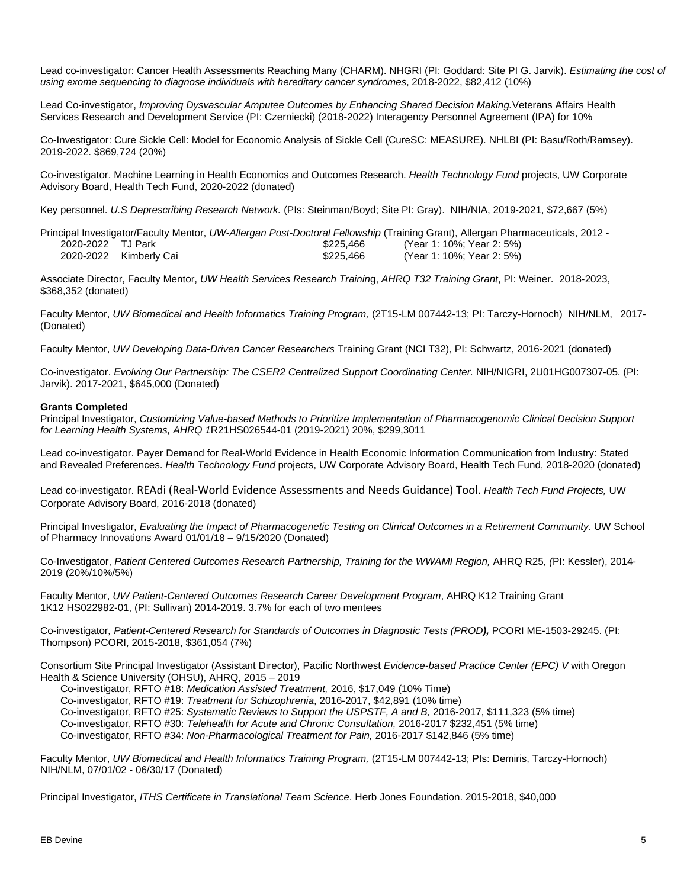Lead co-investigator: Cancer Health Assessments Reaching Many (CHARM). NHGRI (PI: Goddard: Site PI G. Jarvik). *Estimating the cost of using exome sequencing to diagnose individuals with hereditary cancer syndromes*, 2018-2022, \$82,412 (10%)

Lead Co-investigator, *Improving Dysvascular Amputee Outcomes by Enhancing Shared Decision Making.*Veterans Affairs Health Services Research and Development Service (PI: Czerniecki) (2018-2022) Interagency Personnel Agreement (IPA) for 10%

Co-Investigator: Cure Sickle Cell: Model for Economic Analysis of Sickle Cell (CureSC: MEASURE). NHLBI (PI: Basu/Roth/Ramsey). 2019-2022. \$869,724 (20%)

Co-investigator. Machine Learning in Health Economics and Outcomes Research. *Health Technology Fund* projects, UW Corporate Advisory Board, Health Tech Fund, 2020-2022 (donated)

Key personnel. *U.S Deprescribing Research Network.* (PIs: Steinman/Boyd; Site PI: Gray). NIH/NIA, 2019-2021, \$72,667 (5%)

Principal Investigator/Faculty Mentor, *UW-Allergan Post-Doctoral Fellowship* (Training Grant), Allergan Pharmaceuticals, 2012 - \$225,466 (Year 1: 10%; Year 2: 5%) 2020-2022 Kimberly Cai \$225,466 (Year 1: 10%; Year 2: 5%)

Associate Director, Faculty Mentor, *UW Health Services Research Trainin*g, *AHRQ T32 Training Grant*, PI: Weiner. 2018-2023, \$368,352 (donated)

Faculty Mentor, *UW Biomedical and Health Informatics Training Program,* (2T15-LM 007442-13; PI: Tarczy-Hornoch) NIH/NLM, 2017- (Donated)

Faculty Mentor, *UW Developing Data-Driven Cancer Researchers* Training Grant (NCI T32), PI: Schwartz, 2016-2021 (donated)

Co-investigator. *Evolving Our Partnership: The CSER2 Centralized Support Coordinating Center.* NIH/NIGRI, 2U01HG007307-05. (PI: Jarvik). 2017-2021, \$645,000 (Donated)

#### **Grants Completed**

Principal Investigator, *Customizing Value-based Methods to Prioritize Implementation of Pharmacogenomic Clinical Decision Support for Learning Health Systems, AHRQ 1*R21HS026544-01 (2019-2021) 20%, \$299,3011

Lead co-investigator. Payer Demand for Real-World Evidence in Health Economic Information Communication from Industry: Stated and Revealed Preferences. *Health Technology Fund* projects, UW Corporate Advisory Board, Health Tech Fund, 2018-2020 (donated)

Lead co-investigator. REAdi (Real-World Evidence Assessments and Needs Guidance) Tool. *Health Tech Fund Projects,* UW Corporate Advisory Board, 2016-2018 (donated)

Principal Investigator, *Evaluating the Impact of Pharmacogenetic Testing on Clinical Outcomes in a Retirement Community.* UW School of Pharmacy Innovations Award 01/01/18 – 9/15/2020 (Donated)

Co-Investigator, *Patient Centered Outcomes Research Partnership, Training for the WWAMI Region,* AHRQ R25*, (*PI: Kessler), 2014- 2019 (20%/10%/5%)

Faculty Mentor, *UW Patient-Centered Outcomes Research Career Development Program*, AHRQ K12 Training Grant 1K12 HS022982-01, (PI: Sullivan) 2014-2019. 3.7% for each of two mentees

Co-investigator*, Patient-Centered Research for Standards of Outcomes in Diagnostic Tests (PROD),* PCORI ME-1503-29245. (PI: Thompson) PCORI, 2015-2018, \$361,054 (7%)

Consortium Site Principal Investigator (Assistant Director), Pacific Northwest *Evidence-based Practice Center (EPC) V* with Oregon Health & Science University (OHSU), AHRQ, 2015 – 2019

Co-investigator, RFTO #18: *Medication Assisted Treatment,* 2016, \$17,049 (10% Time)

Co-investigator, RFTO #19: *Treatment for Schizophrenia*, 2016-2017, \$42,891 (10% time)

Co-investigator, RFTO #25: *Systematic Reviews to Support the USPSTF, A and B,* 2016-2017, \$111,323 (5% time)

Co-investigator, RFTO #30: *Telehealth for Acute and Chronic Consultation,* 2016-2017 \$232,451 (5% time)

Co-investigator, RFTO #34: *Non-Pharmacological Treatment for Pain,* 2016-2017 \$142,846 (5% time)

Faculty Mentor, *UW Biomedical and Health Informatics Training Program,* (2T15-LM 007442-13; PIs: Demiris, Tarczy-Hornoch) NIH/NLM, 07/01/02 - 06/30/17 (Donated)

Principal Investigator, *ITHS Certificate in Translational Team Science*. Herb Jones Foundation. 2015-2018, \$40,000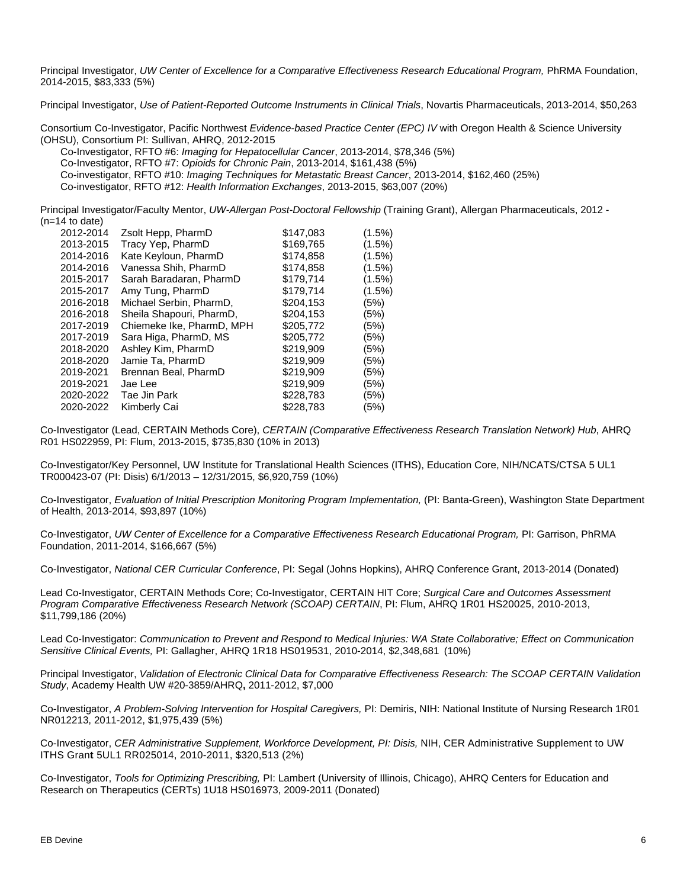Principal Investigator, *UW Center of Excellence for a Comparative Effectiveness Research Educational Program,* PhRMA Foundation, 2014-2015, \$83,333 (5%)

Principal Investigator, *Use of Patient-Reported Outcome Instruments in Clinical Trials*, Novartis Pharmaceuticals, 2013-2014, \$50,263

Consortium Co-Investigator, Pacific Northwest *Evidence-based Practice Center (EPC) IV* with Oregon Health & Science University (OHSU), Consortium PI: Sullivan, AHRQ, 2012-2015

Co-Investigator, RFTO #6: *Imaging for Hepatocellular Cancer*, 2013-2014, \$78,346 (5%) Co-Investigator, RFTO #7: *Opioids for Chronic Pain*, 2013-2014, \$161,438 (5%) Co-investigator, RFTO #10: *Imaging Techniques for Metastatic Breast Cancer*, 2013-2014, \$162,460 (25%) Co-investigator, RFTO #12: *Health Information Exchanges*, 2013-2015, \$63,007 (20%)

Principal Investigator/Faculty Mentor, *UW-Allergan Post-Doctoral Fellowship* (Training Grant), Allergan Pharmaceuticals, 2012 - (n=14 to date)

| 2012-2014 | Zsolt Hepp, PharmD        | \$147,083 | (1.5%) |
|-----------|---------------------------|-----------|--------|
| 2013-2015 | Tracy Yep, PharmD         | \$169,765 | (1.5%) |
| 2014-2016 | Kate Keyloun, PharmD      | \$174,858 | (1.5%) |
| 2014-2016 | Vanessa Shih, PharmD      | \$174,858 | (1.5%) |
| 2015-2017 | Sarah Baradaran, PharmD   | \$179,714 | (1.5%) |
| 2015-2017 | Amy Tung, PharmD          | \$179,714 | (1.5%) |
| 2016-2018 | Michael Serbin, PharmD,   | \$204,153 | (5%)   |
| 2016-2018 | Sheila Shapouri, PharmD,  | \$204.153 | (5%)   |
| 2017-2019 | Chiemeke Ike, PharmD, MPH | \$205,772 | (5%)   |
| 2017-2019 | Sara Higa, PharmD, MS     | \$205.772 | (5%)   |
| 2018-2020 | Ashley Kim, PharmD        | \$219,909 | (5%)   |
| 2018-2020 | Jamie Ta, PharmD          | \$219,909 | (5%)   |
| 2019-2021 | Brennan Beal, PharmD      | \$219.909 | (5%)   |
| 2019-2021 | Jae Lee                   | \$219,909 | (5%)   |
| 2020-2022 | Tae Jin Park              | \$228,783 | (5%)   |
| 2020-2022 | Kimberly Cai              | \$228,783 | (5%)   |

Co-Investigator (Lead, CERTAIN Methods Core), *CERTAIN (Comparative Effectiveness Research Translation Network) Hub*, AHRQ R01 HS022959, PI: Flum, 2013-2015, \$735,830 (10% in 2013)

Co-Investigator/Key Personnel, UW Institute for Translational Health Sciences (ITHS), Education Core, NIH/NCATS/CTSA 5 UL1 TR000423-07 (PI: Disis) 6/1/2013 – 12/31/2015, \$6,920,759 (10%)

Co-Investigator, *Evaluation of Initial Prescription Monitoring Program Implementation,* (PI: Banta-Green), Washington State Department of Health, 2013-2014, \$93,897 (10%)

Co-Investigator, *UW Center of Excellence for a Comparative Effectiveness Research Educational Program,* PI: Garrison, PhRMA Foundation, 2011-2014, \$166,667 (5%)

Co-Investigator, *National CER Curricular Conference*, PI: Segal (Johns Hopkins), AHRQ Conference Grant, 2013-2014 (Donated)

Lead Co-Investigator, CERTAIN Methods Core; Co-Investigator, CERTAIN HIT Core; *Surgical Care and Outcomes Assessment Program Comparative Effectiveness Research Network (SCOAP) CERTAIN*, PI: Flum, AHRQ 1R01 HS20025, 2010-2013, \$11,799,186 (20%)

Lead Co-Investigator: *Communication to Prevent and Respond to Medical Injuries: WA State Collaborative; Effect on Communication Sensitive Clinical Events,* PI: Gallagher, AHRQ 1R18 HS019531, 2010-2014, \$2,348,681 (10%)

Principal Investigator, *Validation of Electronic Clinical Data for Comparative Effectiveness Research: The SCOAP CERTAIN Validation Study*, Academy Health UW #20-3859/AHRQ**,** 2011-2012, \$7,000

Co-Investigator, *A Problem-Solving Intervention for Hospital Caregivers,* PI: Demiris, NIH: National Institute of Nursing Research 1R01 NR012213, 2011-2012, \$1,975,439 (5%)

Co-Investigator, *CER Administrative Supplement, Workforce Development, PI: Disis,* NIH, CER Administrative Supplement to UW ITHS Gran**t** 5UL1 RR025014, 2010-2011, \$320,513 (2%)

Co-Investigator, *Tools for Optimizing Prescribing,* PI: Lambert (University of Illinois, Chicago), AHRQ Centers for Education and Research on Therapeutics (CERTs) 1U18 HS016973, 2009-2011 (Donated)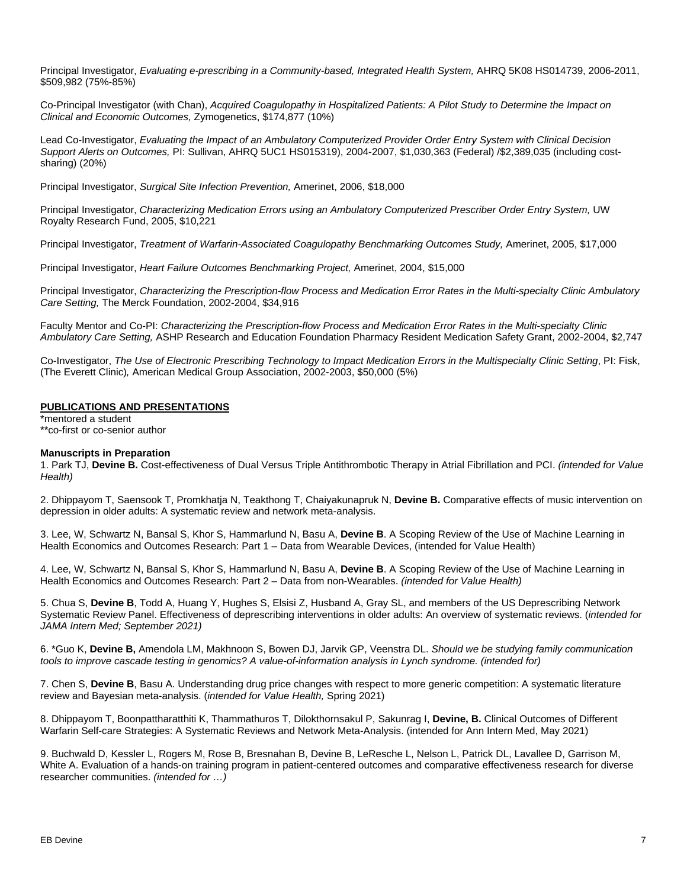Principal Investigator, *Evaluating e-prescribing in a Community-based, Integrated Health System,* AHRQ 5K08 HS014739, 2006-2011, \$509,982 (75%-85%)

Co-Principal Investigator (with Chan), *Acquired Coagulopathy in Hospitalized Patients: A Pilot Study to Determine the Impact on Clinical and Economic Outcomes,* Zymogenetics, \$174,877 (10%)

Lead Co-Investigator, *Evaluating the Impact of an Ambulatory Computerized Provider Order Entry System with Clinical Decision Support Alerts on Outcomes,* PI: Sullivan, AHRQ 5UC1 HS015319), 2004-2007, \$1,030,363 (Federal) /\$2,389,035 (including costsharing) (20%)

Principal Investigator, *Surgical Site Infection Prevention,* Amerinet, 2006, \$18,000

Principal Investigator, *Characterizing Medication Errors using an Ambulatory Computerized Prescriber Order Entry System,* UW Royalty Research Fund, 2005, \$10,221

Principal Investigator, *Treatment of Warfarin-Associated Coagulopathy Benchmarking Outcomes Study,* Amerinet, 2005, \$17,000

Principal Investigator, *Heart Failure Outcomes Benchmarking Project,* Amerinet, 2004, \$15,000

Principal Investigator, *Characterizing the Prescription-flow Process and Medication Error Rates in the Multi-specialty Clinic Ambulatory Care Setting,* The Merck Foundation, 2002-2004, \$34,916

Faculty Mentor and Co-PI: *Characterizing the Prescription-flow Process and Medication Error Rates in the Multi-specialty Clinic Ambulatory Care Setting,* ASHP Research and Education Foundation Pharmacy Resident Medication Safety Grant, 2002-2004, \$2,747

Co-Investigator, *The Use of Electronic Prescribing Technology to Impact Medication Errors in the Multispecialty Clinic Setting*, PI: Fisk, (The Everett Clinic)*,* American Medical Group Association, 2002-2003, \$50,000 (5%)

## **PUBLICATIONS AND PRESENTATIONS**

\*mentored a student \*\*co-first or co-senior author

#### **Manuscripts in Preparation**

1. Park TJ, **Devine B.** Cost-effectiveness of Dual Versus Triple Antithrombotic Therapy in Atrial Fibrillation and PCI. *(intended for Value Health)*

2. Dhippayom T, Saensook T, Promkhatja N, Teakthong T, Chaiyakunapruk N, **Devine B.** Comparative effects of music intervention on depression in older adults: A systematic review and network meta-analysis.

3. Lee, W, Schwartz N, Bansal S, Khor S, Hammarlund N, Basu A, **Devine B**. A Scoping Review of the Use of Machine Learning in Health Economics and Outcomes Research: Part 1 – Data from Wearable Devices, (intended for Value Health)

4. Lee, W, Schwartz N, Bansal S, Khor S, Hammarlund N, Basu A, **Devine B**. A Scoping Review of the Use of Machine Learning in Health Economics and Outcomes Research: Part 2 – Data from non-Wearables. *(intended for Value Health)*

5. Chua S, **Devine B**, Todd A, Huang Y, Hughes S, Elsisi Z, Husband A, Gray SL, and members of the US Deprescribing Network Systematic Review Panel. Effectiveness of deprescribing interventions in older adults: An overview of systematic reviews. (*intended for JAMA Intern Med; September 2021)*

6. \*Guo K, **Devine B,** Amendola LM, Makhnoon S, Bowen DJ, Jarvik GP, Veenstra DL. *Should we be studying family communication tools to improve cascade testing in genomics? A value-of-information analysis in Lynch syndrome. (intended for)*

7. Chen S, **Devine B**, Basu A. Understanding drug price changes with respect to more generic competition: A systematic literature review and Bayesian meta-analysis. (*intended for Value Health,* Spring 2021)

8. Dhippayom T, Boonpattharatthiti K, Thammathuros T, Dilokthornsakul P, Sakunrag I, **Devine, B.** Clinical Outcomes of Different Warfarin Self-care Strategies: A Systematic Reviews and Network Meta-Analysis. (intended for Ann Intern Med, May 2021)

9. Buchwald D, Kessler L, Rogers M, Rose B, Bresnahan B, Devine B, LeResche L, Nelson L, Patrick DL, Lavallee D, Garrison M, White A. Evaluation of a hands-on training program in patient-centered outcomes and comparative effectiveness research for diverse researcher communities. *(intended for …)*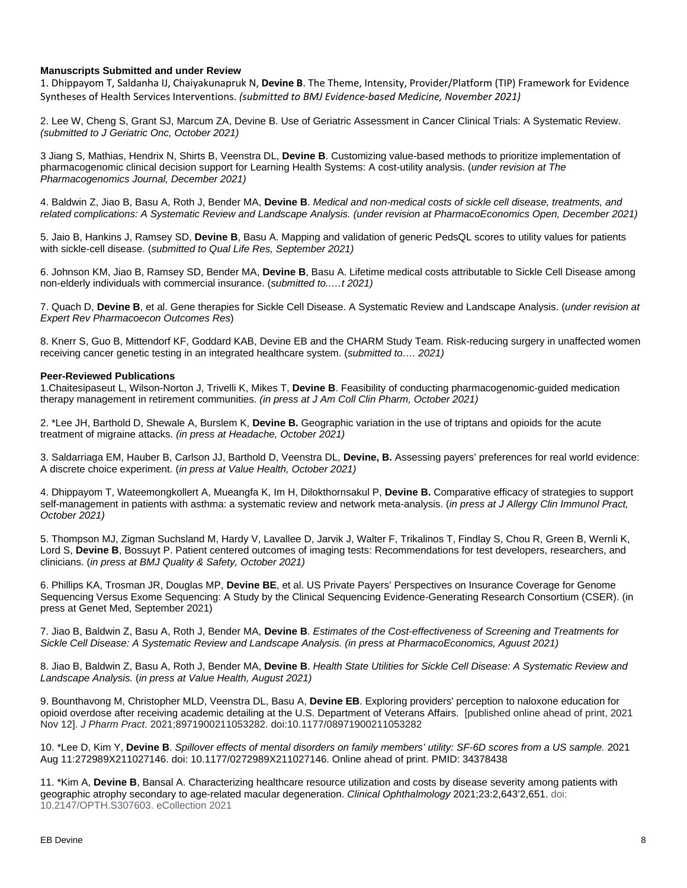## **Manuscripts Submitted and under Review**

1. Dhippayom T, Saldanha IJ, Chaiyakunapruk N, **Devine B**. The Theme, Intensity, Provider/Platform (TIP) Framework for Evidence Syntheses of Health Services Interventions. *(submitted to BMJ Evidence-based Medicine, November 2021)*

2. Lee W, Cheng S, Grant SJ, Marcum ZA, Devine B. Use of Geriatric Assessment in Cancer Clinical Trials: A Systematic Review. *(submitted to J Geriatric Onc, October 2021)*

3 Jiang S, Mathias, Hendrix N, Shirts B, Veenstra DL, **Devine B**. Customizing value-based methods to prioritize implementation of pharmacogenomic clinical decision support for Learning Health Systems: A cost-utility analysis. (*under revision at The Pharmacogenomics Journal, December 2021)*

4. Baldwin Z, Jiao B, Basu A, Roth J, Bender MA, **Devine B**. *Medical and non-medical costs of sickle cell disease, treatments, and related complications: A Systematic Review and Landscape Analysis. (under revision at PharmacoEconomics Open, December 2021)*

5. Jaio B, Hankins J, Ramsey SD, **Devine B**, Basu A. Mapping and validation of generic PedsQL scores to utility values for patients with sickle-cell disease. (*submitted to Qual Life Res, September 2021)*

6. Johnson KM, Jiao B, Ramsey SD, Bender MA, **Devine B**, Basu A. Lifetime medical costs attributable to Sickle Cell Disease among non-elderly individuals with commercial insurance. (*submitted to..…t 2021)*

7. Quach D, **Devine B**, et al. Gene therapies for Sickle Cell Disease. A Systematic Review and Landscape Analysis. (*under revision at Expert Rev Pharmacoecon Outcomes Res*)

8. Knerr S, Guo B, Mittendorf KF, Goddard KAB, Devine EB and the CHARM Study Team. Risk-reducing surgery in unaffected women receiving cancer genetic testing in an integrated healthcare system. (*submitted to…. 2021)*

#### **Peer-Reviewed Publications**

1.Chaitesipaseut L, Wilson-Norton J, Trivelli K, Mikes T, **Devine B**. Feasibility of conducting pharmacogenomic-guided medication therapy management in retirement communities. *(in press at J Am Coll Clin Pharm, October 2021)*

2. \*Lee JH, Barthold D, Shewale A, Burslem K, **Devine B.** Geographic variation in the use of triptans and opioids for the acute treatment of migraine attacks. *(in press at Headache, October 2021)*

3. Saldarriaga EM, Hauber B, Carlson JJ, Barthold D, Veenstra DL, **Devine, B.** Assessing payers' preferences for real world evidence: A discrete choice experiment. (*in press at Value Health, October 2021)*

4. Dhippayom T, Wateemongkollert A, Mueangfa K, Im H, Dilokthornsakul P, **Devine B.** Comparative efficacy of strategies to support self-management in patients with asthma: a systematic review and network meta-analysis. (*in press at J Allergy Clin Immunol Pract, October 2021)*

5. Thompson MJ, Zigman Suchsland M, Hardy V, Lavallee D, Jarvik J, Walter F, Trikalinos T, Findlay S, Chou R, Green B, Wernli K, Lord S, **Devine B**, Bossuyt P. Patient centered outcomes of imaging tests: Recommendations for test developers, researchers, and clinicians. (*in press at BMJ Quality & Safety, October 2021)*

6. Phillips KA, Trosman JR, Douglas MP, **Devine BE**, et al. US Private Payers' Perspectives on Insurance Coverage for Genome Sequencing Versus Exome Sequencing: A Study by the Clinical Sequencing Evidence-Generating Research Consortium (CSER). (in press at Genet Med, September 2021)

7. Jiao B, Baldwin Z, Basu A, Roth J, Bender MA, **Devine B**. *Estimates of the Cost-effectiveness of Screening and Treatments for Sickle Cell Disease: A Systematic Review and Landscape Analysis. (in press at PharmacoEconomics, Aguust 2021)*

8. Jiao B, Baldwin Z, Basu A, Roth J, Bender MA, **Devine B**. *Health State Utilities for Sickle Cell Disease: A Systematic Review and Landscape Analysis.* (*in press at Value Health, August 2021)*

9. Bounthavong M, Christopher MLD, Veenstra DL, Basu A, **Devine EB**. Exploring providers' perception to naloxone education for opioid overdose after receiving academic detailing at the U.S. Department of Veterans Affairs. [published online ahead of print, 2021 Nov 12]. *J Pharm Pract*. 2021;8971900211053282. doi:10.1177/08971900211053282

10. \*Lee D, Kim Y, **Devine B**. *Spillover effects of mental disorders on family members' utility: SF-6D scores from a US sample.* 2021 Aug 11:272989X211027146. doi: 10.1177/0272989X211027146. Online ahead of print. PMID: 34378438

11. \*Kim A, **Devine B**, Bansal A. Characterizing healthcare resource utilization and costs by disease severity among patients with geographic atrophy secondary to age-related macular degeneration. *Clinical Ophthalmology* 2021;23:2,643'2,651. doi: 10.2147/OPTH.S307603. eCollection 2021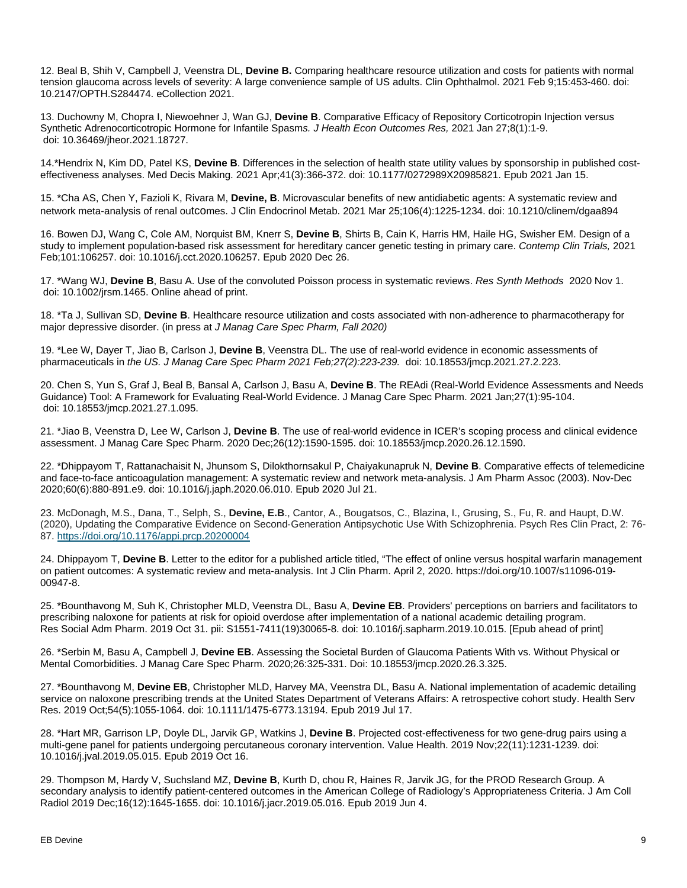12. Beal B, Shih V, Campbell J, Veenstra DL, **Devine B.** Comparing healthcare resource utilization and costs for patients with normal tension glaucoma across levels of severity: A large convenience sample of US adults. Clin Ophthalmol. 2021 Feb 9;15:453-460. doi: 10.2147/OPTH.S284474. eCollection 2021.

13. Duchowny M, Chopra I, Niewoehner J, Wan GJ, **Devine B**. Comparative Efficacy of Repository Corticotropin Injection versus Synthetic Adrenocorticotropic Hormone for Infantile Spasm*s. J Health Econ Outcomes Res,* 2021 Jan 27;8(1):1-9. doi: 10.36469/jheor.2021.18727.

14.\*Hendrix N, Kim DD, Patel KS, **Devine B**. Differences in the selection of health state utility values by sponsorship in published costeffectiveness analyses. Med Decis Making. 2021 Apr;41(3):366-372. doi: 10.1177/0272989X20985821. Epub 2021 Jan 15.

15. \*Cha AS, Chen Y, Fazioli K, Rivara M, **Devine, B**. Microvascular benefits of new antidiabetic agents: A systematic review and network meta-analysis of renal outcomes. J Clin Endocrinol Metab. 2021 Mar 25;106(4):1225-1234. doi: 10.1210/clinem/dgaa894

16. Bowen DJ, Wang C, Cole AM, Norquist BM, Knerr S, **Devine B**, Shirts B, Cain K, Harris HM, Haile HG, Swisher EM. Design of a study to implement population-based risk assessment for hereditary cancer genetic testing in primary care. *Contemp Clin Trials,* 2021 Feb;101:106257. doi: 10.1016/j.cct.2020.106257. Epub 2020 Dec 26.

17. \*Wang WJ, **Devine B**, Basu A. Use of the convoluted Poisson process in systematic reviews. *Res Synth Methods* 2020 Nov 1. doi: 10.1002/jrsm.1465. Online ahead of print.

18. \*Ta J, Sullivan SD, **Devine B**. Healthcare resource utilization and costs associated with non-adherence to pharmacotherapy for major depressive disorder. (in press at *J Manag Care Spec Pharm, Fall 2020)*

19. \*Lee W, Dayer T, Jiao B, Carlson J, **Devine B**, Veenstra DL. The use of real-world evidence in economic assessments of pharmaceuticals in *the US. J Manag Care Spec Pharm 2021 Feb;27(2):223-239.* doi: 10.18553/jmcp.2021.27.2.223.

20. Chen S, Yun S, Graf J, Beal B, Bansal A, Carlson J, Basu A, **Devine B**. The REAdi (Real-World Evidence Assessments and Needs Guidance) Tool: A Framework for Evaluating Real-World Evidence. J Manag Care Spec Pharm. 2021 Jan;27(1):95-104. doi: 10.18553/jmcp.2021.27.1.095.

21. \*Jiao B, Veenstra D, Lee W, Carlson J, **Devine B**. The use of real-world evidence in ICER's scoping process and clinical evidence assessment. J Manag Care Spec Pharm. 2020 Dec;26(12):1590-1595. doi: 10.18553/jmcp.2020.26.12.1590.

22. \*Dhippayom T, Rattanachaisit N, Jhunsom S, Dilokthornsakul P, Chaiyakunapruk N, **Devine B**. Comparative effects of telemedicine and face-to-face anticoagulation management: A systematic review and network meta-analysis. J Am Pharm Assoc (2003). Nov-Dec 2020;60(6):880-891.e9. doi: 10.1016/j.japh.2020.06.010. Epub 2020 Jul 21.

23. McDonagh, M.S., Dana, T., Selph, S., **Devine, E.B**., Cantor, A., Bougatsos, C., Blazina, I., Grusing, S., Fu, R. and Haupt, D.W. (2020), Updating the Comparative Evidence on Second‐Generation Antipsychotic Use With Schizophrenia. Psych Res Clin Pract, 2: 76- 87. <https://doi.org/10.1176/appi.prcp.20200004>

24. Dhippayom T, **Devine B**. Letter to the editor for a published article titled, "The effect of online versus hospital warfarin management on patient outcomes: A systematic review and meta-analysis. Int J Clin Pharm. April 2, 2020. https://doi.org/10.1007/s11096-019- 00947-8.

25. \*Bounthavong M, Suh K, Christopher MLD, Veenstra DL, Basu A, **Devine EB**. Providers' perceptions on barriers and facilitators to prescribing naloxone for patients at risk for opioid overdose after implementation of a national academic detailing program. Res Social Adm Pharm. 2019 Oct 31. pii: S1551-7411(19)30065-8. doi: 10.1016/j.sapharm.2019.10.015. [Epub ahead of print]

26. \*Serbin M, Basu A, Campbell J, **Devine EB**. Assessing the Societal Burden of Glaucoma Patients With vs. Without Physical or Mental Comorbidities. J Manag Care Spec Pharm. 2020;26:325-331. Doi: 10.18553/jmcp.2020.26.3.325.

27. \*Bounthavong M, **Devine EB**, Christopher MLD, Harvey MA, Veenstra DL, Basu A. National implementation of academic detailing service on naloxone prescribing trends at the United States Department of Veterans Affairs: A retrospective cohort study. Health Serv Res. 2019 Oct;54(5):1055-1064. doi: 10.1111/1475-6773.13194. Epub 2019 Jul 17.

28. \*Hart MR, Garrison LP, Doyle DL, Jarvik GP, Watkins J, **Devine B**. Projected cost-effectiveness for two gene-drug pairs using a multi-gene panel for patients undergoing percutaneous coronary intervention. Value Health. 2019 Nov;22(11):1231-1239. doi: 10.1016/j.jval.2019.05.015. Epub 2019 Oct 16.

29. Thompson M, Hardy V, Suchsland MZ, **Devine B**, Kurth D, chou R, Haines R, Jarvik JG, for the PROD Research Group. A secondary analysis to identify patient-centered outcomes in the American College of Radiology's Appropriateness Criteria. J Am Coll Radiol 2019 Dec;16(12):1645-1655. doi: 10.1016/j.jacr.2019.05.016. Epub 2019 Jun 4.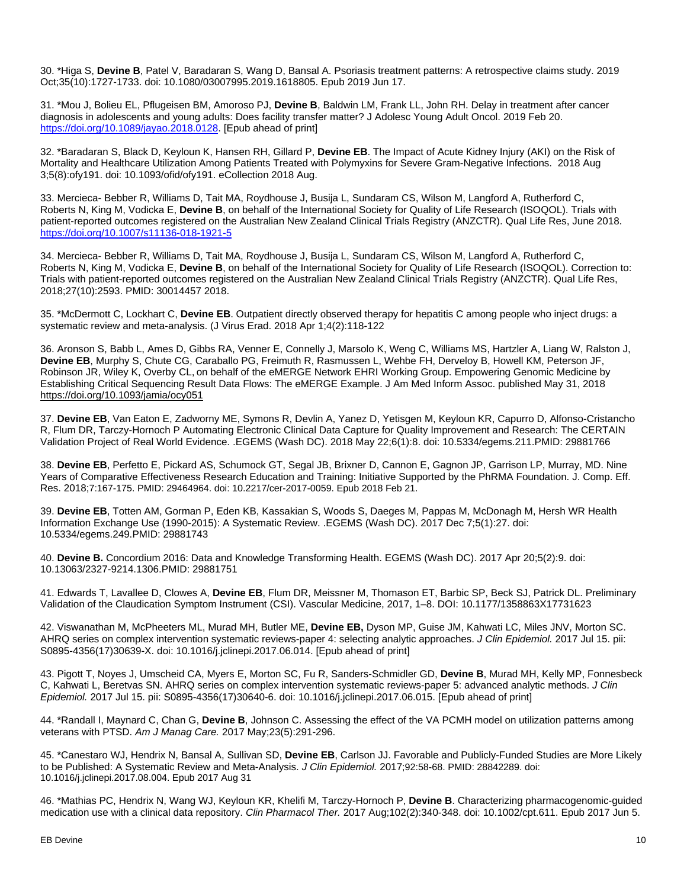30. \*Higa S, **Devine B**, Patel V, Baradaran S, Wang D, Bansal A. Psoriasis treatment patterns: A retrospective claims study. 2019 Oct;35(10):1727-1733. doi: 10.1080/03007995.2019.1618805. Epub 2019 Jun 17.

31. \*Mou J, Bolieu EL, Pflugeisen BM, Amoroso PJ, **Devine B**, Baldwin LM, Frank LL, John RH. Delay in treatment after cancer diagnosis in adolescents and young adults: Does facility transfer matter? J Adolesc Young Adult Oncol. 2019 Feb 20. https://doi.org/1<u>0.1089/jayao.2018.0128</u>. [Epub ahead of print]

32. \*Baradaran S, Black D, Keyloun K, Hansen RH, Gillard P, **Devine EB**. The Impact of Acute Kidney Injury (AKI) on the Risk of Mortality and Healthcare Utilization Among Patients Treated with Polymyxins for Severe Gram-Negative Infections. 2018 Aug 3;5(8):ofy191. doi: 10.1093/ofid/ofy191. eCollection 2018 Aug.

33. Mercieca- Bebber R, Williams D, Tait MA, Roydhouse J, Busija L, Sundaram CS, Wilson M, Langford A, Rutherford C, Roberts N, King M, Vodicka E, **Devine B**, on behalf of the International Society for Quality of Life Research (ISOQOL). Trials with patient-reported outcomes registered on the Australian New Zealand Clinical Trials Registry (ANZCTR). Qual Life Res, June 2018. <https://doi.org/10.1007/s11136-018-1921-5>

34. Mercieca- Bebber R, Williams D, Tait MA, Roydhouse J, Busija L, Sundaram CS, Wilson M, Langford A, Rutherford C, Roberts N, King M, Vodicka E, **Devine B**, on behalf of the International Society for Quality of Life Research (ISOQOL). Correction to: Trials with patient-reported outcomes registered on the Australian New Zealand Clinical Trials Registry (ANZCTR). Qual Life Res, 2018;27(10):2593. PMID: 30014457 2018.

35. \*McDermott C, Lockhart C, **Devine EB**. Outpatient directly observed therapy for hepatitis C among people who inject drugs: a systematic review and meta-analysis. (J Virus Erad. 2018 Apr 1;4(2):118-122

36. Aronson S, Babb L, Ames D, Gibbs RA, Venner E, Connelly J, Marsolo K, Weng C, Williams MS, Hartzler A, Liang W, Ralston J, **Devine EB**, Murphy S, Chute CG, Caraballo PG, Freimuth R, Rasmussen L, Wehbe FH, Derveloy B, Howell KM, Peterson JF, Robinson JR, Wiley K, Overby CL, on behalf of the eMERGE Network EHRI Working Group. Empowering Genomic Medicine by Establishing Critical Sequencing Result Data Flows: The eMERGE Example. J Am Med Inform Assoc. published May 31, 2018 <https://doi.org/10.1093/jamia/ocy051>

37. **Devine EB**, Van Eaton E, Zadworny ME, Symons R, Devlin A, Yanez D, Yetisgen M, Keyloun KR, Capurro D, Alfonso-Cristancho R, Flum DR, Tarczy-Hornoch P [Automating Electronic Clinical Data Capture for Quality Improvement and Research: The CERTAIN](https://pubmed.ncbi.nlm.nih.gov/29881766/)  [Validation Project of Real World Evidence.](https://pubmed.ncbi.nlm.nih.gov/29881766/) .EGEMS (Wash DC). 2018 May 22;6(1):8. doi: 10.5334/egems.211.PMID: 29881766

38. **Devine EB**, Perfetto E, Pickard AS, Schumock GT, Segal JB, Brixner D, Cannon E, Gagnon JP, Garrison LP, Murray, MD. Nine Years of Comparative Effectiveness Research Education and Training: Initiative Supported by the PhRMA Foundation. J. Comp. Eff. Res. 2018;7:167-175. PMID: 29464964. doi: 10.2217/cer-2017-0059. Epub 2018 Feb 21.

39. **Devine EB**, Totten AM, Gorman P, Eden KB, Kassakian S, Woods S, Daeges M, Pappas M, McDonagh M, Hersh WR [Health](https://pubmed.ncbi.nlm.nih.gov/29881743/)  [Information Exchange Use \(1990-2015\): A Systematic Review.](https://pubmed.ncbi.nlm.nih.gov/29881743/) .EGEMS (Wash DC). 2017 Dec 7;5(1):27. doi: 10.5334/egems.249.PMID: 29881743

40. **Devine B.** Concordium [2016: Data and Knowledge Transforming Health.](https://pubmed.ncbi.nlm.nih.gov/29881751/) EGEMS (Wash DC). 2017 Apr 20;5(2):9. doi: 10.13063/2327-9214.1306.PMID: 29881751

41. Edwards T, Lavallee D, Clowes A, **Devine EB**, Flum DR, Meissner M, Thomason ET, Barbic SP, Beck SJ, Patrick DL. Preliminary Validation of the Claudication Symptom Instrument (CSI). Vascular Medicine, 2017, 1–8. DOI: 10.1177/1358863X17731623

42. Viswanathan M, McPheeters ML, Murad MH, Butler ME, **Devine EB,** Dyson MP, Guise JM, Kahwati LC, Miles JNV, Morton SC. [AHRQ series on complex intervention systematic reviews-paper 4: selecting analytic approaches.](https://www.ncbi.nlm.nih.gov/pubmed/28720515) *J Clin Epidemiol.* 2017 Jul 15. pii: S0895-4356(17)30639-X. doi: 10.1016/j.jclinepi.2017.06.014. [Epub ahead of print]

43. Pigott T, Noyes J, Umscheid CA, Myers E, Morton SC, Fu R, Sanders-Schmidler GD, **Devine B**, Murad MH, Kelly MP, Fonnesbeck C, Kahwati L, Beretvas SN[. AHRQ series on complex intervention systematic reviews-paper](https://www.ncbi.nlm.nih.gov/pubmed/28720512) 5: advanced analytic methods. *J Clin Epidemiol.* 2017 Jul 15. pii: S0895-4356(17)30640-6. doi: 10.1016/j.jclinepi.2017.06.015. [Epub ahead of print]

44. \*Randall I, Maynard C, Chan G, **Devine B**, Johnson C. Assessing the effect of the VA PCMH model on utilization patterns among veterans with PTSD. *Am J Manag Care.* 2017 May;23(5):291-296.

45. \*Canestaro WJ, Hendrix N, Bansal A, Sullivan SD, **Devine EB**, Carlson JJ. [Favorable and Publicly-Funded Studies are More Likely](https://www.ncbi.nlm.nih.gov/pubmed/28842289)  [to be Published: A Systematic Review](https://www.ncbi.nlm.nih.gov/pubmed/28842289) and Meta-Analysis. *J Clin Epidemiol.* 2017;92:58-68. PMID: 28842289. doi: 10.1016/j.jclinepi.2017.08.004. Epub 2017 Aug 31

46. \*Mathias PC, Hendrix N, Wang WJ, Keyloun KR, Khelifi M, Tarczy-Hornoch P, **Devine B**. Characterizing pharmacogenomic-guided medication use with a clinical data repository. *Clin Pharmacol Ther.* 2017 Aug;102(2):340-348. doi: 10.1002/cpt.611. Epub 2017 Jun 5.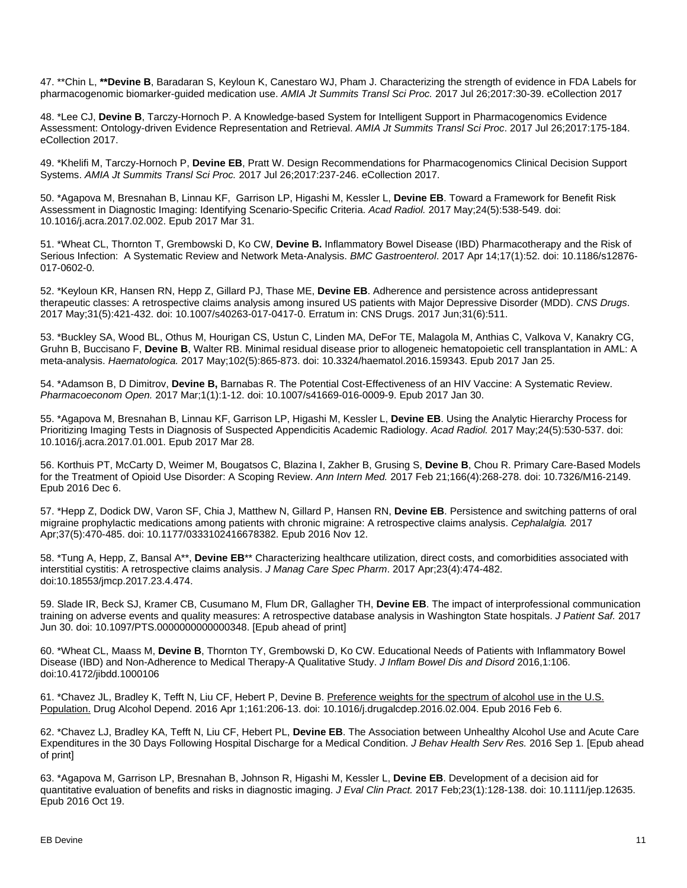47. \*\*Chin L, **\*\*Devine B**, Baradaran S, Keyloun K, Canestaro WJ, Pham J. Characterizing the strength of evidence in FDA Labels for pharmacogenomic biomarker-guided medication use. *AMIA Jt Summits Transl Sci Proc.* 2017 Jul 26;2017:30-39. eCollection 2017

48. \*Lee CJ, **Devine B**, Tarczy-Hornoch P. [A Knowledge-based System for Intelligent Support in](https://www.ncbi.nlm.nih.gov/pubmed/28815127) Pharmacogenomics Evidence [Assessment: Ontology-driven Evidence](https://www.ncbi.nlm.nih.gov/pubmed/28815127) Representation and Retrieval. *AMIA Jt Summits Transl Sci Proc*. 2017 Jul 26;2017:175-184. eCollection 2017.

49. \*Khelifi M, Tarczy-Hornoch P, **Devine EB**, Pratt W. [Design Recommendations for Pharmacogenomics Clinical Decision Support](https://www.ncbi.nlm.nih.gov/pubmed/28815136)  [Systems.](https://www.ncbi.nlm.nih.gov/pubmed/28815136) *AMIA Jt Summits Transl Sci Proc.* 2017 Jul 26;2017:237-246. eCollection 2017.

50. \*Agapova M, Bresnahan B, Linnau KF, Garrison LP, Higashi M, Kessler L, **Devine EB**. Toward a Framework for Benefit Risk Assessment in Diagnostic Imaging: Identifying Scenario-Specific Criteria. *Acad Radiol.* 2017 May;24(5):538-549. doi: 10.1016/j.acra.2017.02.002. Epub 2017 Mar 31.

51. \*Wheat CL, Thornton T, Grembowski D, Ko CW, **Devine B.** Inflammatory Bowel Disease (IBD) Pharmacotherapy and the Risk of Serious Infection: A Systematic Review and Network Meta-Analysis. *BMC Gastroenterol*. 2017 Apr 14;17(1):52. doi: 10.1186/s12876- 017-0602-0.

52. \*Keyloun KR, Hansen RN, Hepp Z, Gillard PJ, Thase ME, **Devine EB**. Adherence and persistence across antidepressant therapeutic classes: A retrospective claims analysis among insured US patients with Major Depressive Disorder (MDD). *CNS Drugs*. 2017 May;31(5):421-432. doi: 10.1007/s40263-017-0417-0. Erratum in: [CNS Drugs. 2017 Jun;31\(6\):511.](https://www.ncbi.nlm.nih.gov/pubmed/28451963)

53. \*Buckley SA, Wood BL, Othus M, Hourigan CS, Ustun C, Linden MA, DeFor TE, Malagola M, Anthias C, Valkova V, Kanakry CG, Gruhn B, Buccisano F, **Devine B**, Walter RB. Minimal residual disease prior to allogeneic hematopoietic cell transplantation in AML: A meta-analysis. *Haematologica.* 2017 May;102(5):865-873. doi: 10.3324/haematol.2016.159343. Epub 2017 Jan 25.

54. \*Adamson B, D Dimitrov, **Devine B,** Barnabas R. The Potential Cost-Effectiveness of an HIV Vaccine: A Systematic Review. *Pharmacoeconom Open.* 2017 Mar;1(1):1-12. doi: 10.1007/s41669-016-0009-9. Epub 2017 Jan 30.

55. \*Agapova M, Bresnahan B, Linnau KF, Garrison LP, Higashi M, Kessler L, **Devine EB**. Using the Analytic Hierarchy Process for Prioritizing Imaging Tests in Diagnosis of Suspected Appendicitis Academic Radiology. *Acad Radiol.* 2017 May;24(5):530-537. doi: 10.1016/j.acra.2017.01.001. Epub 2017 Mar 28.

56. Korthuis PT, McCarty D, Weimer M, Bougatsos C, Blazina I, Zakher B, Grusing S, **Devine B**, Chou R. Primary Care-Based Models for the Treatment of Opioid Use Disorder: A Scoping Review. *Ann Intern Med.* 2017 Feb 21;166(4):268-278. doi: 10.7326/M16-2149. Epub 2016 Dec 6.

57. \*Hepp Z, Dodick DW, Varon SF, Chia J, Matthew N, Gillard P, Hansen RN, **Devine EB**. Persistence and switching patterns of oral migraine prophylactic medications among patients with chronic migraine: A retrospective claims analysis. *Cephalalgia.* 2017 Apr;37(5):470-485. doi: 10.1177/0333102416678382. Epub 2016 Nov 12.

58. \*Tung A, Hepp, Z, Bansal A\*\*, **Devine EB**\*\* Characterizing healthcare utilization, direct costs, and comorbidities associated with interstitial cystitis: A retrospective claims analysis. *J Manag Care Spec Pharm*. 2017 Apr;23(4):474-482. doi:10.18553/jmcp.2017.23.4.474.

59. Slade IR, Beck SJ, Kramer CB, Cusumano M, Flum DR, Gallagher TH, **Devine EB**. The impact of interprofessional communication training on adverse events and quality measures: A retrospective database analysis in Washington State hospitals. *J Patient Saf.* 2017 Jun 30. doi: 10.1097/PTS.0000000000000348. [Epub ahead of print]

60. \*Wheat CL, Maass M, **Devine B**, Thornton TY, Grembowski D, Ko CW. Educational Needs of Patients with Inflammatory Bowel Disease (IBD) and Non-Adherence to Medical Therapy-A Qualitative Study. *J Inflam Bowel Dis and Disord* 2016,1:106. doi:10.4172/jibdd.1000106

61. \*Chavez JL, Bradley K, Tefft N, Liu CF, Hebert P, Devine B. Preference [weights for the spectrum of alcohol use in the U.S.](https://www.ncbi.nlm.nih.gov/pubmed/26900145)  [Population.](https://www.ncbi.nlm.nih.gov/pubmed/26900145) Drug Alcohol Depend. 2016 Apr 1;161:206-13. doi: 10.1016/j.drugalcdep.2016.02.004. Epub 2016 Feb 6.

62. \*Chavez LJ, Bradley KA, Tefft N, Liu CF, Hebert PL, **Devine EB**. The Association between Unhealthy Alcohol Use and Acute Care Expenditures in the 30 Days Following Hospital Discharge for a Medical Condition. *J Behav Health Serv Res.* 2016 Sep 1. [Epub ahead of print]

63. \*Agapova M, Garrison LP, Bresnahan B, Johnson R, Higashi M, Kessler L, **Devine EB**. Development of a decision aid for quantitative evaluation of benefits and risks in diagnostic imaging. *J Eval Clin Pract.* 2017 Feb;23(1):128-138. doi: 10.1111/jep.12635. Epub 2016 Oct 19.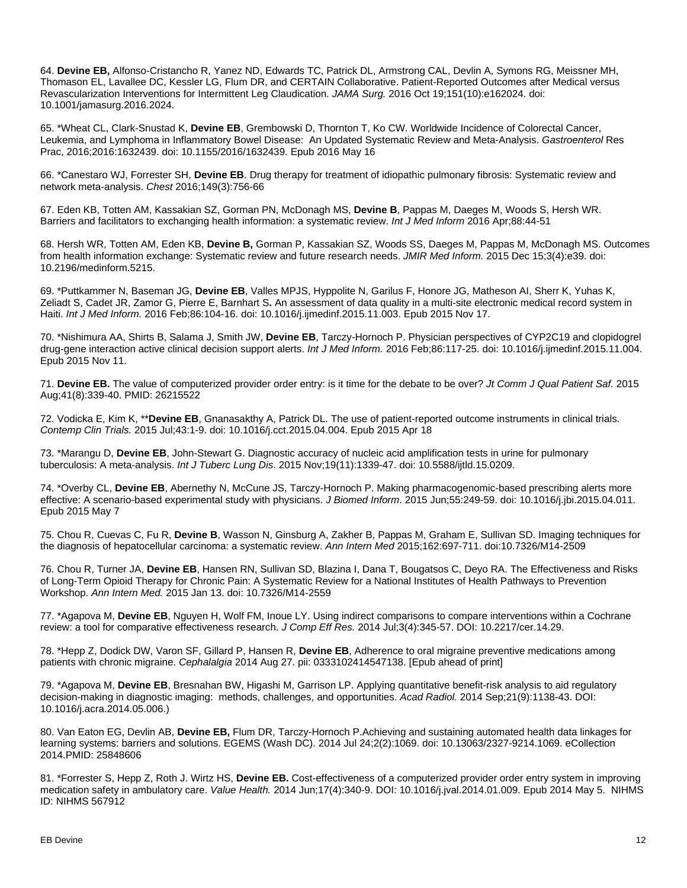64. **Devine EB,** Alfonso-Cristancho R, Yanez ND, Edwards TC, Patrick DL, Armstrong CAL, Devlin A, Symons RG, Meissner MH, Thomason EL, Lavallee DC, Kessler LG, Flum DR, and CERTAIN Collaborative. Patient-Reported Outcomes after Medical versus Revascularization Interventions for Intermittent Leg Claudication. *JAMA Surg.* 2016 Oct 19;151(10):e162024. doi: 10.1001/jamasurg.2016.2024.

65. \*Wheat CL, Clark-Snustad K, **Devine EB**, Grembowski D, Thornton T, Ko CW. Worldwide Incidence of Colorectal Cancer, Leukemia, and Lymphoma in Inflammatory Bowel Disease: An Updated Systematic Review and Meta-Analysis. *Gastroenterol* Res Prac, 2016;2016:1632439. doi: 10.1155/2016/1632439. Epub 2016 May 16

66. \*Canestaro WJ, Forrester SH, **Devine EB**. Drug therapy for treatment of idiopathic pulmonary fibrosis: Systematic review and network meta-analysis. *Chest* 2016;149(3):756-66

67. Eden KB, Totten AM, Kassakian SZ, Gorman PN, McDonagh MS, **Devine B**, Pappas M, Daeges M, Woods S, Hersh WR. Barriers and facilitators to exchanging health information: a systematic review. *Int J Med Inform* 2016 Apr;88:44-51

68. Hersh WR, Totten AM, Eden KB, **Devine B,** Gorman P, Kassakian SZ, Woods SS, Daeges M, Pappas M, McDonagh MS. Outcomes from health information exchange: Systematic review and future research needs. *JMIR Med Inform.* 2015 Dec 15;3(4):e39. doi: 10.2196/medinform.5215.

69. \*Puttkammer N, Baseman JG, **Devine EB**, Valles MPJS, Hyppolite N, Garilus F, Honore JG, Matheson AI, Sherr K, Yuhas K, Zeliadt S, Cadet JR, Zamor G, Pierre E, Barnhart S**.** An assessment of data quality in a multi-site electronic medical record system in Haiti. *Int J Med Inform.* 2016 Feb;86:104-16. doi: 10.1016/j.ijmedinf.2015.11.003. Epub 2015 Nov 17.

70. \*Nishimura AA, Shirts B, Salama J, Smith JW, **Devine EB**, Tarczy-Hornoch P. Physician perspectives of CYP2C19 and clopidogrel drug-gene interaction active clinical decision support alerts. *Int J Med Inform.* 2016 Feb;86:117-25. doi: 10.1016/j.ijmedinf.2015.11.004. Epub 2015 Nov 11.

71. **Devine EB.** The value of computerized provider order entry: is it time for the debate to be over? *Jt Comm J Qual Patient Saf.* 2015 Aug;41(8):339-40. PMID: 26215522

72. Vodicka E, Kim K, \*\***Devine EB**, Gnanasakthy A, Patrick DL. The use of patient-reported outcome instruments in clinical trials. *Contemp Clin Trials.* 2015 Jul;43:1-9. doi: 10.1016/j.cct.2015.04.004. Epub 2015 Apr 18

73. \*Marangu D, **Devine EB**, John-Stewart G. Diagnostic accuracy of nucleic acid amplification tests in urine for pulmonary tuberculosis: A meta-analysis. *Int J Tuberc Lung Dis*. 2015 Nov;19(11):1339-47. doi: 10.5588/ijtld.15.0209.

74. \*Overby CL, **Devine EB**, Abernethy N, McCune JS, Tarczy-Hornoch P. Making pharmacogenomic-based prescribing alerts more effective: A scenario-based experimental study with physicians. *J Biomed Inform*. 2015 Jun;55:249-59. doi: 10.1016/j.jbi.2015.04.011. Epub 2015 May 7

75. Chou R, Cuevas C, Fu R, **Devine B**, Wasson N, Ginsburg A, Zakher B, Pappas M, Graham E, Sullivan SD. Imaging techniques for the diagnosis of hepatocellular carcinoma: a systematic review. *Ann Intern Med* 2015;162:697-711. doi:10.7326/M14-2509

76. Chou R, Turner JA, **Devine EB**, Hansen RN, Sullivan SD, Blazina I, Dana T, Bougatsos C, Deyo RA. [The Effectiveness and Risks](http://www.ncbi.nlm.nih.gov/pubmed/25581257)  of Long-Term Opioid Therapy for Chronic Pain: A Systematic [Review for a National Institutes of Health Pathways to Prevention](http://www.ncbi.nlm.nih.gov/pubmed/25581257)  [Workshop.](http://www.ncbi.nlm.nih.gov/pubmed/25581257) *Ann Intern Med.* 2015 Jan 13. doi: 10.7326/M14-2559

77. [\\*Agapova M,](http://www.ncbi.nlm.nih.gov/pubmed?term=Agapova%20M%5BAuthor%5D&cauthor=true&cauthor_uid=25275232) **[Devine](http://www.ncbi.nlm.nih.gov/pubmed?term=Devine%20EB%5BAuthor%5D&cauthor=true&cauthor_uid=25275232) EB**, [Nguyen H,](http://www.ncbi.nlm.nih.gov/pubmed?term=Nguyen%20H%5BAuthor%5D&cauthor=true&cauthor_uid=25275232) [Wolf FM,](http://www.ncbi.nlm.nih.gov/pubmed?term=Wolf%20FM%5BAuthor%5D&cauthor=true&cauthor_uid=25275232) [Inoue LY.](http://www.ncbi.nlm.nih.gov/pubmed?term=Inoue%20LY%5BAuthor%5D&cauthor=true&cauthor_uid=25275232) Using indirect comparisons to compare interventions within a Cochrane review: a tool for comparative effectiveness research. *[J Comp Eff Res.](http://www.ncbi.nlm.nih.gov/pubmed/25275232)* 2014 Jul;3(4):345-57. DOI: 10.2217/cer.14.29.

78. \*Hepp Z, Dodick DW, Varon SF, Gillard P, Hansen R, **Devine EB**, Adherence to oral migraine preventive medications among patients with chronic migraine. *Cephalalgia* 2014 Aug 27. pii: 0333102414547138. [Epub ahead of print]

79. \*Agapova M, **Devine EB**, Bresnahan BW, Higashi M, Garrison LP. Applying quantitative benefit-risk analysis to aid regulatory decision-making in diagnostic imaging: methods, challenges, and opportunities. *Acad Radiol.* 2014 Sep;21(9):1138-43. DOI: 10.1016/j.acra.2014.05.006.)

80. Van Eaton EG, Devlin AB, **Devine EB,** Flum DR, Tarczy-Hornoch P[.Achieving and sustaining automated health data linkages for](https://pubmed.ncbi.nlm.nih.gov/25848606/)  [learning systems: barriers and solutions.](https://pubmed.ncbi.nlm.nih.gov/25848606/) EGEMS (Wash DC). 2014 Jul 24;2(2):1069. doi: 10.13063/2327-9214.1069. eCollection 2014.PMID: 25848606

81. \*Forrester S, Hepp Z, Roth J. Wirtz HS, **Devine EB.** Cost-effectiveness of a computerized provider order entry system in improving medication safety in ambulatory care. *[Value Health.](http://www.ncbi.nlm.nih.gov/pubmed/?term=Forrester+S%2C+Hepp+Z%2C+Roth+J.+Wirtz+HS%2C+Devine+EB.)* 2014 Jun;17(4):340-9. DOI: 10.1016/j.jval.2014.01.009. Epub 2014 May 5. NIHMS ID: NIHMS 567912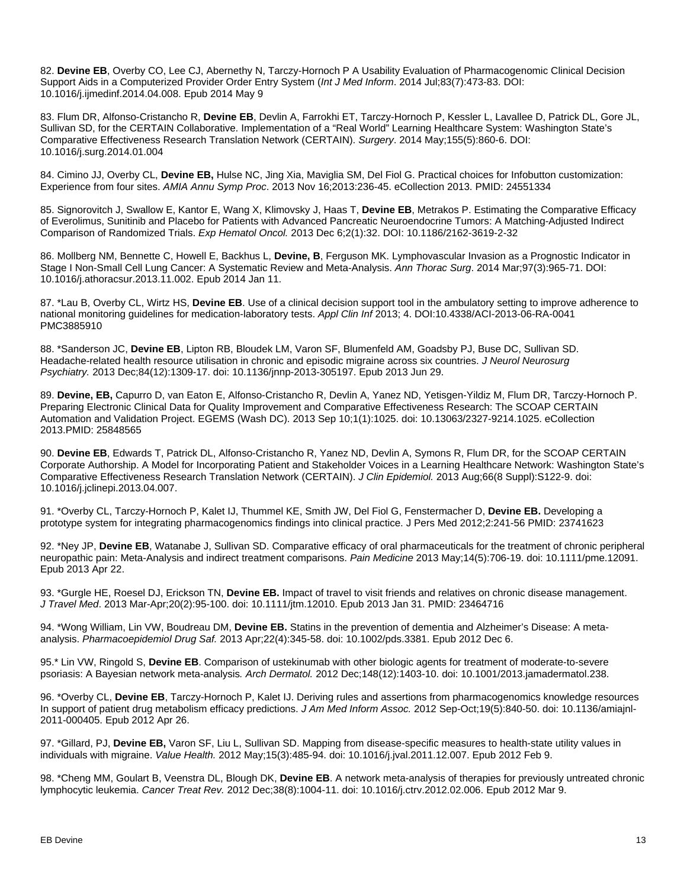82. **Devine EB**, Overby CO, Lee CJ, Abernethy N, Tarczy-Hornoch P A Usability Evaluation of Pharmacogenomic Clinical Decision Support Aids in a Computerized Provider Order Entry System (*Int J Med Inform*. 2014 Jul;83(7):473-83. DOI: 10.1016/j.ijmedinf.2014.04.008. Epub 2014 May 9

83. Flum DR, Alfonso-Cristancho R, **Devine EB**, Devlin A, Farrokhi ET, Tarczy-Hornoch P, Kessler L, Lavallee D, Patrick DL, Gore JL, Sullivan SD, for the CERTAIN Collaborative. Implementation of a "Real World" Learning Healthcare System: Washington State's Comparative Effectiveness Research Translation Network (CERTAIN). *Surgery*. 2014 May;155(5):860-6. DOI: 10.1016/j.surg.2014.01.004

84. Cimino JJ, Overby CL, **Devine EB,** Hulse NC, Jing Xia, Maviglia SM, Del Fiol G. Practical choices for Infobutton customization: Experience from four sites. *AMIA Annu Symp Proc*. 2013 Nov 16;2013:236-45. eCollection 2013. PMID: 24551334

85. Signorovitch J, Swallow E, Kantor E, Wang X, Klimovsky J, Haas T, **Devine EB**, Metrakos P. Estimating the Comparative Efficacy of Everolimus, Sunitinib and Placebo for Patients with Advanced Pancreatic Neuroendocrine Tumors: A Matching-Adjusted Indirect Comparison of Randomized Trials. *Exp Hematol Oncol.* 2013 Dec 6;2(1):32. DOI: 10.1186/2162-3619-2-32

86. Mollberg NM, Bennette C, Howell E, Backhus L, **Devine, B**, Ferguson MK. Lymphovascular Invasion as a Prognostic Indicator in Stage I Non-Small Cell Lung Cancer: A Systematic Review and Meta-Analysis. *Ann Thorac Surg*. 2014 Mar;97(3):965-71. DOI: 10.1016/j.athoracsur.2013.11.002. Epub 2014 Jan 11.

87. \*Lau B, Overby CL, Wirtz HS, **Devine EB**. Use of a clinical decision support tool in the ambulatory setting to improve adherence to national monitoring guidelines for medication-laboratory tests. *Appl Clin Inf* 2013; 4. DOI:10.4338/ACI-2013-06-RA-0041 PMC3885910

88. [\\*Sanderson JC,](http://www.ncbi.nlm.nih.gov/pubmed?term=Sanderson%20JC%5BAuthor%5D&cauthor=true&cauthor_uid=23813744) **[Devine](http://www.ncbi.nlm.nih.gov/pubmed?term=Devine%20EB%5BAuthor%5D&cauthor=true&cauthor_uid=23813744) EB**, [Lipton](http://www.ncbi.nlm.nih.gov/pubmed?term=Lipton%20RB%5BAuthor%5D&cauthor=true&cauthor_uid=23813744) RB, [Bloudek LM,](http://www.ncbi.nlm.nih.gov/pubmed?term=Bloudek%20LM%5BAuthor%5D&cauthor=true&cauthor_uid=23813744) [Varon](http://www.ncbi.nlm.nih.gov/pubmed?term=Varon%20SF%5BAuthor%5D&cauthor=true&cauthor_uid=23813744) SF, [Blumenfeld AM,](http://www.ncbi.nlm.nih.gov/pubmed?term=Blumenfeld%20AM%5BAuthor%5D&cauthor=true&cauthor_uid=23813744) [Goadsby PJ,](http://www.ncbi.nlm.nih.gov/pubmed?term=Goadsby%20PJ%5BAuthor%5D&cauthor=true&cauthor_uid=23813744) [Buse DC,](http://www.ncbi.nlm.nih.gov/pubmed?term=Buse%20DC%5BAuthor%5D&cauthor=true&cauthor_uid=23813744) [Sullivan SD.](http://www.ncbi.nlm.nih.gov/pubmed?term=Sullivan%20SD%5BAuthor%5D&cauthor=true&cauthor_uid=23813744) Headache-related health resource utilisation in chronic and episodic migraine across six countries. *[J Neurol Neurosurg](http://www.ncbi.nlm.nih.gov/pubmed/23813744)  [Psychiatry.](http://www.ncbi.nlm.nih.gov/pubmed/23813744)* 2013 Dec;84(12):1309-17. doi: 10.1136/jnnp-2013-305197. Epub 2013 Jun 29.

89. **Devine, EB,** Capurro D, van Eaton E, Alfonso-Cristancho R, Devlin A, Yanez ND, Yetisgen-Yildiz M, Flum DR, Tarczy-Hornoch P[.](https://pubmed.ncbi.nlm.nih.gov/25848565/) Preparing Electronic Clinical Data [for Quality Improvement and Comparative Effectiveness Research: The SCOAP CERTAIN](https://pubmed.ncbi.nlm.nih.gov/25848565/)  [Automation and Validation Project.](https://pubmed.ncbi.nlm.nih.gov/25848565/) EGEMS (Wash DC). 2013 Sep 10;1(1):1025. doi: 10.13063/2327-9214.1025. eCollection 2013.PMID: 25848565

90. **Devine EB**, Edwards T, Patrick DL, Alfonso-Cristancho R, Yanez ND, Devlin A, Symons R, Flum DR, for the SCOAP CERTAIN Corporate Authorship. A Model for Incorporating Patient and Stakeholder Voices in a Learning Healthcare Network: Washington State's Comparative Effectiveness Research Translation Network (CERTAIN). *[J Clin Epidemiol.](http://www.ncbi.nlm.nih.gov/pubmed/?term=Devine+EB%2C+Edwards+T%2C+Patrick+DL%2C+Alfonso-Cristancho+R%2C+Yanez+ND%2C+Devlin+A%2C+Symons+R%2C+Flum+DR)* 2013 Aug;66(8 Suppl):S122-9. doi: 10.1016/j.jclinepi.2013.04.007.

91. \*Overby CL, Tarczy-Hornoch P, Kalet IJ, Thummel KE, Smith JW, Del Fiol G, Fenstermacher D, **Devine EB.** Developing a prototype system for integrating pharmacogenomics findings into clinical practice. J Pers Med 2012;2:241-56 PMID: 23741623

92. \*Ney JP, **Devine EB**, Watanabe J, Sullivan SD. Comparative efficacy of oral pharmaceuticals for the treatment of chronic peripheral neuropathic pain: Meta-Analysis and indirect treatment comparisons. *Pain Medicine* 2013 May;14(5):706-19. doi: 10.1111/pme.12091. Epub 2013 Apr 22.

93. \*Gurgle HE, Roesel DJ, Erickson TN, **Devine EB.** Impact of travel to visit friends and relatives on chronic disease management. *J Travel Med*. 2013 Mar-Apr;20(2):95-100. doi: 10.1111/jtm.12010. Epub 2013 Jan 31. PMID: 23464716

94. \*Wong William, Lin VW, Boudreau DM, **Devine EB.** Statins in the prevention of dementia and Alzheimer's Disease: A metaanalysis. *[Pharmacoepidemiol Drug Saf.](http://www.ncbi.nlm.nih.gov/pubmed/23225700)* 2013 Apr;22(4):345-58. doi: 10.1002/pds.3381. Epub 2012 Dec 6.

95.\* Lin VW, Ringold S, **Devine EB**. Comparison of ustekinumab with other biologic agents for treatment of moderate-to-severe psoriasis: A Bayesian network meta-analysis*. [Arch Dermatol.](http://www.ncbi.nlm.nih.gov/pubmed/?term=Lin+VW%2C+Ringold+S%2C+Devine+EB.+Comparison+of+ustekinumab+with+other+biologic+agents+for+treatment+of+moderate-to-severe+psoriasis%3A+A+Bayesian+network+meta-analysis)* 2012 Dec;148(12):1403-10. doi: 10.1001/2013.jamadermatol.238.

96. \*Overby CL, **Devine EB**, Tarczy-Hornoch P, Kalet IJ. Deriving rules and assertions from pharmacogenomics knowledge resources In support of patient drug metabolism efficacy predictions. *[J Am Med Inform Assoc.](http://www.ncbi.nlm.nih.gov/pubmed/22539082)* 2012 Sep-Oct;19(5):840-50. doi: 10.1136/amiajnl-2011-000405. Epub 2012 Apr 26.

97. \*Gillard, PJ, **Devine EB,** Varon SF, Liu L, Sullivan SD. Mapping from disease-specific measures to health-state utility values in individuals with migraine. *[Value Health.](http://www.ncbi.nlm.nih.gov/pubmed/22583459)* 2012 May;15(3):485-94. doi: 10.1016/j.jval.2011.12.007. Epub 2012 Feb 9.

98. \*Cheng MM, Goulart B, Veenstra DL, Blough DK, **Devine EB**. A network meta-analysis of therapies for previously untreated chronic lymphocytic leukemia. *[Cancer Treat](http://www.ncbi.nlm.nih.gov/pubmed/?term=*Cheng+MM%2C+Blough+DK%2C+Goulart+B%2C+Veenstra+DL%2C+Devine+EB) Rev.* 2012 Dec;38(8):1004-11. doi: 10.1016/j.ctrv.2012.02.006. Epub 2012 Mar 9.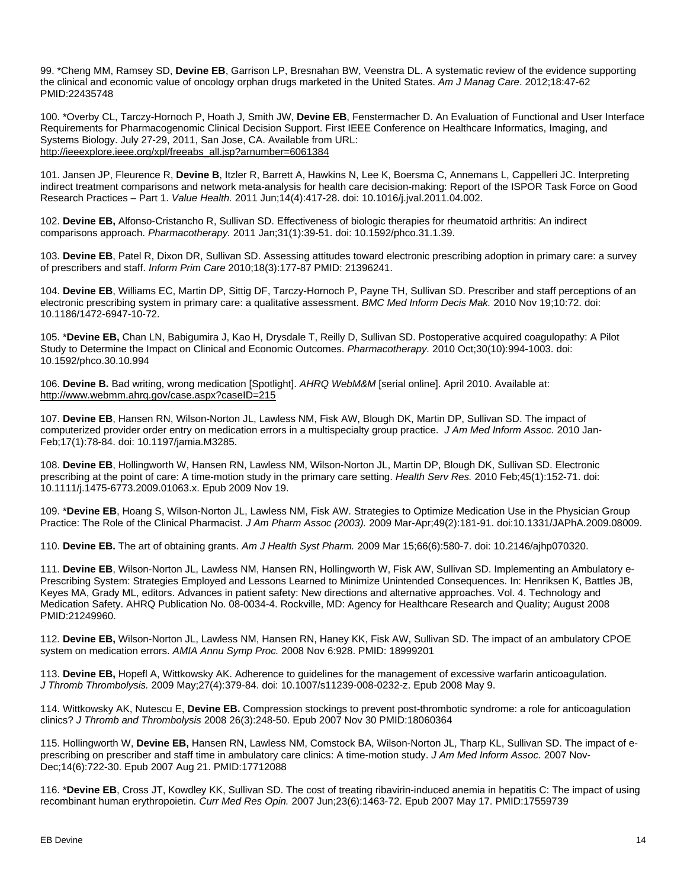99. \*Cheng MM, Ramsey SD, **Devine EB**, Garrison LP, Bresnahan BW, Veenstra DL. A systematic review of the evidence supporting the clinical and economic value of oncology orphan drugs marketed in the United States. *Am J Manag Care*. 2012;18:47-62 PMID:22435748

100. \*Overby CL, Tarczy-Hornoch P, Hoath J, Smith JW, **Devine EB**, Fenstermacher D. An Evaluation of Functional and User Interface Requirements for Pharmacogenomic Clinical Decision Support. First IEEE Conference on Healthcare Informatics, Imaging, and Systems Biology. July 27-29, 2011, San Jose, CA. Available from URL: [http://ieeexplore.ieee.org/xpl/freeabs\\_all.jsp?arnumber=6061384](http://ieeexplore.ieee.org/xpl/freeabs_all.jsp?arnumber=6061384)

101. Jansen JP, Fleurence R, **Devine B**, Itzler R, Barrett A, Hawkins N, Lee K, Boersma C, Annemans L, Cappelleri JC. Interpreting indirect treatment comparisons and network meta-analysis for health care decision-making: Report of the ISPOR Task Force on Good Research Practices – Part 1. *[Value Health.](http://www.ncbi.nlm.nih.gov/pubmed/21669366)* 2011 Jun;14(4):417-28. doi: 10.1016/j.jval.2011.04.002.

102. **Devine EB,** Alfonso-Cristancho R, Sullivan SD. Effectiveness of biologic therapies for rheumatoid arthritis: An indirect comparisons approach. *[Pharmacotherapy.](http://www.ncbi.nlm.nih.gov/pubmed/21182357)* 2011 Jan;31(1):39-51. doi: 10.1592/phco.31.1.39.

103. **Devine EB**, Patel R, Dixon DR, Sullivan SD. Assessing attitudes toward electronic prescribing adoption in primary care: a survey of prescribers and staff. *Inform Prim Care* 2010;18(3):177-87 PMID: 21396241.

104. **Devine EB**, Williams EC, Martin DP, Sittig DF, Tarczy-Hornoch P, Payne TH, Sullivan SD. Prescriber and staff perceptions of an electronic prescribing system in primary care: a qualitative assessment. *[BMC Med Inform Decis Mak.](http://www.ncbi.nlm.nih.gov/pubmed/?term=Prescriber+and+staff+perceptions+of+a+computerized+provider+order+entry+system+in+primary+care%3A+A+qualitative+study)* 2010 Nov 19;10:72. doi: 10.1186/1472-6947-10-72.

105. \***Devine EB,** Chan LN, Babigumira J, Kao H, Drysdale T, Reilly D, Sullivan SD. Postoperative acquired coagulopathy: A Pilot Study to Determine the Impact on Clinical and Economic Outcomes. *[Pharmacotherapy.](http://www.ncbi.nlm.nih.gov/pubmed/?term=Devine+EB%2C+Chan+LN%2C+Babigumira+J%2C+Kao+H%2C+Drysdale+T%2C+Reilly+D%2C+McNeely+M%2C+Sullivan+SD)* 2010 Oct;30(10):994-1003. doi: 10.1592/phco.30.10.994

106. **Devine B.** Bad writing, wrong medication [Spotlight]. *AHRQ WebM&M* [serial online]. April 2010. Available at: <http://www.webmm.ahrq.gov/case.aspx?caseID=215>

107. **Devine EB**, Hansen RN, Wilson-Norton JL, Lawless NM, Fisk AW, Blough DK, Martin DP, Sullivan SD. The impact of computerized provider order entry on medication errors in a multispecialty group practice. *J Am Med [Inform Assoc.](http://www.ncbi.nlm.nih.gov/pubmed/?term=The+impact+of+computerized+provider+order+entry+on+medication+errors+in+a+multispecialty+group+practice)* 2010 Jan-Feb;17(1):78-84. doi: 10.1197/jamia.M3285.

108. **Devine EB**, Hollingworth W, Hansen RN, Lawless NM, Wilson-Norton JL, Martin DP, Blough DK, Sullivan SD. Electronic prescribing at the point of care: A time-motion study in the primary care setting. *[Health Serv Res.](http://www.ncbi.nlm.nih.gov/pubmed/?term=Electronic+prescribing+at+the+point+of+care%3A+A+time-motion+study+in+the+primary+care+setting)* 2010 Feb;45(1):152-71. doi: 10.1111/j.1475-6773.2009.01063.x. Epub 2009 Nov 19.

109. \***Devine EB**, Hoang S, Wilson-Norton JL, Lawless NM, Fisk AW. Strategies to Optimize Medication Use in the Physician Group Practice: The Role of the Clinical Pharmacist. *[J Am Pharm Assoc \(2003\).](http://www.ncbi.nlm.nih.gov/pubmed/?term=Devine+EB%2C+Hoang+S%2C+Wilson-Norton+JL%2C+Lawless+NM%2C+Fisk+AW)* 2009 Mar-Apr;49(2):181-91. doi:10.1331/JAPhA.2009.08009.

110. **Devine EB.** The art of obtaining grants. *[Am J Health Syst Pharm.](http://www.ncbi.nlm.nih.gov/pubmed/19265188)* 2009 Mar 15;66(6):580-7. doi: 10.2146/ajhp070320.

111. **Devine EB**, Wilson-Norton JL, Lawless NM, Hansen RN, Hollingworth W, Fisk AW, Sullivan SD. Implementing an Ambulatory e-Prescribing System: Strategies Employed and Lessons Learned to Minimize Unintended Consequences. In: Henriksen K, Battles JB, Keyes MA, Grady ML, editors. Advances in patient safety: New directions and alternative approaches. Vol. 4. Technology and Medication Safety. AHRQ Publication No. 08-0034-4. Rockville, MD: Agency for Healthcare Research and Quality; August 2008 PMID:21249960.

112. **Devine EB,** Wilson-Norton JL, Lawless NM, Hansen RN, Haney KK, Fisk AW, Sullivan SD. The impact of an ambulatory CPOE system on medication errors. *[AMIA Annu Symp Proc.](http://www.ncbi.nlm.nih.gov/pubmed/18999201)* 2008 Nov 6:928. PMID: 18999201

113. **Devine EB,** Hopefl A, Wittkowsky AK. Adherence to guidelines for the management of excessive warfarin anticoagulation. *J [Thromb Thrombolysis.](http://www.ncbi.nlm.nih.gov/pubmed/18465088)* 2009 May;27(4):379-84. doi: 10.1007/s11239-008-0232-z. Epub 2008 May 9.

114. Wittkowsky AK, Nutescu E, **Devine EB.** Compression stockings to prevent post-thrombotic syndrome: a role for anticoagulation clinics? *J Thromb and Thrombolysis* 2008 26(3):248-50. Epub 2007 Nov 30 PMID:18060364

115. Hollingworth W, **Devine EB,** Hansen RN, Lawless NM, Comstock BA, Wilson-Norton JL, Tharp KL, Sullivan SD. The impact of eprescribing on prescriber and staff time in ambulatory care clinics: A time-motion study. *[J Am Med Inform Assoc.](http://www.ncbi.nlm.nih.gov/pubmed/17712088)* 2007 Nov-Dec;14(6):722-30. Epub 2007 Aug 21. PMID:17712088

116. \***Devine EB**, Cross JT, Kowdley KK, Sullivan SD. The cost of treating ribavirin-induced anemia in hepatitis C: The impact of using recombinant human erythropoietin. *[Curr Med Res Opin.](http://www.ncbi.nlm.nih.gov/pubmed/17559739)* 2007 Jun;23(6):1463-72. Epub 2007 May 17. PMID:17559739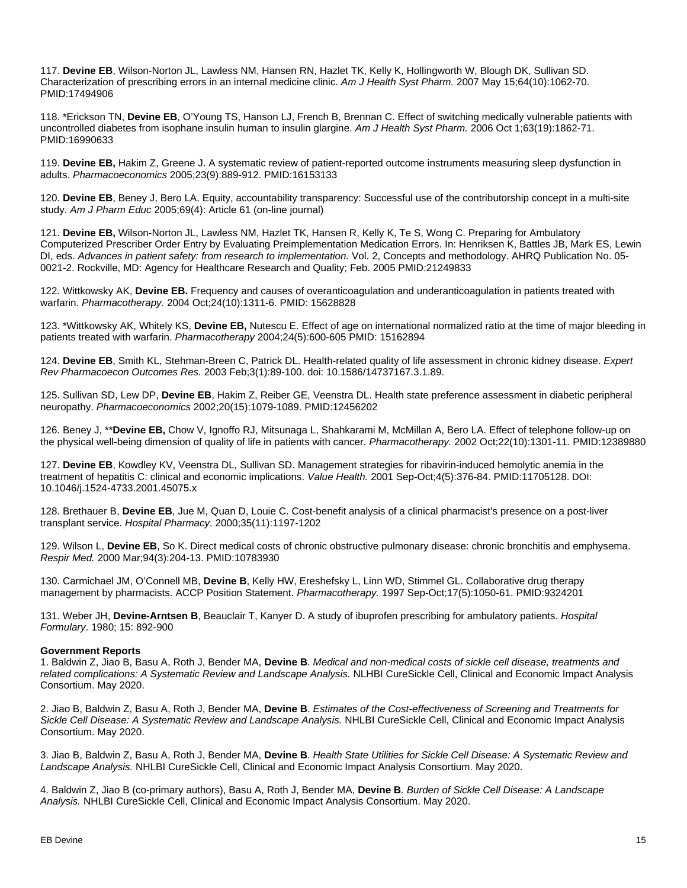117. **Devine EB**, Wilson-Norton JL, Lawless NM, Hansen RN, Hazlet TK, Kelly K, Hollingworth W, Blough DK, Sullivan SD. Characterization of prescribing errors in an internal medicine clinic. *Am J [Health Syst Pharm.](http://www.ncbi.nlm.nih.gov/pubmed/?term=Characterization+of+prescribing+errors+in+an+internal+medicine+clinic)* 2007 May 15;64(10):1062-70. PMID:17494906

118. \*Erickson TN, **Devine EB**, O'Young TS, Hanson LJ, French B, Brennan C. Effect of switching medically vulnerable patients with uncontrolled diabetes from isophane insulin human to insulin glargine. *Am J Health [Syst Pharm.](http://www.ncbi.nlm.nih.gov/pubmed/?term=Effect+of+switching+medically+vulnerable+patients+with+uncontrolled+diabetes+from+isophane+insulin+human+to+insulin+glargine)* 2006 Oct 1;63(19):1862-71. PMID:16990633

119. **Devine EB,** Hakim Z, Greene J. A systematic review of patient-reported outcome instruments measuring sleep dysfunction in adults. *Pharmacoeconomics* 2005;23(9):889-912. PMID:16153133

120. **Devine EB**, Beney J, Bero LA. Equity, accountability transparency: Successful use of the contributorship concept in a multi-site study. *Am J Pharm Educ* 2005;69(4): Article 61 (on-line journal)

121. **Devine EB,** Wilson-Norton JL, Lawless NM, Hazlet TK, Hansen R, Kelly K, Te S, Wong C. Preparing for Ambulatory Computerized Prescriber Order Entry by Evaluating Preimplementation Medication Errors. In: Henriksen K, Battles JB, Mark ES, Lewin DI, eds. *Advances in patient safety: from research to implementation.* Vol. 2, Concepts and methodology. AHRQ Publication No. 05- 0021-2. Rockville, MD: Agency for Healthcare Research and Quality; Feb. 2005 PMID:21249833

122. Wittkowsky AK, **Devine EB.** Frequency and causes of overanticoagulation and underanticoagulation in patients treated with warfarin. *[Pharmacotherapy.](http://www.ncbi.nlm.nih.gov/pubmed/15628828)* 2004 Oct;24(10):1311-6. PMID: 15628828

123. \*Wittkowsky AK, Whitely KS, **Devine EB,** Nutescu E. Effect of age on international normalized ratio at the time of major bleeding in patients treated with warfarin. *Pharmacotherapy* 2004;24(5):600-605 PMID: 15162894

124. **Devine EB**, Smith KL, Stehman-Breen C, Patrick DL. Health-related quality of life assessment in chronic kidney disease. *[Expert](http://www.ncbi.nlm.nih.gov/pubmed/?term=Devine+EB%2C+Smith+KL%2C+Stehman-Breen+C%2C+Patrick+DL)  [Rev Pharmacoecon Outcomes Res.](http://www.ncbi.nlm.nih.gov/pubmed/?term=Devine+EB%2C+Smith+KL%2C+Stehman-Breen+C%2C+Patrick+DL)* 2003 Feb;3(1):89-100. doi: 10.1586/14737167.3.1.89.

125. Sullivan SD, Lew DP, **Devine EB**, Hakim Z, Reiber GE, Veenstra DL. Health state preference assessment in diabetic peripheral neuropathy. *Pharmacoeconomics* 2002;20(15):1079-1089. PMID:12456202

126. Beney J, \*\***Devine EB,** Chow V, Ignoffo RJ, Mitsunaga L, Shahkarami M, McMillan A, Bero LA. Effect of telephone follow-up on the physical well-being dimension of quality of life in patients with cancer. *[Pharmacotherapy.](http://www.ncbi.nlm.nih.gov/pubmed/?term=Effect+of+telephone+follow-up+on+the+physical+well-being+dimension+of+quality+of+life+in+patients+with+cancer)* 2002 Oct;22(10):1301-11. PMID:12389880

127. **Devine EB**, Kowdley KV, Veenstra DL, Sullivan SD. Management strategies for ribavirin-induced hemolytic anemia in the treatment of hepatitis C: clinical and economic implications. *[Value Health.](http://www.ncbi.nlm.nih.gov/pubmed/?term=Management+strategies+for+ribavirin-induced+hemolytic+anemia+in+the+treatment+of+hepatitis+C%3A+clinical+and+economic+implications)* 2001 Sep-Oct;4(5):376-84. PMID:11705128. DOI: [10.1046/j.1524-4733.2001.45075.x](https://doi.org/10.1046/j.1524-4733.2001.45075.x)

128. Brethauer B, **Devine EB**, Jue M, Quan D, Louie C. Cost-benefit analysis of a clinical pharmacist's presence on a post-liver transplant service. *Hospital Pharmacy*. 2000;35(11):1197-1202

129. Wilson L, **Devine EB**, So K. Direct medical costs of chronic obstructive pulmonary disease: chronic bronchitis and emphysema. *[Respir Med.](http://www.ncbi.nlm.nih.gov/pubmed/10783930)* 2000 Mar;94(3):204-13. PMID:10783930

130. Carmichael JM, O'Connell MB, **Devine B**, Kelly HW, Ereshefsky L, Linn WD, Stimmel GL. Collaborative drug therapy management by pharmacists. ACCP Position Statement. *[Pharmacotherapy.](http://www.ncbi.nlm.nih.gov/pubmed/?term=Carmichael+JM%2C+O%E2%80%99Connell+MB%2C+Devine+B%2C+Kelly+HW%2C+Ereshefsky+L%2C+Linn+WD%2C+Stimmel+GL)* 1997 Sep-Oct;17(5):1050-61. PMID:9324201

131. Weber JH, **Devine-Arntsen B**, Beauclair T, Kanyer D. A study of ibuprofen prescribing for ambulatory patients. *Hospital Formulary*. 1980; 15: 892-900

## **Government Reports**

1. Baldwin Z, Jiao B, Basu A, Roth J, Bender MA, **Devine B**. *Medical and non-medical costs of sickle cell disease, treatments and related complications: A Systematic Review and Landscape Analysis.* NLHBI CureSickle Cell, Clinical and Economic Impact Analysis Consortium. May 2020.

2. Jiao B, Baldwin Z, Basu A, Roth J, Bender MA, **Devine B**. *Estimates of the Cost-effectiveness of Screening and Treatments for Sickle Cell Disease: A Systematic Review and Landscape Analysis.* NHLBI CureSickle Cell, Clinical and Economic Impact Analysis Consortium. May 2020.

3. Jiao B, Baldwin Z, Basu A, Roth J, Bender MA, **Devine B**. *Health State Utilities for Sickle Cell Disease: A Systematic Review and Landscape Analysis.* NHLBI CureSickle Cell, Clinical and Economic Impact Analysis Consortium. May 2020.

4. Baldwin Z, Jiao B (co-primary authors), Basu A, Roth J, Bender MA, **Devine B***. Burden of Sickle Cell Disease: A Landscape Analysis.* NHLBI CureSickle Cell, Clinical and Economic Impact Analysis Consortium. May 2020.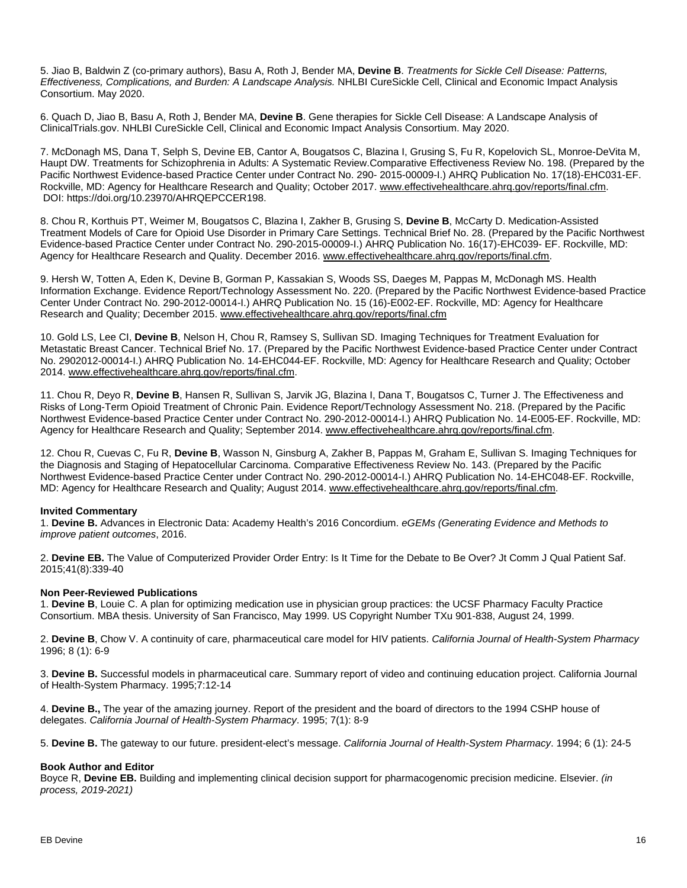5. Jiao B, Baldwin Z (co-primary authors), Basu A, Roth J, Bender MA, **Devine B**. *Treatments for Sickle Cell Disease: Patterns, Effectiveness, Complications, and Burden: A Landscape Analysis.* NHLBI CureSickle Cell, Clinical and Economic Impact Analysis Consortium. May 2020.

6. Quach D, Jiao B, Basu A, Roth J, Bender MA, **Devine B**. Gene therapies for Sickle Cell Disease: A Landscape Analysis of ClinicalTrials.gov. NHLBI CureSickle Cell, Clinical and Economic Impact Analysis Consortium. May 2020.

7. McDonagh MS, Dana T, Selph S, Devine EB, Cantor A, Bougatsos C, Blazina I, Grusing S, Fu R, Kopelovich SL, Monroe-DeVita M, Haupt DW. Treatments for Schizophrenia in Adults: A Systematic Review.Comparative Effectiveness Review No. 198. (Prepared by the Pacific Northwest Evidence-based Practice Center under Contract No. 290- 2015-00009-I.) AHRQ Publication No. 17(18)-EHC031-EF. Rockville, MD: Agency for Healthcare Research and Quality; October 2017[. www.effectivehealthcare.ahrq.gov/reports/final.cfm.](http://www.effectivehealthcare.ahrq.gov/reports/final.cfm) DOI: https://doi.org/10.23970/AHRQEPCCER198.

8. Chou R, Korthuis PT, Weimer M, Bougatsos C, Blazina I, Zakher B, Grusing S, **Devine B**, McCarty D. Medication-Assisted Treatment Models of Care for Opioid Use Disorder in Primary Care Settings. Technical Brief No. 28. (Prepared by the Pacific Northwest Evidence-based Practice Center under Contract No. 290-2015-00009-I.) AHRQ Publication No. 16(17)-EHC039- EF. Rockville, MD: Agency for Healthcare Research and Quality. December 2016. [www.effectivehealthcare.ahrq.gov/reports/final.cfm.](http://www.effectivehealthcare.ahrq.gov/reports/final.cfm)

9. Hersh W, Totten A, Eden K, Devine B, Gorman P, Kassakian S, Woods SS, Daeges M, Pappas M, McDonagh MS. Health Information Exchange. Evidence Report/Technology Assessment No. 220. (Prepared by the Pacific Northwest Evidence-based Practice Center Under Contract No. 290-2012-00014-I.) AHRQ Publication No. 15 (16)-E002-EF. Rockville, MD: Agency for Healthcare Research and Quality; December 2015. [www.effectivehealthcare.ahrq.gov/reports/final.cfm](http://www.effectivehealthcare.ahrq.gov/reports/final.cfm)

10. Gold LS, Lee CI, **Devine B**, Nelson H, Chou R, Ramsey S, Sullivan SD. Imaging Techniques for Treatment Evaluation for Metastatic Breast Cancer. Technical Brief No. 17. (Prepared by the Pacific Northwest Evidence-based Practice Center under Contract No. 2902012-00014-I.) AHRQ Publication No. 14-EHC044-EF. Rockville, MD: Agency for Healthcare Research and Quality; October 2014. [www.effectivehealthcare.ahrq.gov/reports/final.cfm.](http://www.effectivehealthcare.ahrq.gov/reports/final.cfm)

11. Chou R, Deyo R, **Devine B**, Hansen R, Sullivan S, Jarvik JG, Blazina I, Dana T, Bougatsos C, Turner J. The Effectiveness and Risks of Long-Term Opioid Treatment of Chronic Pain. Evidence Report/Technology Assessment No. 218. (Prepared by the Pacific Northwest Evidence-based Practice Center under Contract No. 290-2012-00014-I.) AHRQ Publication No. 14-E005-EF. Rockville, MD: Agency for Healthcare Research and Quality; September 2014. [www.effectivehealthcare.ahrq.gov/reports/final.cfm.](http://www.effectivehealthcare.ahrq.gov/reports/final.cfm)

12. Chou R, Cuevas C, Fu R, **Devine B**, Wasson N, Ginsburg A, Zakher B, Pappas M, Graham E, Sullivan S. Imaging Techniques for the Diagnosis and Staging of Hepatocellular Carcinoma. Comparative Effectiveness Review No. 143. (Prepared by the Pacific Northwest Evidence-based Practice Center under Contract No. 290-2012-00014-I.) AHRQ Publication No. 14-EHC048-EF. Rockville, MD: Agency for Healthcare Research and Quality; August 2014[. www.effectivehealthcare.ahrq.gov/reports/final.cfm.](http://www.effectivehealthcare.ahrq.gov/reports/final.cfm)

## **Invited Commentary**

1. **Devine B.** Advances in Electronic Data: Academy Health's 2016 Concordium. *eGEMs (Generating Evidence and Methods to improve patient outcomes*, 2016.

2. **Devine EB.** [The Value of Computerized Provider Order Entry: Is It Time for the Debate to Be Over?](http://www.ncbi.nlm.nih.gov/pubmed/26215522) Jt Comm J Qual Patient Saf. 2015;41(8):339-40

#### **Non Peer-Reviewed Publications**

1. **Devine B**, Louie C. A plan for optimizing medication use in physician group practices: the UCSF Pharmacy Faculty Practice Consortium. MBA thesis. University of San Francisco, May 1999. US Copyright Number TXu 901-838, August 24, 1999.

2. **Devine B**, Chow V. A continuity of care, pharmaceutical care model for HIV patients. *California Journal of Health-System Pharmacy* 1996; 8 (1): 6-9

3. **Devine B.** Successful models in pharmaceutical care. Summary report of video and continuing education project. California Journal of Health-System Pharmacy. 1995;7:12-14

4. **Devine B.,** The year of the amazing journey. Report of the president and the board of directors to the 1994 CSHP house of delegates. *California Journal of Health-System Pharmacy*. 1995; 7(1): 8-9

5. **Devine B.** The gateway to our future. president-elect's message. *California Journal of Health-System Pharmacy*. 1994; 6 (1): 24-5

## **Book Author and Editor**

Boyce R, **Devine EB.** Building and implementing clinical decision support for pharmacogenomic precision medicine. Elsevier. *(in process, 2019-2021)*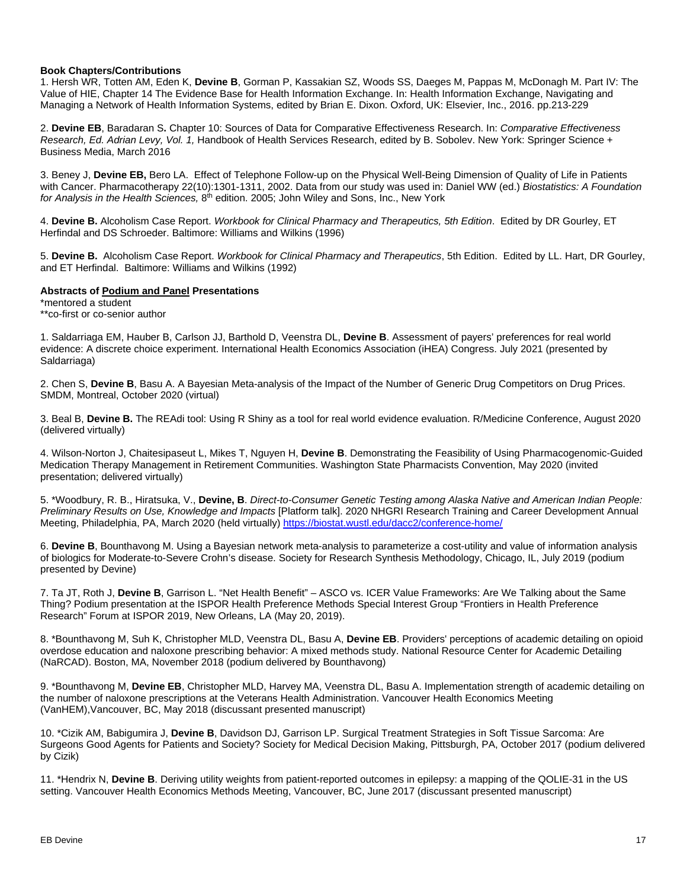### **Book Chapters/Contributions**

1. Hersh WR, Totten AM, Eden K, **Devine B**, Gorman P, Kassakian SZ, Woods SS, Daeges M, Pappas M, McDonagh M. Part IV: The Value of HIE, Chapter 14 The Evidence Base for Health Information Exchange. In: Health Information Exchange, Navigating and Managing a Network of Health Information Systems, edited by Brian E. Dixon. Oxford, UK: Elsevier, Inc., 2016. pp.213-229

2. **Devine EB**, Baradaran S**.** Chapter 10: Sources of Data for Comparative Effectiveness Research. In: *Comparative Effectiveness Research, Ed. Adrian Levy, Vol. 1,* Handbook of Health Services Research, edited by B. Sobolev. New York: Springer Science + Business Media, March 2016

3. Beney J, **Devine EB,** Bero LA. Effect of Telephone Follow-up on the Physical Well-Being Dimension of Quality of Life in Patients with Cancer. Pharmacotherapy 22(10):1301-1311, 2002. Data from our study was used in: Daniel WW (ed.) *Biostatistics: A Foundation*  for Analysis in the Health Sciences, 8<sup>th</sup> edition. 2005; John Wiley and Sons, Inc., New York

4. **Devine B.** Alcoholism Case Report. *Workbook for Clinical Pharmacy and Therapeutics, 5th Edition*. Edited by DR Gourley, ET Herfindal and DS Schroeder. Baltimore: Williams and Wilkins (1996)

5. **Devine B.** Alcoholism Case Report. *Workbook for Clinical Pharmacy and Therapeutics*, 5th Edition. Edited by LL. Hart, DR Gourley, and ET Herfindal. Baltimore: Williams and Wilkins (1992)

#### **Abstracts of Podium and Panel Presentations**

\*mentored a student \*\*co-first or co-senior author

1. Saldarriaga EM, Hauber B, Carlson JJ, Barthold D, Veenstra DL, **Devine B**. Assessment of payers' preferences for real world evidence: A discrete choice experiment. International Health Economics Association (iHEA) Congress. July 2021 (presented by Saldarriaga)

2. Chen S, **Devine B**, Basu A. A Bayesian Meta-analysis of the Impact of the Number of Generic Drug Competitors on Drug Prices. SMDM, Montreal, October 2020 (virtual)

3. Beal B, **Devine B.** The REAdi tool: Using R Shiny as a tool for real world evidence evaluation. R/Medicine Conference, August 2020 (delivered virtually)

4. Wilson-Norton J, Chaitesipaseut L, Mikes T, Nguyen H, **Devine B**. Demonstrating the Feasibility of Using Pharmacogenomic-Guided Medication Therapy Management in Retirement Communities. Washington State Pharmacists Convention, May 2020 (invited presentation; delivered virtually)

5. \*Woodbury, R. B., Hiratsuka, V., **Devine, B**. *Direct-to-Consumer Genetic Testing among Alaska Native and American Indian People: Preliminary Results on Use, Knowledge and Impacts* [Platform talk]. 2020 NHGRI Research Training and Career Development Annual Meeting, Philadelphia, PA, March 2020 (held virtually) <https://biostat.wustl.edu/dacc2/conference-home/>

6. **Devine B**, Bounthavong M. Using a Bayesian network meta-analysis to parameterize a cost-utility and value of information analysis of biologics for Moderate-to-Severe Crohn's disease. Society for Research Synthesis Methodology, Chicago, IL, July 2019 (podium presented by Devine)

7. Ta JT, Roth J, **Devine B**, Garrison L. "Net Health Benefit" – ASCO vs. ICER Value Frameworks: Are We Talking about the Same Thing? Podium presentation at the ISPOR Health Preference Methods Special Interest Group "Frontiers in Health Preference Research" Forum at ISPOR 2019, New Orleans, LA (May 20, 2019).

8. \*Bounthavong M, Suh K, Christopher MLD, Veenstra DL, Basu A, **Devine EB**. Providers' perceptions of academic detailing on opioid overdose education and naloxone prescribing behavior: A mixed methods study. National Resource Center for Academic Detailing (NaRCAD). Boston, MA, November 2018 (podium delivered by Bounthavong)

9. \*Bounthavong M, **Devine EB**, Christopher MLD, Harvey MA, Veenstra DL, Basu A. Implementation strength of academic detailing on the number of naloxone prescriptions at the Veterans Health Administration. Vancouver Health Economics Meeting (VanHEM),Vancouver, BC, May 2018 (discussant presented manuscript)

10. \*Cizik AM, Babigumira J, **Devine B**, Davidson DJ, Garrison LP. Surgical Treatment Strategies in Soft Tissue Sarcoma: Are Surgeons Good Agents for Patients and Society? Society for Medical Decision Making, Pittsburgh, PA, October 2017 (podium delivered by Cizik)

11. \*Hendrix N, **Devine B**. Deriving utility weights from patient-reported outcomes in epilepsy: a mapping of the QOLIE-31 in the US setting. Vancouver Health Economics Methods Meeting, Vancouver, BC, June 2017 (discussant presented manuscript)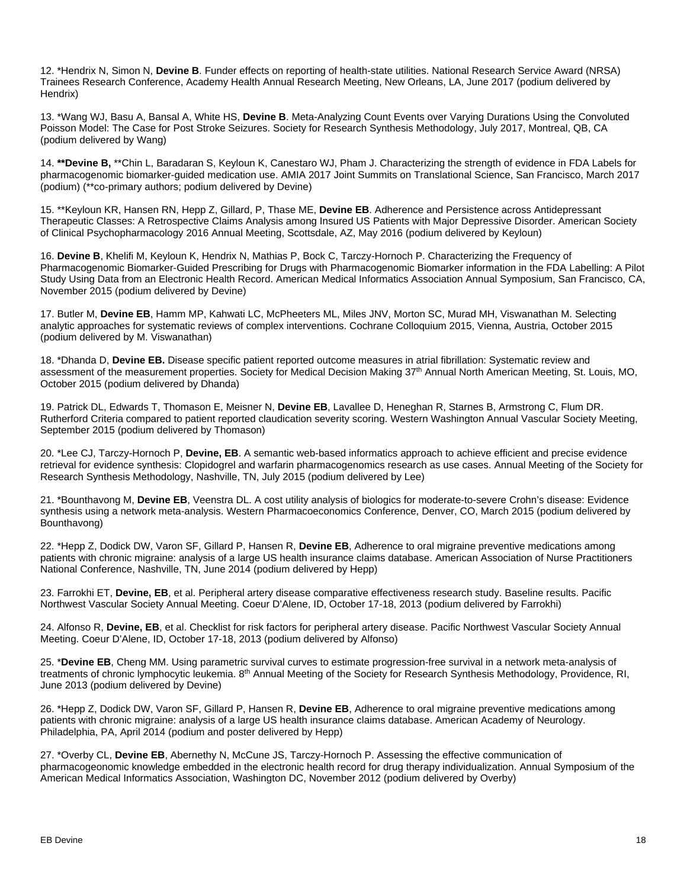12. \*Hendrix N, Simon N, **Devine B**. Funder effects on reporting of health-state utilities. National Research Service Award (NRSA) Trainees Research Conference, Academy Health Annual Research Meeting, New Orleans, LA, June 2017 (podium delivered by Hendrix)

13. \*Wang WJ, Basu A, Bansal A, White HS, **Devine B**. Meta-Analyzing Count Events over Varying Durations Using the Convoluted Poisson Model: The Case for Post Stroke Seizures. Society for Research Synthesis Methodology, July 2017, Montreal, QB, CA (podium delivered by Wang)

14. **\*\*Devine B,** \*\*Chin L, Baradaran S, Keyloun K, Canestaro WJ, Pham J. Characterizing the strength of evidence in FDA Labels for pharmacogenomic biomarker-guided medication use. AMIA 2017 Joint Summits on Translational Science, San Francisco, March 2017 (podium) (\*\*co-primary authors; podium delivered by Devine)

15. \*\*Keyloun KR, Hansen RN, Hepp Z, Gillard, P, Thase ME, **Devine EB**. Adherence and Persistence across Antidepressant Therapeutic Classes: A Retrospective Claims Analysis among Insured US Patients with Major Depressive Disorder. American Society of Clinical Psychopharmacology 2016 Annual Meeting, Scottsdale, AZ, May 2016 (podium delivered by Keyloun)

16. **Devine B**, Khelifi M, Keyloun K, Hendrix N, Mathias P, Bock C, Tarczy-Hornoch P. Characterizing the Frequency of Pharmacogenomic Biomarker-Guided Prescribing for Drugs with Pharmacogenomic Biomarker information in the FDA Labelling: A Pilot Study Using Data from an Electronic Health Record. American Medical Informatics Association Annual Symposium, San Francisco, CA, November 2015 (podium delivered by Devine)

17. Butler M, **Devine EB**, Hamm MP, Kahwati LC, McPheeters ML, Miles JNV, Morton SC, Murad MH, Viswanathan M. Selecting analytic approaches for systematic reviews of complex interventions. Cochrane Colloquium 2015, Vienna, Austria, October 2015 (podium delivered by M. Viswanathan)

18. \*Dhanda D, **Devine EB.** Disease specific patient reported outcome measures in atrial fibrillation: Systematic review and assessment of the measurement properties. Society for Medical Decision Making 37th Annual North American Meeting, St. Louis, MO, October 2015 (podium delivered by Dhanda)

19. Patrick DL, Edwards T, Thomason E, Meisner N, **Devine EB**, Lavallee D, Heneghan R, Starnes B, Armstrong C, Flum DR. Rutherford Criteria compared to patient reported claudication severity scoring. Western Washington Annual Vascular Society Meeting, September 2015 (podium delivered by Thomason)

20. \*Lee CJ, Tarczy-Hornoch P, **Devine, EB**. A semantic web-based informatics approach to achieve efficient and precise evidence retrieval for evidence synthesis: Clopidogrel and warfarin pharmacogenomics research as use cases. Annual Meeting of the Society for Research Synthesis Methodology, Nashville, TN, July 2015 (podium delivered by Lee)

21. \*Bounthavong M, **Devine EB**, Veenstra DL. A cost utility analysis of biologics for moderate-to-severe Crohn's disease: Evidence synthesis using a network meta-analysis. Western Pharmacoeconomics Conference, Denver, CO, March 2015 (podium delivered by Bounthavong)

22. \*Hepp Z, Dodick DW, Varon SF, Gillard P, Hansen R, **Devine EB**, Adherence to oral migraine preventive medications among patients with chronic migraine: analysis of a large US health insurance claims database. American Association of Nurse Practitioners National Conference, Nashville, TN, June 2014 (podium delivered by Hepp)

23. Farrokhi ET, **Devine, EB**, et al. Peripheral artery disease comparative effectiveness research study. Baseline results. Pacific Northwest Vascular Society Annual Meeting. Coeur D'Alene, ID, October 17-18, 2013 (podium delivered by Farrokhi)

24. Alfonso R, **Devine, EB**, et al. Checklist for risk factors for peripheral artery disease. Pacific Northwest Vascular Society Annual Meeting. Coeur D'Alene, ID, October 17-18, 2013 (podium delivered by Alfonso)

25. \***Devine EB**, Cheng MM. Using parametric survival curves to estimate progression-free survival in a network meta-analysis of treatments of chronic lymphocytic leukemia. 8<sup>th</sup> Annual Meeting of the Society for Research Synthesis Methodology, Providence, RI, June 2013 (podium delivered by Devine)

26. \*Hepp Z, Dodick DW, Varon SF, Gillard P, Hansen R, **Devine EB**, Adherence to oral migraine preventive medications among patients with chronic migraine: analysis of a large US health insurance claims database. American Academy of Neurology. Philadelphia, PA, April 2014 (podium and poster delivered by Hepp)

27. \*Overby CL, **Devine EB**, Abernethy N, McCune JS, Tarczy-Hornoch P. Assessing the effective communication of pharmacogeonomic knowledge embedded in the electronic health record for drug therapy individualization. Annual Symposium of the American Medical Informatics Association, Washington DC, November 2012 (podium delivered by Overby)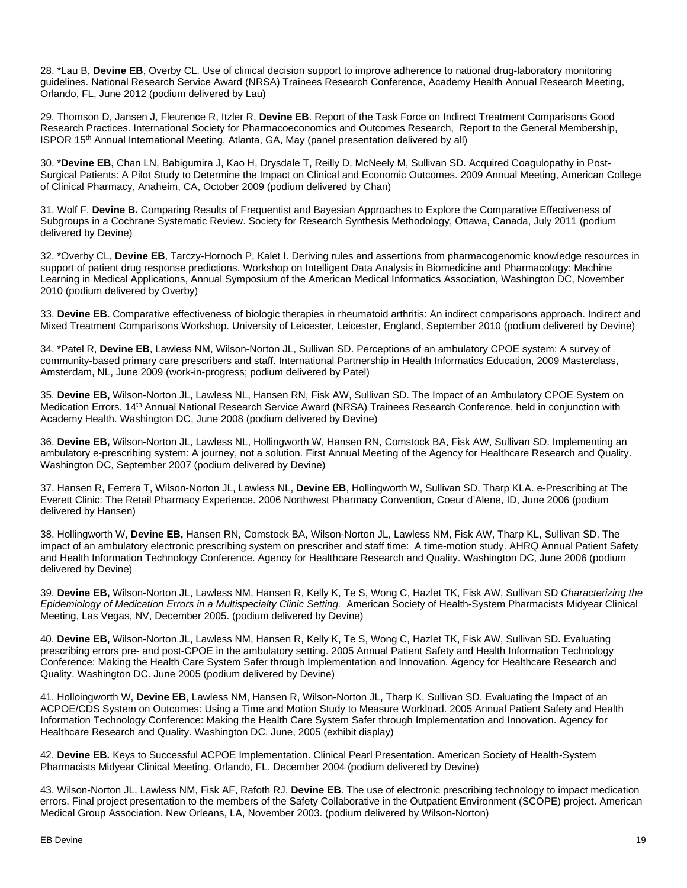28. \*Lau B, **Devine EB**, Overby CL. Use of clinical decision support to improve adherence to national drug-laboratory monitoring guidelines. National Research Service Award (NRSA) Trainees Research Conference, Academy Health Annual Research Meeting, Orlando, FL, June 2012 (podium delivered by Lau)

29. Thomson D, Jansen J, Fleurence R, Itzler R, **Devine EB**. Report of the Task Force on Indirect Treatment Comparisons Good Research Practices. International Society for Pharmacoeconomics and Outcomes Research, Report to the General Membership, ISPOR 15th Annual International Meeting, Atlanta, GA, May (panel presentation delivered by all)

30. \***Devine EB,** Chan LN, Babigumira J, Kao H, Drysdale T, Reilly D, McNeely M, Sullivan SD. Acquired Coagulopathy in Post-Surgical Patients: A Pilot Study to Determine the Impact on Clinical and Economic Outcomes. 2009 Annual Meeting, American College of Clinical Pharmacy, Anaheim, CA, October 2009 (podium delivered by Chan)

31. Wolf F, **Devine B.** Comparing Results of Frequentist and Bayesian Approaches to Explore the Comparative Effectiveness of Subgroups in a Cochrane Systematic Review. Society for Research Synthesis Methodology, Ottawa, Canada, July 2011 (podium delivered by Devine)

32. \*Overby CL, **Devine EB**, Tarczy-Hornoch P, Kalet I. Deriving rules and assertions from pharmacogenomic knowledge resources in support of patient drug response predictions. Workshop on Intelligent Data Analysis in Biomedicine and Pharmacology: Machine Learning in Medical Applications, Annual Symposium of the American Medical Informatics Association, Washington DC, November 2010 (podium delivered by Overby)

33. **Devine EB.** Comparative effectiveness of biologic therapies in rheumatoid arthritis: An indirect comparisons approach. Indirect and Mixed Treatment Comparisons Workshop. University of Leicester, Leicester, England, September 2010 (podium delivered by Devine)

34. \*Patel R, **Devine EB**, Lawless NM, Wilson-Norton JL, Sullivan SD. Perceptions of an ambulatory CPOE system: A survey of community-based primary care prescribers and staff. International Partnership in Health Informatics Education, 2009 Masterclass, Amsterdam, NL, June 2009 (work-in-progress; podium delivered by Patel)

35. **Devine EB,** Wilson-Norton JL, Lawless NL, Hansen RN, Fisk AW, Sullivan SD. The Impact of an Ambulatory CPOE System on Medication Errors. 14th Annual National Research Service Award (NRSA) Trainees Research Conference, held in conjunction with Academy Health. Washington DC, June 2008 (podium delivered by Devine)

36. **Devine EB,** Wilson-Norton JL, Lawless NL, Hollingworth W, Hansen RN, Comstock BA, Fisk AW, Sullivan SD. Implementing an ambulatory e-prescribing system: A journey, not a solution. First Annual Meeting of the Agency for Healthcare Research and Quality. Washington DC, September 2007 (podium delivered by Devine)

37. Hansen R, Ferrera T, Wilson-Norton JL, Lawless NL, **Devine EB**, Hollingworth W, Sullivan SD, Tharp KLA. e-Prescribing at The Everett Clinic: The Retail Pharmacy Experience. 2006 Northwest Pharmacy Convention, Coeur d'Alene, ID, June 2006 (podium delivered by Hansen)

38. Hollingworth W, **Devine EB,** Hansen RN, Comstock BA, Wilson-Norton JL, Lawless NM, Fisk AW, Tharp KL, Sullivan SD. The impact of an ambulatory electronic prescribing system on prescriber and staff time: A time-motion study. AHRQ Annual Patient Safety and Health Information Technology Conference. Agency for Healthcare Research and Quality. Washington DC, June 2006 (podium delivered by Devine)

39. **Devine EB,** Wilson-Norton JL, Lawless NM, Hansen R, Kelly K, Te S, Wong C, Hazlet TK, Fisk AW, Sullivan SD *Characterizing the Epidemiology of Medication Errors in a Multispecialty Clinic Setting.* American Society of Health-System Pharmacists Midyear Clinical Meeting, Las Vegas, NV, December 2005. (podium delivered by Devine)

40. **Devine EB,** Wilson-Norton JL, Lawless NM, Hansen R, Kelly K, Te S, Wong C, Hazlet TK, Fisk AW, Sullivan SD**.** Evaluating prescribing errors pre- and post-CPOE in the ambulatory setting. 2005 Annual Patient Safety and Health Information Technology Conference: Making the Health Care System Safer through Implementation and Innovation. Agency for Healthcare Research and Quality. Washington DC. June 2005 (podium delivered by Devine)

41. Holloingworth W, **Devine EB**, Lawless NM, Hansen R, Wilson-Norton JL, Tharp K, Sullivan SD. Evaluating the Impact of an ACPOE/CDS System on Outcomes: Using a Time and Motion Study to Measure Workload. 2005 Annual Patient Safety and Health Information Technology Conference: Making the Health Care System Safer through Implementation and Innovation. Agency for Healthcare Research and Quality. Washington DC. June, 2005 (exhibit display)

42. **Devine EB.** Keys to Successful ACPOE Implementation. Clinical Pearl Presentation. American Society of Health-System Pharmacists Midyear Clinical Meeting. Orlando, FL. December 2004 (podium delivered by Devine)

43. Wilson-Norton JL, Lawless NM, Fisk AF, Rafoth RJ, **Devine EB**. The use of electronic prescribing technology to impact medication errors. Final project presentation to the members of the Safety Collaborative in the Outpatient Environment (SCOPE) project. American Medical Group Association. New Orleans, LA, November 2003. (podium delivered by Wilson-Norton)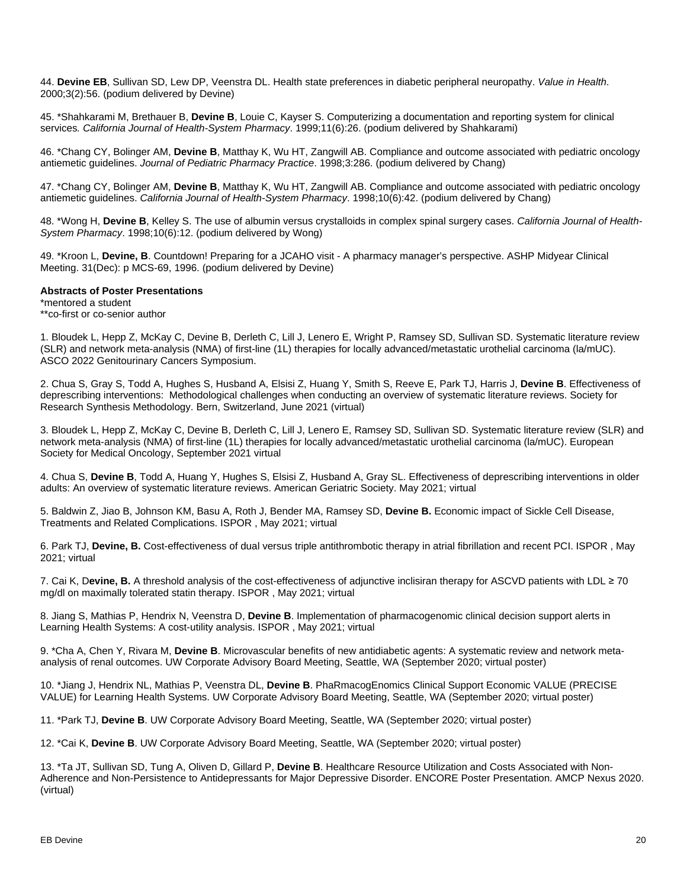44. **Devine EB**, Sullivan SD, Lew DP, Veenstra DL. Health state preferences in diabetic peripheral neuropathy. *Value in Health*. 2000;3(2):56. (podium delivered by Devine)

45. \*Shahkarami M, Brethauer B, **Devine B**, Louie C, Kayser S. Computerizing a documentation and reporting system for clinical services*. California Journal of Health-System Pharmacy*. 1999;11(6):26. (podium delivered by Shahkarami)

46. \*Chang CY, Bolinger AM, **Devine B**, Matthay K, Wu HT, Zangwill AB. Compliance and outcome associated with pediatric oncology antiemetic guidelines. *Journal of Pediatric Pharmacy Practice*. 1998;3:286. (podium delivered by Chang)

47. \*Chang CY, Bolinger AM, **Devine B**, Matthay K, Wu HT, Zangwill AB. Compliance and outcome associated with pediatric oncology antiemetic guidelines. *California Journal of Health-System Pharmacy*. 1998;10(6):42. (podium delivered by Chang)

48. \*Wong H, **Devine B**, Kelley S. The use of albumin versus crystalloids in complex spinal surgery cases. *California Journal of Health-System Pharmacy*. 1998;10(6):12. (podium delivered by Wong)

49. \*Kroon L, **Devine, B**. Countdown! Preparing for a JCAHO visit - A pharmacy manager's perspective. ASHP Midyear Clinical Meeting. 31(Dec): p MCS-69, 1996. (podium delivered by Devine)

#### **Abstracts of Poster Presentations**

\*mentored a student \*\*co-first or co-senior author

1. Bloudek L, Hepp Z, McKay C, Devine B, Derleth C, Lill J, Lenero E, Wright P, Ramsey SD, Sullivan SD. Systematic literature review (SLR) and network meta-analysis (NMA) of first-line (1L) therapies for locally advanced/metastatic urothelial carcinoma (la/mUC). ASCO 2022 Genitourinary Cancers Symposium.

2. Chua S, Gray S, Todd A, Hughes S, Husband A, Elsisi Z, Huang Y, Smith S, Reeve E, Park TJ, Harris J, **Devine B**. Effectiveness of deprescribing interventions: Methodological challenges when conducting an overview of systematic literature reviews. Society for Research Synthesis Methodology. Bern, Switzerland, June 2021 (virtual)

3. Bloudek L, Hepp Z, McKay C, Devine B, Derleth C, Lill J, Lenero E, Ramsey SD, Sullivan SD. Systematic literature review (SLR) and network meta-analysis (NMA) of first-line (1L) therapies for locally advanced/metastatic urothelial carcinoma (la/mUC). European Society for Medical Oncology, September 2021 virtual

4. Chua S, **Devine B**, Todd A, Huang Y, Hughes S, Elsisi Z, Husband A, Gray SL. Effectiveness of deprescribing interventions in older adults: An overview of systematic literature reviews. American Geriatric Society. May 2021; virtual

5. Baldwin Z, Jiao B, Johnson KM, Basu A, Roth J, Bender MA, Ramsey SD, **Devine B.** Economic impact of Sickle Cell Disease, Treatments and Related Complications. ISPOR , May 2021; virtual

6. Park TJ, **Devine, B.** Cost-effectiveness of dual versus triple antithrombotic therapy in atrial fibrillation and recent PCI. ISPOR , May 2021; virtual

7. Cai K, D**evine, B.** A threshold analysis of the cost-effectiveness of adjunctive inclisiran therapy for ASCVD patients with LDL ≥ 70 mg/dl on maximally tolerated statin therapy. ISPOR , May 2021; virtual

8. Jiang S, Mathias P, Hendrix N, Veenstra D, **Devine B**. Implementation of pharmacogenomic clinical decision support alerts in Learning Health Systems: A cost-utility analysis. ISPOR , May 2021; virtual

9. \*Cha A, Chen Y, Rivara M, **Devine B**. Microvascular benefits of new antidiabetic agents: A systematic review and network metaanalysis of renal outcomes. UW Corporate Advisory Board Meeting, Seattle, WA (September 2020; virtual poster)

10. \*Jiang J, Hendrix NL, Mathias P, Veenstra DL, **Devine B**. PhaRmacogEnomics Clinical Support Economic VALUE (PRECISE VALUE) for Learning Health Systems. UW Corporate Advisory Board Meeting, Seattle, WA (September 2020; virtual poster)

11. \*Park TJ, **Devine B**. UW Corporate Advisory Board Meeting, Seattle, WA (September 2020; virtual poster)

12. \*Cai K, **Devine B**. UW Corporate Advisory Board Meeting, Seattle, WA (September 2020; virtual poster)

13. \*Ta JT, Sullivan SD, Tung A, Oliven D, Gillard P, **Devine B**. Healthcare Resource Utilization and Costs Associated with Non-Adherence and Non-Persistence to Antidepressants for Major Depressive Disorder. ENCORE Poster Presentation. AMCP Nexus 2020. (virtual)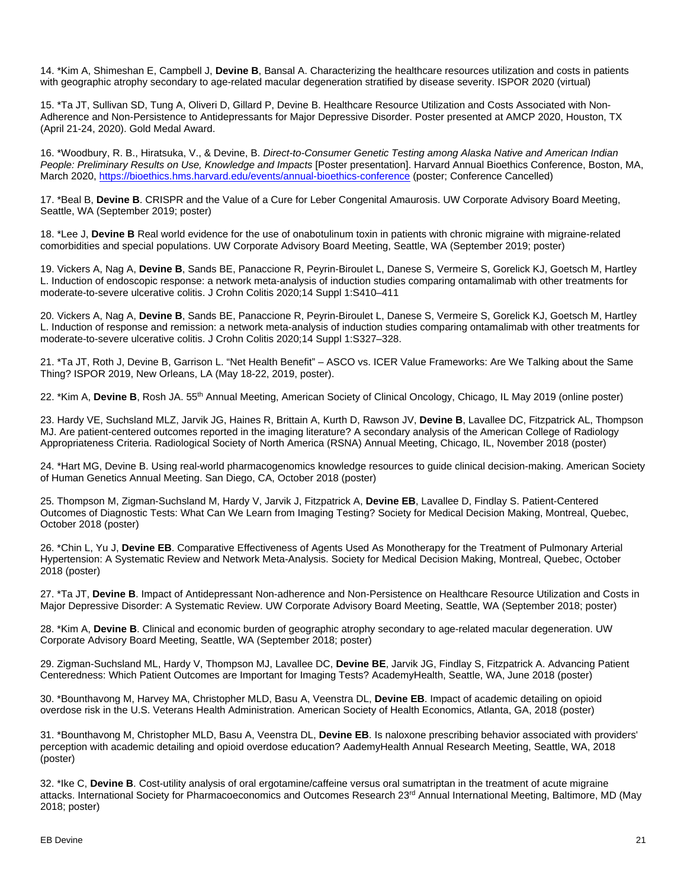14. \*Kim A, Shimeshan E, Campbell J, **Devine B**, Bansal A. Characterizing the healthcare resources utilization and costs in patients with geographic atrophy secondary to age-related macular degeneration stratified by disease severity. ISPOR 2020 (virtual)

15. \*Ta JT, Sullivan SD, Tung A, Oliveri D, Gillard P, Devine B. Healthcare Resource Utilization and Costs Associated with Non-Adherence and Non-Persistence to Antidepressants for Major Depressive Disorder. Poster presented at AMCP 2020, Houston, TX (April 21-24, 2020). Gold Medal Award.

16. \*Woodbury, R. B., Hiratsuka, V., & Devine, B. *Direct-to-Consumer Genetic Testing among Alaska Native and American Indian People: Preliminary Results on Use, Knowledge and Impacts* [Poster presentation]. Harvard Annual Bioethics Conference, Boston, MA, March 2020, <https://bioethics.hms.harvard.edu/events/annual-bioethics-conference> (poster; Conference Cancelled)

17. \*Beal B, **Devine B**. CRISPR and the Value of a Cure for Leber Congenital Amaurosis. UW Corporate Advisory Board Meeting, Seattle, WA (September 2019; poster)

18. \*Lee J, **Devine B** Real world evidence for the use of onabotulinum toxin in patients with chronic migraine with migraine-related comorbidities and special populations. UW Corporate Advisory Board Meeting, Seattle, WA (September 2019; poster)

19. Vickers A, Nag A, **Devine B**, Sands BE, Panaccione R, Peyrin-Biroulet L, Danese S, Vermeire S, Gorelick KJ, Goetsch M, Hartley L. Induction of endoscopic response: a network meta-analysis of induction studies comparing ontamalimab with other treatments for moderate-to-severe ulcerative colitis. J Crohn Colitis 2020;14 Suppl 1:S410–411

20. Vickers A, Nag A, **Devine B**, Sands BE, Panaccione R, Peyrin-Biroulet L, Danese S, Vermeire S, Gorelick KJ, Goetsch M, Hartley L. Induction of response and remission: a network meta-analysis of induction studies comparing ontamalimab with other treatments for moderate-to-severe ulcerative colitis. J Crohn Colitis 2020;14 Suppl 1:S327–328.

21. \*Ta JT, Roth J, Devine B, Garrison L. "Net Health Benefit" – ASCO vs. ICER Value Frameworks: Are We Talking about the Same Thing? ISPOR 2019, New Orleans, LA (May 18-22, 2019, poster).

22. \*Kim A, **Devine B**, Rosh JA. 55th Annual Meeting, American Society of Clinical Oncology, Chicago, IL May 2019 (online poster)

23. Hardy VE, Suchsland MLZ, Jarvik JG, Haines R, Brittain A, Kurth D, Rawson JV, **Devine B**, Lavallee DC, Fitzpatrick AL, Thompson MJ. Are patient-centered outcomes reported in the imaging literature? A secondary analysis of the American College of Radiology Appropriateness Criteria. Radiological Society of North America (RSNA) Annual Meeting, Chicago, IL, November 2018 (poster)

24. \*Hart MG, Devine B. Using real-world pharmacogenomics knowledge resources to guide clinical decision-making. American Society of Human Genetics Annual Meeting. San Diego, CA, October 2018 (poster)

25. Thompson M, Zigman-Suchsland M, Hardy V, Jarvik J, Fitzpatrick A, **Devine EB**, Lavallee D, Findlay S. Patient-Centered Outcomes of Diagnostic Tests: What Can We Learn from Imaging Testing? Society for Medical Decision Making, Montreal, Quebec, October 2018 (poster)

26. \*Chin L, Yu J, **Devine EB**. Comparative Effectiveness of Agents Used As Monotherapy for the Treatment of Pulmonary Arterial Hypertension: A Systematic Review and Network Meta-Analysis. Society for Medical Decision Making, Montreal, Quebec, October 2018 (poster)

27. \*Ta JT, **Devine B**. Impact of Antidepressant Non-adherence and Non-Persistence on Healthcare Resource Utilization and Costs in Major Depressive Disorder: A Systematic Review. UW Corporate Advisory Board Meeting, Seattle, WA (September 2018; poster)

28. \*Kim A, **Devine B**. Clinical and economic burden of geographic atrophy secondary to age-related macular degeneration. UW Corporate Advisory Board Meeting, Seattle, WA (September 2018; poster)

29. Zigman-Suchsland ML, Hardy V, Thompson MJ, Lavallee DC, **Devine BE**, Jarvik JG, Findlay S, Fitzpatrick A. Advancing Patient Centeredness: Which Patient Outcomes are Important for Imaging Tests? AcademyHealth, Seattle, WA, June 2018 (poster)

30. \*Bounthavong M, Harvey MA, Christopher MLD, Basu A, Veenstra DL, **Devine EB**. Impact of academic detailing on opioid overdose risk in the U.S. Veterans Health Administration. American Society of Health Economics, Atlanta, GA, 2018 (poster)

31. \*Bounthavong M, Christopher MLD, Basu A, Veenstra DL, **Devine EB**. Is naloxone prescribing behavior associated with providers' perception with academic detailing and opioid overdose education? AademyHealth Annual Research Meeting, Seattle, WA, 2018 (poster)

32. \*Ike C, **Devine B**. Cost-utility analysis of oral ergotamine/caffeine versus oral sumatriptan in the treatment of acute migraine attacks. International Society for Pharmacoeconomics and Outcomes Research 23<sup>rd</sup> Annual International Meeting, Baltimore, MD (May 2018; poster)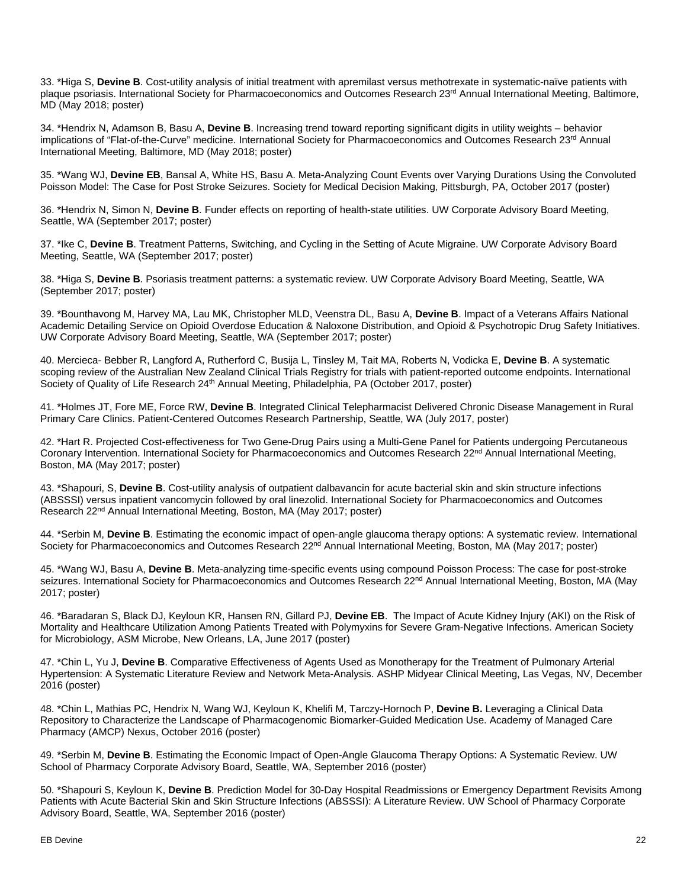33. \*Higa S, **Devine B**. Cost-utility analysis of initial treatment with apremilast versus methotrexate in systematic-naïve patients with plaque psoriasis. International Society for Pharmacoeconomics and Outcomes Research 23<sup>rd</sup> Annual International Meeting, Baltimore, MD (May 2018; poster)

34. \*Hendrix N, Adamson B, Basu A, **Devine B**. Increasing trend toward reporting significant digits in utility weights – behavior implications of "Flat-of-the-Curve" medicine. International Society for Pharmacoeconomics and Outcomes Research 23<sup>rd</sup> Annual International Meeting, Baltimore, MD (May 2018; poster)

35. \*Wang WJ, **Devine EB**, Bansal A, White HS, Basu A. Meta-Analyzing Count Events over Varying Durations Using the Convoluted Poisson Model: The Case for Post Stroke Seizures. Society for Medical Decision Making, Pittsburgh, PA, October 2017 (poster)

36. \*Hendrix N, Simon N, **Devine B**. Funder effects on reporting of health-state utilities. UW Corporate Advisory Board Meeting, Seattle, WA (September 2017; poster)

37. \*Ike C, **Devine B**. Treatment Patterns, Switching, and Cycling in the Setting of Acute Migraine. UW Corporate Advisory Board Meeting, Seattle, WA (September 2017; poster)

38. \*Higa S, **Devine B**. Psoriasis treatment patterns: a systematic review. UW Corporate Advisory Board Meeting, Seattle, WA (September 2017; poster)

39. \*Bounthavong M, Harvey MA, Lau MK, Christopher MLD, Veenstra DL, Basu A, **Devine B**. Impact of a Veterans Affairs National Academic Detailing Service on Opioid Overdose Education & Naloxone Distribution, and Opioid & Psychotropic Drug Safety Initiatives. UW Corporate Advisory Board Meeting, Seattle, WA (September 2017; poster)

40. Mercieca- Bebber R, Langford A, Rutherford C, Busija L, Tinsley M, Tait MA, Roberts N, Vodicka E, **Devine B**. A systematic scoping review of the Australian New Zealand Clinical Trials Registry for trials with patient-reported outcome endpoints. International Society of Quality of Life Research 24<sup>th</sup> Annual Meeting, Philadelphia, PA (October 2017, poster)

41. \*Holmes JT, Fore ME, Force RW, **Devine B**. Integrated Clinical Telepharmacist Delivered Chronic Disease Management in Rural Primary Care Clinics. Patient-Centered Outcomes Research Partnership, Seattle, WA (July 2017, poster)

42. \*Hart R. Projected Cost-effectiveness for Two Gene-Drug Pairs using a Multi-Gene Panel for Patients undergoing Percutaneous Coronary Intervention. International Society for Pharmacoeconomics and Outcomes Research 22<sup>nd</sup> Annual International Meeting, Boston, MA (May 2017; poster)

43. \*Shapouri, S, **Devine B**. Cost-utility analysis of outpatient dalbavancin for acute bacterial skin and skin structure infections (ABSSSI) versus inpatient vancomycin followed by oral linezolid. International Society for Pharmacoeconomics and Outcomes Research 22nd Annual International Meeting, Boston, MA (May 2017; poster)

44. \*Serbin M, **Devine B**. Estimating the economic impact of open-angle glaucoma therapy options: A systematic review. International Society for Pharmacoeconomics and Outcomes Research 22<sup>nd</sup> Annual International Meeting, Boston, MA (May 2017; poster)

45. \*Wang WJ, Basu A, **Devine B**. Meta-analyzing time-specific events using compound Poisson Process: The case for post-stroke seizures. International Society for Pharmacoeconomics and Outcomes Research 22<sup>nd</sup> Annual International Meeting, Boston, MA (May 2017; poster)

46. \*Baradaran S, Black DJ, Keyloun KR, Hansen RN, Gillard PJ, **Devine EB**. The Impact of Acute Kidney Injury (AKI) on the Risk of Mortality and Healthcare Utilization Among Patients Treated with Polymyxins for Severe Gram-Negative Infections. American Society for Microbiology, ASM Microbe, New Orleans, LA, June 2017 (poster)

47. \*Chin L, Yu J, **Devine B**. Comparative Effectiveness of Agents Used as Monotherapy for the Treatment of Pulmonary Arterial Hypertension: A Systematic Literature Review and Network Meta-Analysis. ASHP Midyear Clinical Meeting, Las Vegas, NV, December 2016 (poster)

48. \*Chin L, Mathias PC, Hendrix N, Wang WJ, Keyloun K, Khelifi M, Tarczy-Hornoch P, **Devine B.** Leveraging a Clinical Data Repository to Characterize the Landscape of Pharmacogenomic Biomarker-Guided Medication Use. Academy of Managed Care Pharmacy (AMCP) Nexus, October 2016 (poster)

49. \*Serbin M, **Devine B**. Estimating the Economic Impact of Open-Angle Glaucoma Therapy Options: A Systematic Review. UW School of Pharmacy Corporate Advisory Board, Seattle, WA, September 2016 (poster)

50. \*Shapouri S, Keyloun K, **Devine B**. Prediction Model for 30-Day Hospital Readmissions or Emergency Department Revisits Among Patients with Acute Bacterial Skin and Skin Structure Infections (ABSSSI): A Literature Review. UW School of Pharmacy Corporate Advisory Board, Seattle, WA, September 2016 (poster)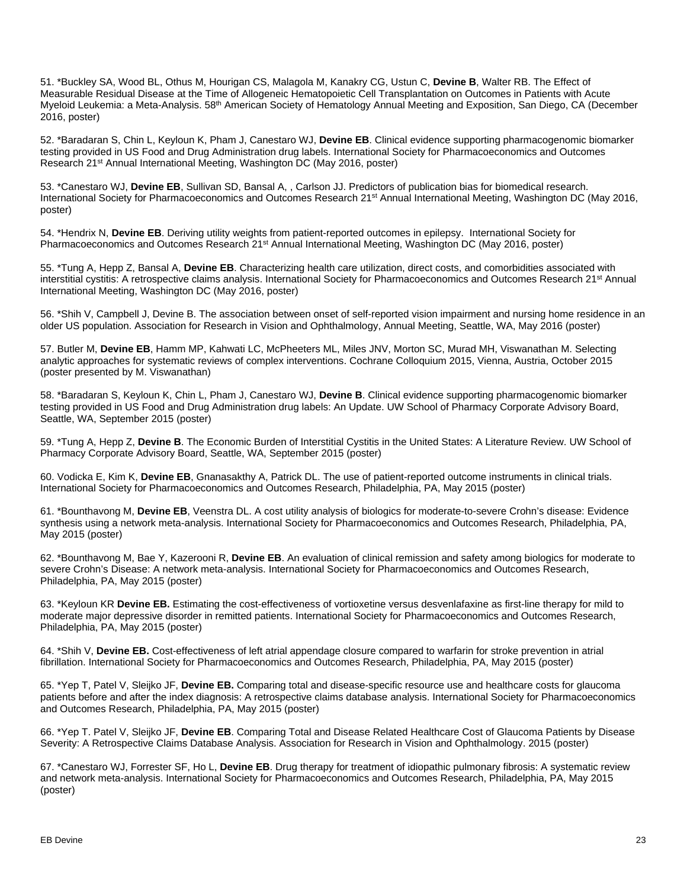51. \*Buckley SA, Wood BL, Othus M, Hourigan CS, Malagola M, Kanakry CG, Ustun C, **Devine B**, Walter RB. The Effect of Measurable Residual Disease at the Time of Allogeneic Hematopoietic Cell Transplantation on Outcomes in Patients with Acute Myeloid Leukemia: a Meta-Analysis. 58th American Society of Hematology Annual Meeting and Exposition, San Diego, CA (December 2016, poster)

52. \*Baradaran S, Chin L, Keyloun K, Pham J, Canestaro WJ, **Devine EB**. Clinical evidence supporting pharmacogenomic biomarker testing provided in US Food and Drug Administration drug labels. International Society for Pharmacoeconomics and Outcomes Research 21st Annual International Meeting, Washington DC (May 2016, poster)

53. \*Canestaro WJ, **Devine EB**, Sullivan SD, Bansal A, , Carlson JJ. Predictors of publication bias for biomedical research. International Society for Pharmacoeconomics and Outcomes Research 21<sup>st</sup> Annual International Meeting, Washington DC (May 2016, poster)

54. \*Hendrix N, **Devine EB**. Deriving utility weights from patient-reported outcomes in epilepsy. International Society for Pharmacoeconomics and Outcomes Research 21<sup>st</sup> Annual International Meeting, Washington DC (May 2016, poster)

55. \*Tung A, Hepp Z, Bansal A, **Devine EB**. Characterizing health care utilization, direct costs, and comorbidities associated with interstitial cystitis: A retrospective claims analysis. International Society for Pharmacoeconomics and Outcomes Research 21<sup>st</sup> Annual International Meeting, Washington DC (May 2016, poster)

56. \*Shih V, Campbell J, Devine B. The association between onset of self-reported vision impairment and nursing home residence in an older US population. Association for Research in Vision and Ophthalmology, Annual Meeting, Seattle, WA, May 2016 (poster)

57. Butler M, **Devine EB**, Hamm MP, Kahwati LC, McPheeters ML, Miles JNV, Morton SC, Murad MH, Viswanathan M. Selecting analytic approaches for systematic reviews of complex interventions. Cochrane Colloquium 2015, Vienna, Austria, October 2015 (poster presented by M. Viswanathan)

58. \*Baradaran S, Keyloun K, Chin L, Pham J, Canestaro WJ, **Devine B**. Clinical evidence supporting pharmacogenomic biomarker testing provided in US Food and Drug Administration drug labels: An Update. UW School of Pharmacy Corporate Advisory Board, Seattle, WA, September 2015 (poster)

59. \*Tung A, Hepp Z, **Devine B**. The Economic Burden of Interstitial Cystitis in the United States: A Literature Review. UW School of Pharmacy Corporate Advisory Board, Seattle, WA, September 2015 (poster)

60. Vodicka E, Kim K, **Devine EB**, Gnanasakthy A, Patrick DL. The use of patient-reported outcome instruments in clinical trials. International Society for Pharmacoeconomics and Outcomes Research, Philadelphia, PA, May 2015 (poster)

61. \*Bounthavong M, **Devine EB**, Veenstra DL. A cost utility analysis of biologics for moderate-to-severe Crohn's disease: Evidence synthesis using a network meta-analysis. International Society for Pharmacoeconomics and Outcomes Research, Philadelphia, PA, May 2015 (poster)

62. \*Bounthavong M, Bae Y, Kazerooni R, **Devine EB**. An evaluation of clinical remission and safety among biologics for moderate to severe Crohn's Disease: A network meta-analysis. International Society for Pharmacoeconomics and Outcomes Research, Philadelphia, PA, May 2015 (poster)

63. \*Keyloun KR **Devine EB.** Estimating the cost-effectiveness of vortioxetine versus desvenlafaxine as first-line therapy for mild to moderate major depressive disorder in remitted patients. International Society for Pharmacoeconomics and Outcomes Research, Philadelphia, PA, May 2015 (poster)

64. \*Shih V, **Devine EB.** Cost-effectiveness of left atrial appendage closure compared to warfarin for stroke prevention in atrial fibrillation. International Society for Pharmacoeconomics and Outcomes Research, Philadelphia, PA, May 2015 (poster)

65. \*Yep T, Patel V, Sleijko JF, **Devine EB.** Comparing total and disease-specific resource use and healthcare costs for glaucoma patients before and after the index diagnosis: A retrospective claims database analysis. International Society for Pharmacoeconomics and Outcomes Research, Philadelphia, PA, May 2015 (poster)

66. \*Yep T. Patel V, Sleijko JF, **Devine EB**. Comparing Total and Disease Related Healthcare Cost of Glaucoma Patients by Disease Severity: A Retrospective Claims Database Analysis. Association for Research in Vision and Ophthalmology. 2015 (poster)

67. \*Canestaro WJ, Forrester SF, Ho L, **Devine EB**. Drug therapy for treatment of idiopathic pulmonary fibrosis: A systematic review and network meta-analysis. International Society for Pharmacoeconomics and Outcomes Research, Philadelphia, PA, May 2015 (poster)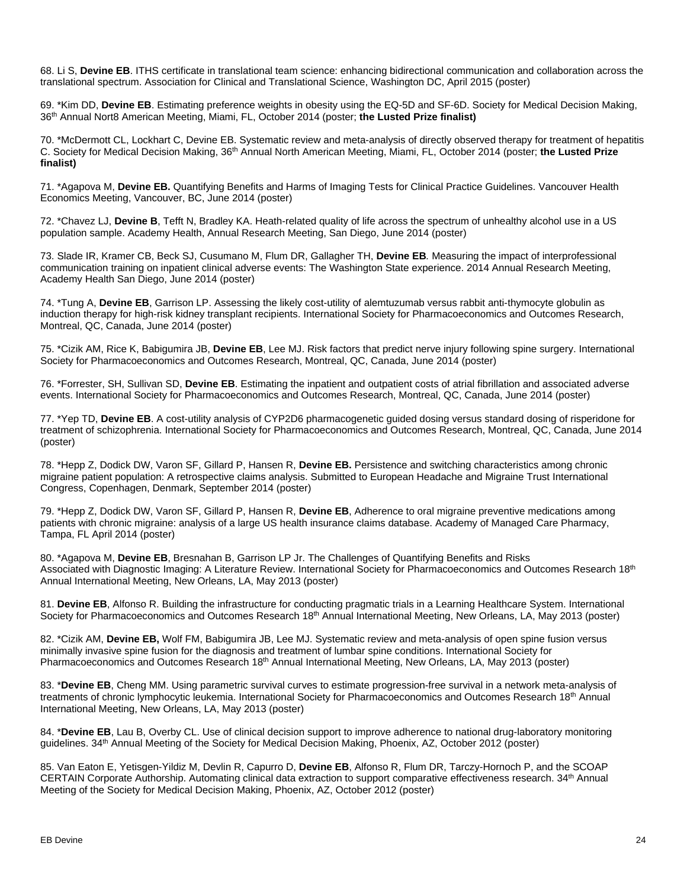68. Li S, **Devine EB**. ITHS certificate in translational team science: enhancing bidirectional communication and collaboration across the translational spectrum. Association for Clinical and Translational Science, Washington DC, April 2015 (poster)

69. \*Kim DD, **Devine EB**. Estimating preference weights in obesity using the EQ-5D and SF-6D. Society for Medical Decision Making, 36th Annual Nort8 American Meeting, Miami, FL, October 2014 (poster; **the Lusted Prize finalist)**

70. \*McDermott CL, Lockhart C, Devine EB. Systematic review and meta-analysis of directly observed therapy for treatment of hepatitis C. Society for Medical Decision Making, 36th Annual North American Meeting, Miami, FL, October 2014 (poster; **the Lusted Prize finalist)**

71. \*Agapova M, **Devine EB.** Quantifying Benefits and Harms of Imaging Tests for Clinical Practice Guidelines. Vancouver Health Economics Meeting, Vancouver, BC, June 2014 (poster)

72. \*Chavez LJ, **Devine B**, Tefft N, Bradley KA. Heath-related quality of life across the spectrum of unhealthy alcohol use in a US population sample. Academy Health, Annual Research Meeting, San Diego, June 2014 (poster)

73. Slade IR, Kramer CB, Beck SJ, Cusumano M, Flum DR, Gallagher TH, **Devine EB***.* Measuring the impact of interprofessional communication training on inpatient clinical adverse events: The Washington State experience. 2014 Annual Research Meeting, Academy Health San Diego, June 2014 (poster)

74. \*Tung A, **Devine EB**, Garrison LP. Assessing the likely cost-utility of alemtuzumab versus rabbit anti-thymocyte globulin as induction therapy for high-risk kidney transplant recipients. International Society for Pharmacoeconomics and Outcomes Research, Montreal, QC, Canada, June 2014 (poster)

75. \*Cizik AM, Rice K, Babigumira JB, **Devine EB**, Lee MJ. Risk factors that predict nerve injury following spine surgery. International Society for Pharmacoeconomics and Outcomes Research, Montreal, QC, Canada, June 2014 (poster)

76. \*Forrester, SH, Sullivan SD, **Devine EB**. Estimating the inpatient and outpatient costs of atrial fibrillation and associated adverse events. International Society for Pharmacoeconomics and Outcomes Research, Montreal, QC, Canada, June 2014 (poster)

77. \*Yep TD, **Devine EB**. A cost-utility analysis of CYP2D6 pharmacogenetic guided dosing versus standard dosing of risperidone for treatment of schizophrenia. International Society for Pharmacoeconomics and Outcomes Research, Montreal, QC, Canada, June 2014 (poster)

78. \*Hepp Z, Dodick DW, Varon SF, Gillard P, Hansen R, **Devine EB.** Persistence and switching characteristics among chronic migraine patient population: A retrospective claims analysis. Submitted to European Headache and Migraine Trust International Congress, Copenhagen, Denmark, September 2014 (poster)

79. \*Hepp Z, Dodick DW, Varon SF, Gillard P, Hansen R, **Devine EB**, Adherence to oral migraine preventive medications among patients with chronic migraine: analysis of a large US health insurance claims database. Academy of Managed Care Pharmacy, Tampa, FL April 2014 (poster)

80. \*Agapova M, **Devine EB**, Bresnahan B, Garrison LP Jr. The Challenges of Quantifying Benefits and Risks Associated with Diagnostic Imaging: A Literature Review. International Society for Pharmacoeconomics and Outcomes Research 18th Annual International Meeting, New Orleans, LA, May 2013 (poster)

81. **Devine EB**, Alfonso R. Building the infrastructure for conducting pragmatic trials in a Learning Healthcare System. International Society for Pharmacoeconomics and Outcomes Research 18<sup>th</sup> Annual International Meeting, New Orleans, LA, May 2013 (poster)

82. \*Cizik AM, **Devine EB,** Wolf FM, Babigumira JB, Lee MJ. Systematic review and meta-analysis of open spine fusion versus minimally invasive spine fusion for the diagnosis and treatment of lumbar spine conditions. International Society for Pharmacoeconomics and Outcomes Research 18<sup>th</sup> Annual International Meeting, New Orleans, LA, May 2013 (poster)

83. \***Devine EB**, Cheng MM. Using parametric survival curves to estimate progression-free survival in a network meta-analysis of treatments of chronic lymphocytic leukemia. International Society for Pharmacoeconomics and Outcomes Research 18<sup>th</sup> Annual International Meeting, New Orleans, LA, May 2013 (poster)

84. \***Devine EB**, Lau B, Overby CL. Use of clinical decision support to improve adherence to national drug-laboratory monitoring guidelines. 34th Annual Meeting of the Society for Medical Decision Making, Phoenix, AZ, October 2012 (poster)

85. Van Eaton E, Yetisgen-Yildiz M, Devlin R, Capurro D, **Devine EB**, Alfonso R, Flum DR, Tarczy-Hornoch P, and the SCOAP CERTAIN Corporate Authorship. Automating clinical data extraction to support comparative effectiveness research. 34th Annual Meeting of the Society for Medical Decision Making, Phoenix, AZ, October 2012 (poster)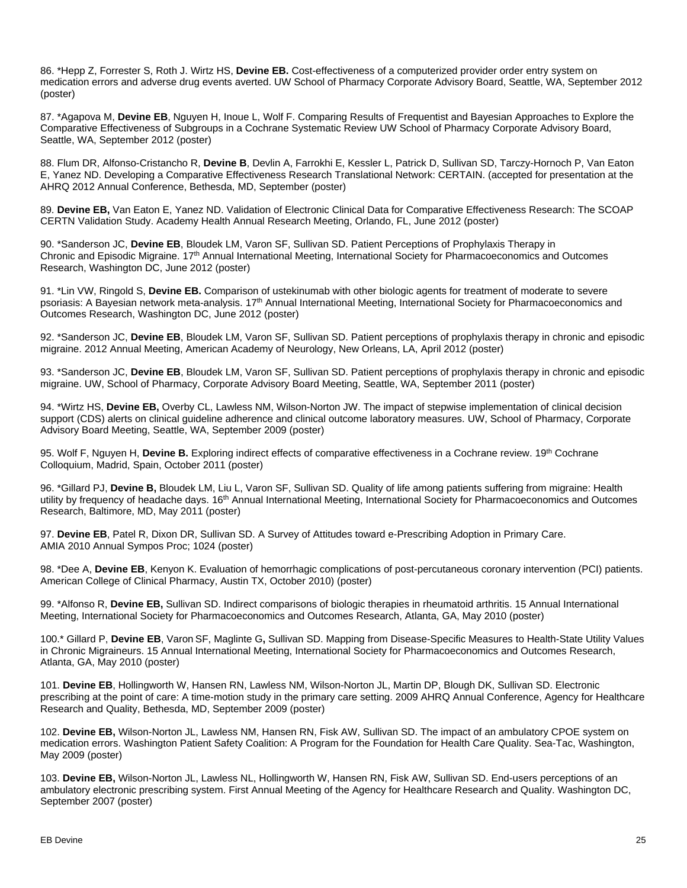86. \*Hepp Z, Forrester S, Roth J. Wirtz HS, **Devine EB.** Cost-effectiveness of a computerized provider order entry system on medication errors and adverse drug events averted. UW School of Pharmacy Corporate Advisory Board, Seattle, WA, September 2012 (poster)

87. \*Agapova M, **Devine EB**, Nguyen H, Inoue L, Wolf F. Comparing Results of Frequentist and Bayesian Approaches to Explore the Comparative Effectiveness of Subgroups in a Cochrane Systematic Review UW School of Pharmacy Corporate Advisory Board, Seattle, WA, September 2012 (poster)

88. Flum DR, Alfonso-Cristancho R, **Devine B**, Devlin A, Farrokhi E, Kessler L, Patrick D, Sullivan SD, Tarczy-Hornoch P, Van Eaton E, Yanez ND. Developing a Comparative Effectiveness Research Translational Network: CERTAIN. (accepted for presentation at the AHRQ 2012 Annual Conference, Bethesda, MD, September (poster)

89. **Devine EB,** Van Eaton E, Yanez ND. Validation of Electronic Clinical Data for Comparative Effectiveness Research: The SCOAP CERTN Validation Study. Academy Health Annual Research Meeting, Orlando, FL, June 2012 (poster)

90. \*Sanderson JC, **Devine EB**, Bloudek LM, Varon SF, Sullivan SD. Patient Perceptions of Prophylaxis Therapy in Chronic and Episodic Migraine. 17th Annual International Meeting, International Society for Pharmacoeconomics and Outcomes Research, Washington DC, June 2012 (poster)

91. \*Lin VW, Ringold S, **Devine EB.** Comparison of ustekinumab with other biologic agents for treatment of moderate to severe psoriasis: A Bayesian network meta-analysis. 17<sup>th</sup> Annual International Meeting, International Society for Pharmacoeconomics and Outcomes Research, Washington DC, June 2012 (poster)

92. \*Sanderson JC, **Devine EB**, Bloudek LM, Varon SF, Sullivan SD. Patient perceptions of prophylaxis therapy in chronic and episodic migraine. 2012 Annual Meeting, American Academy of Neurology, New Orleans, LA, April 2012 (poster)

93. \*Sanderson JC, **Devine EB**, Bloudek LM, Varon SF, Sullivan SD. Patient perceptions of prophylaxis therapy in chronic and episodic migraine. UW, School of Pharmacy, Corporate Advisory Board Meeting, Seattle, WA, September 2011 (poster)

94. \*Wirtz HS, **Devine EB,** Overby CL, Lawless NM, Wilson-Norton JW. The impact of stepwise implementation of clinical decision support (CDS) alerts on clinical guideline adherence and clinical outcome laboratory measures. UW, School of Pharmacy, Corporate Advisory Board Meeting, Seattle, WA, September 2009 (poster)

95. Wolf F, Nguyen H, Devine B, Exploring indirect effects of comparative effectiveness in a Cochrane review. 19<sup>th</sup> Cochrane Colloquium, Madrid, Spain, October 2011 (poster)

96. \*Gillard PJ, **Devine B,** Bloudek LM, Liu L, Varon SF, Sullivan SD. Quality of life among patients suffering from migraine: Health utility by frequency of headache days. 16<sup>th</sup> Annual International Meeting, International Society for Pharmacoeconomics and Outcomes Research, Baltimore, MD, May 2011 (poster)

97. **Devine EB**, Patel R, Dixon DR, Sullivan SD. A Survey of Attitudes toward e-Prescribing Adoption in Primary Care. AMIA 2010 Annual Sympos Proc; 1024 (poster)

98. \*Dee A, **Devine EB**, Kenyon K. Evaluation of hemorrhagic complications of post-percutaneous coronary intervention (PCI) patients. American College of Clinical Pharmacy, Austin TX, October 2010) (poster)

99. \*Alfonso R, **Devine EB,** Sullivan SD. Indirect comparisons of biologic therapies in rheumatoid arthritis. 15 Annual International Meeting, International Society for Pharmacoeconomics and Outcomes Research, Atlanta, GA, May 2010 (poster)

100.\* Gillard P, **Devine EB**, Varon SF, Maglinte G**,** Sullivan SD. Mapping from Disease-Specific Measures to Health-State Utility Values in Chronic Migraineurs. 15 Annual International Meeting, International Society for Pharmacoeconomics and Outcomes Research, Atlanta, GA, May 2010 (poster)

101. **Devine EB**, Hollingworth W, Hansen RN, Lawless NM, Wilson-Norton JL, Martin DP, Blough DK, Sullivan SD. Electronic prescribing at the point of care: A time-motion study in the primary care setting. 2009 AHRQ Annual Conference, Agency for Healthcare Research and Quality, Bethesda, MD, September 2009 (poster)

102. **Devine EB,** Wilson-Norton JL, Lawless NM, Hansen RN, Fisk AW, Sullivan SD. The impact of an ambulatory CPOE system on medication errors. Washington Patient Safety Coalition: A Program for the Foundation for Health Care Quality. Sea-Tac, Washington, May 2009 (poster)

103. **Devine EB,** Wilson-Norton JL, Lawless NL, Hollingworth W, Hansen RN, Fisk AW, Sullivan SD. End-users perceptions of an ambulatory electronic prescribing system. First Annual Meeting of the Agency for Healthcare Research and Quality. Washington DC, September 2007 (poster)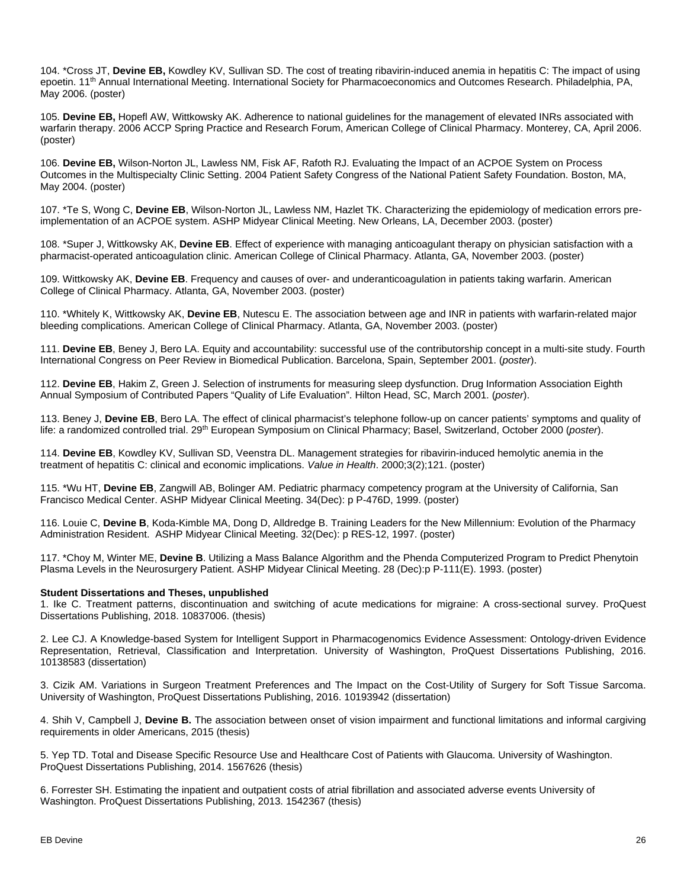104. \*Cross JT, **Devine EB,** Kowdley KV, Sullivan SD. The cost of treating ribavirin-induced anemia in hepatitis C: The impact of using epoetin. 11<sup>th</sup> Annual International Meeting. International Society for Pharmacoeconomics and Outcomes Research. Philadelphia, PA, May 2006. (poster)

105. **Devine EB,** Hopefl AW, Wittkowsky AK. Adherence to national guidelines for the management of elevated INRs associated with warfarin therapy. 2006 ACCP Spring Practice and Research Forum, American College of Clinical Pharmacy. Monterey, CA, April 2006. (poster)

106. **Devine EB,** Wilson-Norton JL, Lawless NM, Fisk AF, Rafoth RJ. Evaluating the Impact of an ACPOE System on Process Outcomes in the Multispecialty Clinic Setting. 2004 Patient Safety Congress of the National Patient Safety Foundation. Boston, MA, May 2004. (poster)

107. \*Te S, Wong C, **Devine EB**, Wilson-Norton JL, Lawless NM, Hazlet TK. Characterizing the epidemiology of medication errors preimplementation of an ACPOE system. ASHP Midyear Clinical Meeting. New Orleans, LA, December 2003. (poster)

108. \*Super J, Wittkowsky AK, **Devine EB**. Effect of experience with managing anticoagulant therapy on physician satisfaction with a pharmacist-operated anticoagulation clinic. American College of Clinical Pharmacy. Atlanta, GA, November 2003. (poster)

109. Wittkowsky AK, **Devine EB**. Frequency and causes of over- and underanticoagulation in patients taking warfarin. American College of Clinical Pharmacy. Atlanta, GA, November 2003. (poster)

110. \*Whitely K, Wittkowsky AK, **Devine EB**, Nutescu E. The association between age and INR in patients with warfarin-related major bleeding complications. American College of Clinical Pharmacy. Atlanta, GA, November 2003. (poster)

111. **Devine EB**, Beney J, Bero LA. Equity and accountability: successful use of the contributorship concept in a multi-site study. Fourth International Congress on Peer Review in Biomedical Publication. Barcelona, Spain, September 2001. (*poster*).

112. **Devine EB**, Hakim Z, Green J. Selection of instruments for measuring sleep dysfunction. Drug Information Association Eighth Annual Symposium of Contributed Papers "Quality of Life Evaluation". Hilton Head, SC, March 2001. (*poster*).

113. Beney J, **Devine EB**, Bero LA. The effect of clinical pharmacist's telephone follow-up on cancer patients' symptoms and quality of life: a randomized controlled trial. 29th European Symposium on Clinical Pharmacy; Basel, Switzerland, October 2000 (*poster*).

114. **Devine EB**, Kowdley KV, Sullivan SD, Veenstra DL. Management strategies for ribavirin-induced hemolytic anemia in the treatment of hepatitis C: clinical and economic implications. *Value in Health*. 2000;3(2);121. (poster)

115. \*Wu HT, **Devine EB**, Zangwill AB, Bolinger AM. Pediatric pharmacy competency program at the University of California, San Francisco Medical Center. ASHP Midyear Clinical Meeting. 34(Dec): p P-476D, 1999. (poster)

116. Louie C, **Devine B**, Koda-Kimble MA, Dong D, Alldredge B. Training Leaders for the New Millennium: Evolution of the Pharmacy Administration Resident. ASHP Midyear Clinical Meeting. 32(Dec): p RES-12, 1997. (poster)

117. \*Choy M, Winter ME, **Devine B**. Utilizing a Mass Balance Algorithm and the Phenda Computerized Program to Predict Phenytoin Plasma Levels in the Neurosurgery Patient. ASHP Midyear Clinical Meeting. 28 (Dec):p P-111(E). 1993. (poster)

#### **Student Dissertations and Theses, unpublished**

1. Ike C. Treatment patterns, discontinuation and switching of acute medications for migraine: A cross-sectional survey. ProQuest Dissertations Publishing, 2018. 10837006. (thesis)

2. Lee CJ. A [Knowledge-based System for Intelligent Support in Pharmacogenomics Evidence](https://search.proquest.com/pqdtglobal/docview/1804413925/68E0A51E32A74422PQ/1?accountid=14784) Assessment: Ontology-driven Evidence [Representation, Retrieval, Classification and Interpretation.](https://search.proquest.com/pqdtglobal/docview/1804413925/68E0A51E32A74422PQ/1?accountid=14784) University of Washington, ProQuest Dissertations Publishing, 2016. 10138583 (dissertation)

3. Cizik AM. Variations in Surgeon Treatment Preferences [and The Impact on the Cost-Utility of Surgery for Soft Tissue Sarcoma.](https://search.proquest.com/pqdtglobal/docview/1859693250/2CCDF3A4BBD34DD0PQ/1?accountid=14784) University of Washington, ProQuest Dissertations Publishing, 2016. 10193942 (dissertation)

4. Shih V, Campbell J, **Devine B.** The association between onset of vision impairment and functional limitations and informal cargiving requirements in older Americans, 2015 (thesis)

5. Yep TD. [Total and Disease Specific Resource Use and Healthcare Cost of Patients with Glaucoma.](https://search.proquest.com/pqdtglobal/docview/1629467697/8DD19AE5F1EB47B2PQ/1?accountid=14784) University of Washington. ProQuest Dissertations Publishing, 2014. 1567626 (thesis)

6. Forrester SH. [Estimating the inpatient and outpatient costs of atrial fibrillation and associated adverse events](https://search.proquest.com/pqdtglobal/docview/1426400307/15F456FADEBC4866PQ/1?accountid=14784) University of Washington. ProQuest Dissertations Publishing, 2013. 1542367 (thesis)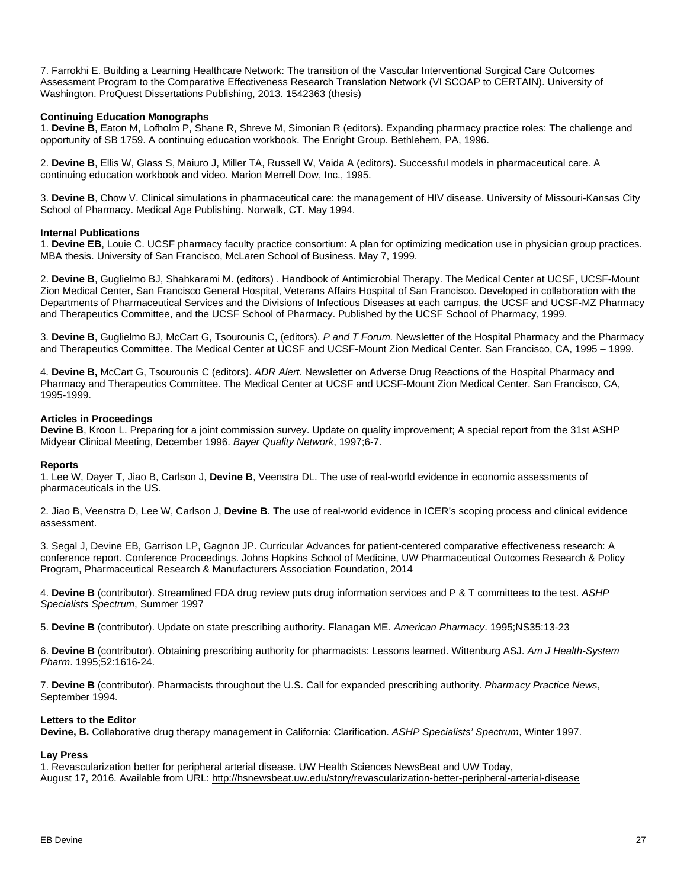7. Farrokhi E. [Building a Learning Healthcare Network: The transition of the Vascular](https://search.proquest.com/pqdtglobal/docview/1426396461/4BE21E48FEF64AB9PQ/1?accountid=14784) Interventional Surgical Care Outcomes [Assessment Program to the Comparative Effectiveness Research Translation Network \(VI SCOAP to CERTAIN\).](https://search.proquest.com/pqdtglobal/docview/1426396461/4BE21E48FEF64AB9PQ/1?accountid=14784) University of Washington. ProQuest Dissertations Publishing, 2013. 1542363 (thesis)

## **Continuing Education Monographs**

1. **Devine B**, Eaton M, Lofholm P, Shane R, Shreve M, Simonian R (editors). Expanding pharmacy practice roles: The challenge and opportunity of SB 1759. A continuing education workbook. The Enright Group. Bethlehem, PA, 1996.

2. **Devine B**, Ellis W, Glass S, Maiuro J, Miller TA, Russell W, Vaida A (editors). Successful models in pharmaceutical care. A continuing education workbook and video. Marion Merrell Dow, Inc., 1995.

3. **Devine B**, Chow V. Clinical simulations in pharmaceutical care: the management of HIV disease. University of Missouri-Kansas City School of Pharmacy. Medical Age Publishing. Norwalk, CT. May 1994.

## **Internal Publications**

1. **Devine EB**, Louie C. UCSF pharmacy faculty practice consortium: A plan for optimizing medication use in physician group practices. MBA thesis. University of San Francisco, McLaren School of Business. May 7, 1999.

2. **Devine B**, Guglielmo BJ, Shahkarami M. (editors) . Handbook of Antimicrobial Therapy. The Medical Center at UCSF, UCSF-Mount Zion Medical Center, San Francisco General Hospital, Veterans Affairs Hospital of San Francisco. Developed in collaboration with the Departments of Pharmaceutical Services and the Divisions of Infectious Diseases at each campus, the UCSF and UCSF-MZ Pharmacy and Therapeutics Committee, and the UCSF School of Pharmacy. Published by the UCSF School of Pharmacy, 1999.

3. **Devine B**, Guglielmo BJ, McCart G, Tsourounis C, (editors). *P and T Forum.* Newsletter of the Hospital Pharmacy and the Pharmacy and Therapeutics Committee. The Medical Center at UCSF and UCSF-Mount Zion Medical Center. San Francisco, CA, 1995 – 1999.

4. **Devine B,** McCart G, Tsourounis C (editors). *ADR Alert*. Newsletter on Adverse Drug Reactions of the Hospital Pharmacy and Pharmacy and Therapeutics Committee. The Medical Center at UCSF and UCSF-Mount Zion Medical Center. San Francisco, CA, 1995-1999.

## **Articles in Proceedings**

**Devine B**, Kroon L. Preparing for a joint commission survey. Update on quality improvement; A special report from the 31st ASHP Midyear Clinical Meeting, December 1996. *Bayer Quality Network*, 1997;6-7.

#### **Reports**

1. Lee W, Dayer T, Jiao B, Carlson J, **Devine B**, Veenstra DL. The use of real-world evidence in economic assessments of pharmaceuticals in the US.

2. Jiao B, Veenstra D, Lee W, Carlson J, **Devine B**. The use of real-world evidence in ICER's scoping process and clinical evidence assessment.

3. Segal J, Devine EB, Garrison LP, Gagnon JP. Curricular Advances for patient-centered comparative effectiveness research: A conference report. Conference Proceedings. Johns Hopkins School of Medicine, UW Pharmaceutical Outcomes Research & Policy Program, Pharmaceutical Research & Manufacturers Association Foundation, 2014

4. **Devine B** (contributor). Streamlined FDA drug review puts drug information services and P & T committees to the test. *ASHP Specialists Spectrum*, Summer 1997

5. **Devine B** (contributor). Update on state prescribing authority. Flanagan ME. *American Pharmacy*. 1995;NS35:13-23

6. **Devine B** (contributor). Obtaining prescribing authority for pharmacists: Lessons learned. Wittenburg ASJ. *Am J Health-System Pharm*. 1995;52:1616-24.

7. **Devine B** (contributor). Pharmacists throughout the U.S. Call for expanded prescribing authority. *Pharmacy Practice News*, September 1994.

## **Letters to the Editor**

**Devine, B.** Collaborative drug therapy management in California: Clarification. *ASHP Specialists' Spectrum*, Winter 1997.

## **Lay Press**

1. Revascularization better for peripheral arterial disease. UW Health Sciences NewsBeat and UW Today, August 17, 2016. Available from URL:<http://hsnewsbeat.uw.edu/story/revascularization-better-peripheral-arterial-disease>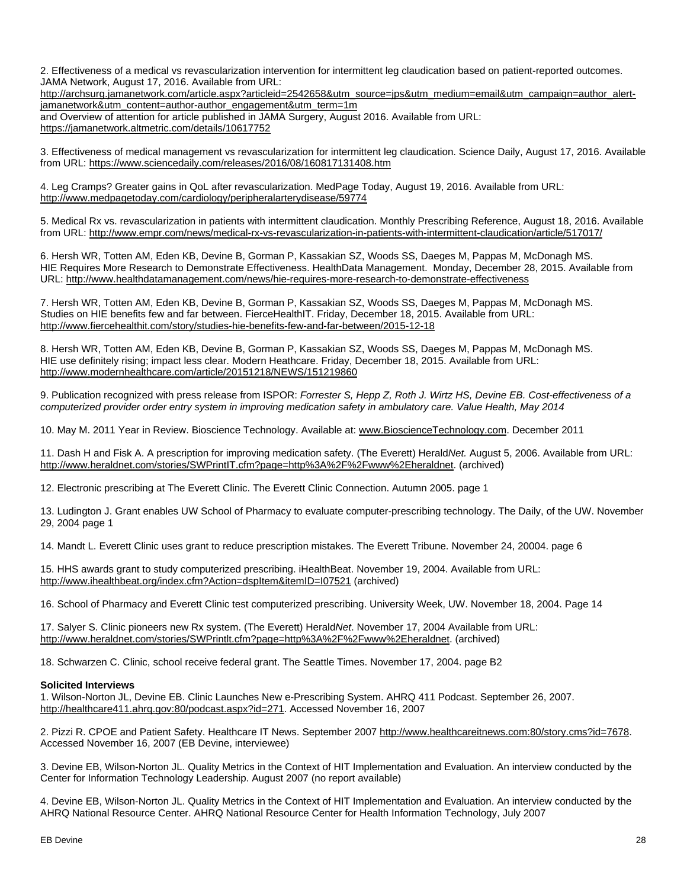2. Effectiveness of a medical vs revascularization intervention for intermittent leg claudication based on patient-reported outcomes. JAMA Network, August 17, 2016. Available from URL:

[http://archsurg.jamanetwork.com/article.aspx?articleid=2542658&utm\\_source=jps&utm\\_medium=email&utm\\_campaign=author\\_alert](http://archsurg.jamanetwork.com/article.aspx?articleid=2542658&utm_source=jps&utm_medium=email&utm_campaign=author_alert-jamanetwork&utm_content=author-author_engagement&utm_term=1m)[jamanetwork&utm\\_content=author-author\\_engagement&utm\\_term=1m](http://archsurg.jamanetwork.com/article.aspx?articleid=2542658&utm_source=jps&utm_medium=email&utm_campaign=author_alert-jamanetwork&utm_content=author-author_engagement&utm_term=1m)

and Overview of attention for article published in JAMA Surgery, August 2016. Available from URL: <https://jamanetwork.altmetric.com/details/10617752>

3. Effectiveness of medical management vs revascularization for intermittent leg claudication. Science Daily, August 17, 2016. Available from URL: <https://www.sciencedaily.com/releases/2016/08/160817131408.htm>

4. Leg Cramps? Greater gains in QoL after revascularization. MedPage Today, August 19, 2016. Available from URL: <http://www.medpagetoday.com/cardiology/peripheralarterydisease/59774>

5. Medical Rx vs. revascularization in patients with intermittent claudication. Monthly Prescribing Reference, August 18, 2016. Available from URL:<http://www.empr.com/news/medical-rx-vs-revascularization-in-patients-with-intermittent-claudication/article/517017/>

6. Hersh WR, Totten AM, Eden KB, Devine B, Gorman P, Kassakian SZ, Woods SS, Daeges M, Pappas M, McDonagh MS. HIE Requires More Research to Demonstrate Effectiveness. HealthData Management. Monday, December 28, 2015. Available from URL:<http://www.healthdatamanagement.com/news/hie-requires-more-research-to-demonstrate-effectiveness>

7. Hersh WR, Totten AM, Eden KB, Devine B, Gorman P, Kassakian SZ, Woods SS, Daeges M, Pappas M, McDonagh MS. Studies on HIE benefits few and far between. FierceHealthIT. Friday, December 18, 2015. Available from URL: <http://www.fiercehealthit.com/story/studies-hie-benefits-few-and-far-between/2015-12-18>

8. Hersh WR, Totten AM, Eden KB, Devine B, Gorman P, Kassakian SZ, Woods SS, Daeges M, Pappas M, McDonagh MS. HIE use definitely rising; impact less clear. Modern Heathcare. Friday, December 18, 2015. Available from URL: <http://www.modernhealthcare.com/article/20151218/NEWS/151219860>

9. Publication recognized with press release from ISPOR: *Forrester S, Hepp Z, Roth J. Wirtz HS, Devine EB. Cost-effectiveness of a computerized provider order entry system in improving medication safety in ambulatory care. Value Health, May 2014*

10. May M. 2011 Year in Review. Bioscience Technology. Available at: [www.BioscienceTechnology.com.](http://www.biosciencetechnology.com/) December 2011

11. Dash H and Fisk A. A prescription for improving medication safety. (The Everett) Herald*Net.* August 5, 2006. Available from URL: [http://www.heraldnet.com/stories/SWPrintIT.cfm?page=http%3A%2F%2Fwww%2Eheraldnet.](http://www.heraldnet.com/stories/SWPrintIT.cfm?page=http%3A%2F%2Fwww%2Eheraldnet) (archived)

12. Electronic prescribing at The Everett Clinic. The Everett Clinic Connection. Autumn 2005. page 1

13. Ludington J. Grant enables UW School of Pharmacy to evaluate computer-prescribing technology. The Daily, of the UW. November 29, 2004 page 1

14. Mandt L. Everett Clinic uses grant to reduce prescription mistakes. The Everett Tribune. November 24, 20004. page 6

15. HHS awards grant to study computerized prescribing. iHealthBeat. November 19, 2004. Available from URL: <http://www.ihealthbeat.org/index.cfm?Action=dspItem&itemID=I07521> (archived)

16. School of Pharmacy and Everett Clinic test computerized prescribing. University Week, UW. November 18, 2004. Page 14

17. Salyer S. Clinic pioneers new Rx system. (The Everett) Herald*Net*. November 17, 2004 Available from URL: [http://www.heraldnet.com/stories/SWPrintlt.cfm?page=http%3A%2F%2Fwww%2Eheraldnet.](http://www.heraldnet.com/stories/SWPrintlt.cfm?page=http%3A%2F%2Fwww%2Eheraldnet) (archived)

18. Schwarzen C. Clinic, school receive federal grant. The Seattle Times. November 17, 2004. page B2

## **Solicited Interviews**

1. Wilson-Norton JL, Devine EB. Clinic Launches New e-Prescribing System. AHRQ 411 Podcast. September 26, 2007. [http://healthcare411.ahrq.gov:80/podcast.aspx?id=271.](http://healthcare411.ahrq.gov/podcast.aspx?id=271) Accessed November 16, 2007

2. Pizzi R. CPOE and Patient Safety. Healthcare IT News. September 200[7 http://www.healthcareitnews.com:80/story.cms?id=7678.](http://www.healthcareitnews.com/story.cms?id=7678) Accessed November 16, 2007 (EB Devine, interviewee)

3. Devine EB, Wilson-Norton JL. Quality Metrics in the Context of HIT Implementation and Evaluation. An interview conducted by the Center for Information Technology Leadership. August 2007 (no report available)

4. Devine EB, Wilson-Norton JL. Quality Metrics in the Context of HIT Implementation and Evaluation. An interview conducted by the AHRQ National Resource Center. AHRQ National Resource Center for Health Information Technology, July 2007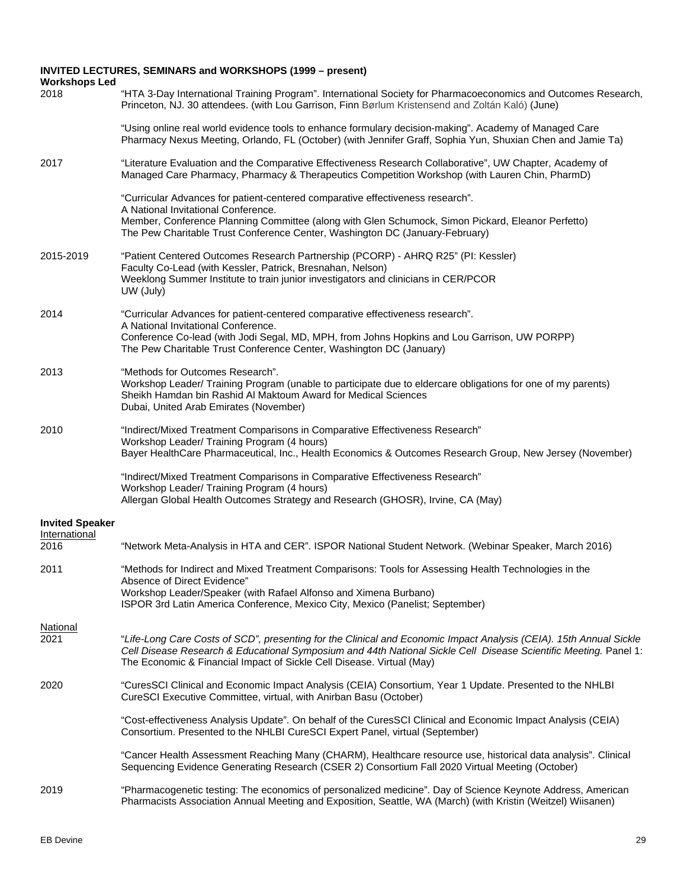## **INVITED LECTURES, SEMINARS and WORKSHOPS (1999 – present)**

| <b>Workshops Led</b>    |                                                                                                                                                                                                                                                                                                                 |
|-------------------------|-----------------------------------------------------------------------------------------------------------------------------------------------------------------------------------------------------------------------------------------------------------------------------------------------------------------|
| 2018                    | "HTA 3-Day International Training Program". International Society for Pharmacoeconomics and Outcomes Research,<br>Princeton, NJ. 30 attendees. (with Lou Garrison, Finn Børlum Kristensend and Zoltán Kaló) (June)                                                                                              |
|                         | "Using online real world evidence tools to enhance formulary decision-making". Academy of Managed Care<br>Pharmacy Nexus Meeting, Orlando, FL (October) (with Jennifer Graff, Sophia Yun, Shuxian Chen and Jamie Ta)                                                                                            |
| 2017                    | "Literature Evaluation and the Comparative Effectiveness Research Collaborative", UW Chapter, Academy of<br>Managed Care Pharmacy, Pharmacy & Therapeutics Competition Workshop (with Lauren Chin, PharmD)                                                                                                      |
|                         | "Curricular Advances for patient-centered comparative effectiveness research".<br>A National Invitational Conference.<br>Member, Conference Planning Committee (along with Glen Schumock, Simon Pickard, Eleanor Perfetto)<br>The Pew Charitable Trust Conference Center, Washington DC (January-February)      |
| 2015-2019               | "Patient Centered Outcomes Research Partnership (PCORP) - AHRQ R25" (PI: Kessler)<br>Faculty Co-Lead (with Kessler, Patrick, Bresnahan, Nelson)<br>Weeklong Summer Institute to train junior investigators and clinicians in CER/PCOR<br>UW (July)                                                              |
| 2014                    | "Curricular Advances for patient-centered comparative effectiveness research".<br>A National Invitational Conference.<br>Conference Co-lead (with Jodi Segal, MD, MPH, from Johns Hopkins and Lou Garrison, UW PORPP)<br>The Pew Charitable Trust Conference Center, Washington DC (January)                    |
| 2013                    | "Methods for Outcomes Research".<br>Workshop Leader/ Training Program (unable to participate due to eldercare obligations for one of my parents)<br>Sheikh Hamdan bin Rashid Al Maktoum Award for Medical Sciences<br>Dubai, United Arab Emirates (November)                                                    |
| 2010                    | "Indirect/Mixed Treatment Comparisons in Comparative Effectiveness Research"<br>Workshop Leader/ Training Program (4 hours)<br>Bayer HealthCare Pharmaceutical, Inc., Health Economics & Outcomes Research Group, New Jersey (November)                                                                         |
|                         | "Indirect/Mixed Treatment Comparisons in Comparative Effectiveness Research"<br>Workshop Leader/ Training Program (4 hours)<br>Allergan Global Health Outcomes Strategy and Research (GHOSR), Irvine, CA (May)                                                                                                  |
| <b>Invited Speaker</b>  |                                                                                                                                                                                                                                                                                                                 |
| International<br>2016   | "Network Meta-Analysis in HTA and CER". ISPOR National Student Network. (Webinar Speaker, March 2016)                                                                                                                                                                                                           |
| 2011                    | "Methods for Indirect and Mixed Treatment Comparisons: Tools for Assessing Health Technologies in the<br>Absence of Direct Evidence"<br>Workshop Leader/Speaker (with Rafael Alfonso and Ximena Burbano)                                                                                                        |
|                         | ISPOR 3rd Latin America Conference, Mexico City, Mexico (Panelist; September)                                                                                                                                                                                                                                   |
| <b>National</b><br>2021 | "Life-Long Care Costs of SCD", presenting for the Clinical and Economic Impact Analysis (CEIA). 15th Annual Sickle<br>Cell Disease Research & Educational Symposium and 44th National Sickle Cell Disease Scientific Meeting. Panel 1:<br>The Economic & Financial Impact of Sickle Cell Disease. Virtual (May) |
| 2020                    | "CuresSCI Clinical and Economic Impact Analysis (CEIA) Consortium, Year 1 Update. Presented to the NHLBI<br>CureSCI Executive Committee, virtual, with Anirban Basu (October)                                                                                                                                   |
|                         | "Cost-effectiveness Analysis Update". On behalf of the CuresSCI Clinical and Economic Impact Analysis (CEIA)<br>Consortium. Presented to the NHLBI CureSCI Expert Panel, virtual (September)                                                                                                                    |
|                         | "Cancer Health Assessment Reaching Many (CHARM), Healthcare resource use, historical data analysis". Clinical<br>Sequencing Evidence Generating Research (CSER 2) Consortium Fall 2020 Virtual Meeting (October)                                                                                                |
| 2019                    | "Pharmacogenetic testing: The economics of personalized medicine". Day of Science Keynote Address, American<br>Pharmacists Association Annual Meeting and Exposition, Seattle, WA (March) (with Kristin (Weitzel) Wiisanen)                                                                                     |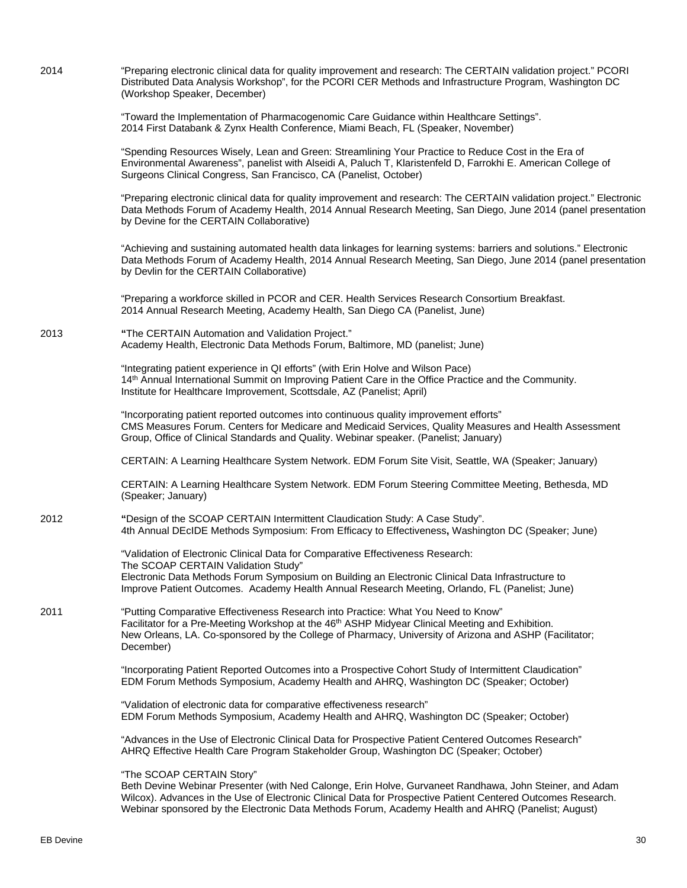(Workshop Speaker, December) "Toward the Implementation of Pharmacogenomic Care Guidance within Healthcare Settings". 2014 First Databank & Zynx Health Conference, Miami Beach, FL (Speaker, November) "Spending Resources Wisely, Lean and Green: Streamlining Your Practice to Reduce Cost in the Era of Environmental Awareness", panelist with Alseidi A, Paluch T, Klaristenfeld D, Farrokhi E. American College of Surgeons Clinical Congress, San Francisco, CA (Panelist, October) "Preparing electronic clinical data for quality improvement and research: The CERTAIN validation project." Electronic Data Methods Forum of Academy Health, 2014 Annual Research Meeting, San Diego, June 2014 (panel presentation by Devine for the CERTAIN Collaborative) "Achieving and sustaining automated health data linkages for learning systems: barriers and solutions." Electronic Data Methods Forum of Academy Health, 2014 Annual Research Meeting, San Diego, June 2014 (panel presentation by Devlin for the CERTAIN Collaborative) "Preparing a workforce skilled in PCOR and CER. Health Services Research Consortium Breakfast. 2014 Annual Research Meeting, Academy Health, San Diego CA (Panelist, June) 2013 **"**The CERTAIN Automation and Validation Project." Academy Health, Electronic Data Methods Forum, Baltimore, MD (panelist; June) "Integrating patient experience in QI efforts" (with Erin Holve and Wilson Pace) 14<sup>th</sup> Annual International Summit on Improving Patient Care in the Office Practice and the Community. Institute for Healthcare Improvement, Scottsdale, AZ (Panelist; April) "Incorporating patient reported outcomes into continuous quality improvement efforts" CMS Measures Forum. Centers for Medicare and Medicaid Services, Quality Measures and Health Assessment Group, Office of Clinical Standards and Quality. Webinar speaker. (Panelist; January) CERTAIN: A Learning Healthcare System Network. EDM Forum Site Visit, Seattle, WA (Speaker; January) CERTAIN: A Learning Healthcare System Network. EDM Forum Steering Committee Meeting, Bethesda, MD (Speaker; January) 2012 **"**Design of the SCOAP CERTAIN Intermittent Claudication Study: A Case Study". 4th Annual DEcIDE Methods Symposium: From Efficacy to Effectiveness**,** Washington DC (Speaker; June) "Validation of Electronic Clinical Data for Comparative Effectiveness Research: The SCOAP CERTAIN Validation Study" Electronic Data Methods Forum Symposium on Building an Electronic Clinical Data Infrastructure to Improve Patient Outcomes. Academy Health Annual Research Meeting, Orlando, FL (Panelist; June) 2011 "Putting Comparative Effectiveness Research into Practice: What You Need to Know" Facilitator for a Pre-Meeting Workshop at the 46<sup>th</sup> ASHP Midyear Clinical Meeting and Exhibition. New Orleans, LA. Co-sponsored by the College of Pharmacy, University of Arizona and ASHP (Facilitator; December) "Incorporating Patient Reported Outcomes into a Prospective Cohort Study of Intermittent Claudication" EDM Forum Methods Symposium, Academy Health and AHRQ, Washington DC (Speaker; October) "Validation of electronic data for comparative effectiveness research" EDM Forum Methods Symposium, Academy Health and AHRQ, Washington DC (Speaker; October) "Advances in the Use of Electronic Clinical Data for Prospective Patient Centered Outcomes Research" AHRQ Effective Health Care Program Stakeholder Group, Washington DC (Speaker; October) "The SCOAP CERTAIN Story" Beth Devine Webinar Presenter (with Ned Calonge, Erin Holve, Gurvaneet Randhawa, John Steiner, and Adam Wilcox). Advances in the Use of Electronic Clinical Data for Prospective Patient Centered Outcomes Research. Webinar sponsored by the Electronic Data Methods Forum, Academy Health and AHRQ (Panelist; August)

2014 "Preparing electronic clinical data for quality improvement and research: The CERTAIN validation project." PCORI

Distributed Data Analysis Workshop", for the PCORI CER Methods and Infrastructure Program, Washington DC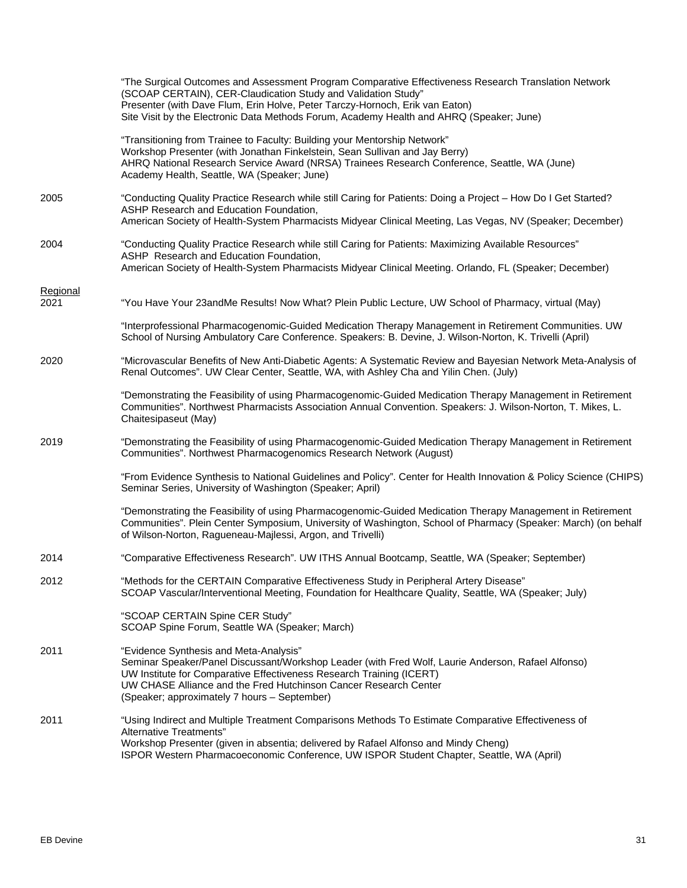|                         | "The Surgical Outcomes and Assessment Program Comparative Effectiveness Research Translation Network<br>(SCOAP CERTAIN), CER-Claudication Study and Validation Study"<br>Presenter (with Dave Flum, Erin Holve, Peter Tarczy-Hornoch, Erik van Eaton)<br>Site Visit by the Electronic Data Methods Forum, Academy Health and AHRQ (Speaker; June) |
|-------------------------|---------------------------------------------------------------------------------------------------------------------------------------------------------------------------------------------------------------------------------------------------------------------------------------------------------------------------------------------------|
|                         | "Transitioning from Trainee to Faculty: Building your Mentorship Network"<br>Workshop Presenter (with Jonathan Finkelstein, Sean Sullivan and Jay Berry)<br>AHRQ National Research Service Award (NRSA) Trainees Research Conference, Seattle, WA (June)<br>Academy Health, Seattle, WA (Speaker; June)                                           |
| 2005                    | "Conducting Quality Practice Research while still Caring for Patients: Doing a Project - How Do I Get Started?<br>ASHP Research and Education Foundation,<br>American Society of Health-System Pharmacists Midyear Clinical Meeting, Las Vegas, NV (Speaker; December)                                                                            |
| 2004                    | "Conducting Quality Practice Research while still Caring for Patients: Maximizing Available Resources"<br>ASHP Research and Education Foundation,<br>American Society of Health-System Pharmacists Midyear Clinical Meeting. Orlando, FL (Speaker; December)                                                                                      |
| <b>Regional</b><br>2021 | "You Have Your 23andMe Results! Now What? Plein Public Lecture, UW School of Pharmacy, virtual (May)                                                                                                                                                                                                                                              |
|                         | "Interprofessional Pharmacogenomic-Guided Medication Therapy Management in Retirement Communities. UW<br>School of Nursing Ambulatory Care Conference. Speakers: B. Devine, J. Wilson-Norton, K. Trivelli (April)                                                                                                                                 |
| 2020                    | "Microvascular Benefits of New Anti-Diabetic Agents: A Systematic Review and Bayesian Network Meta-Analysis of<br>Renal Outcomes". UW Clear Center, Seattle, WA, with Ashley Cha and Yilin Chen. (July)                                                                                                                                           |
|                         | "Demonstrating the Feasibility of using Pharmacogenomic-Guided Medication Therapy Management in Retirement<br>Communities". Northwest Pharmacists Association Annual Convention. Speakers: J. Wilson-Norton, T. Mikes, L.<br>Chaitesipaseut (May)                                                                                                 |
| 2019                    | "Demonstrating the Feasibility of using Pharmacogenomic-Guided Medication Therapy Management in Retirement<br>Communities". Northwest Pharmacogenomics Research Network (August)                                                                                                                                                                  |
|                         | "From Evidence Synthesis to National Guidelines and Policy". Center for Health Innovation & Policy Science (CHIPS)<br>Seminar Series, University of Washington (Speaker; April)                                                                                                                                                                   |
|                         | "Demonstrating the Feasibility of using Pharmacogenomic-Guided Medication Therapy Management in Retirement<br>Communities". Plein Center Symposium, University of Washington, School of Pharmacy (Speaker: March) (on behalf<br>of Wilson-Norton, Ragueneau-Majlessi, Argon, and Trivelli)                                                        |
| 2014                    | "Comparative Effectiveness Research". UW ITHS Annual Bootcamp, Seattle, WA (Speaker; September)                                                                                                                                                                                                                                                   |
| 2012                    | "Methods for the CERTAIN Comparative Effectiveness Study in Peripheral Artery Disease"<br>SCOAP Vascular/Interventional Meeting, Foundation for Healthcare Quality, Seattle, WA (Speaker; July)                                                                                                                                                   |
|                         | "SCOAP CERTAIN Spine CER Study"<br>SCOAP Spine Forum, Seattle WA (Speaker; March)                                                                                                                                                                                                                                                                 |
| 2011                    | "Evidence Synthesis and Meta-Analysis"<br>Seminar Speaker/Panel Discussant/Workshop Leader (with Fred Wolf, Laurie Anderson, Rafael Alfonso)<br>UW Institute for Comparative Effectiveness Research Training (ICERT)<br>UW CHASE Alliance and the Fred Hutchinson Cancer Research Center<br>(Speaker; approximately 7 hours - September)          |
| 2011                    | "Using Indirect and Multiple Treatment Comparisons Methods To Estimate Comparative Effectiveness of<br>Alternative Treatments"<br>Workshop Presenter (given in absentia; delivered by Rafael Alfonso and Mindy Cheng)<br>ISPOR Western Pharmacoeconomic Conference, UW ISPOR Student Chapter, Seattle, WA (April)                                 |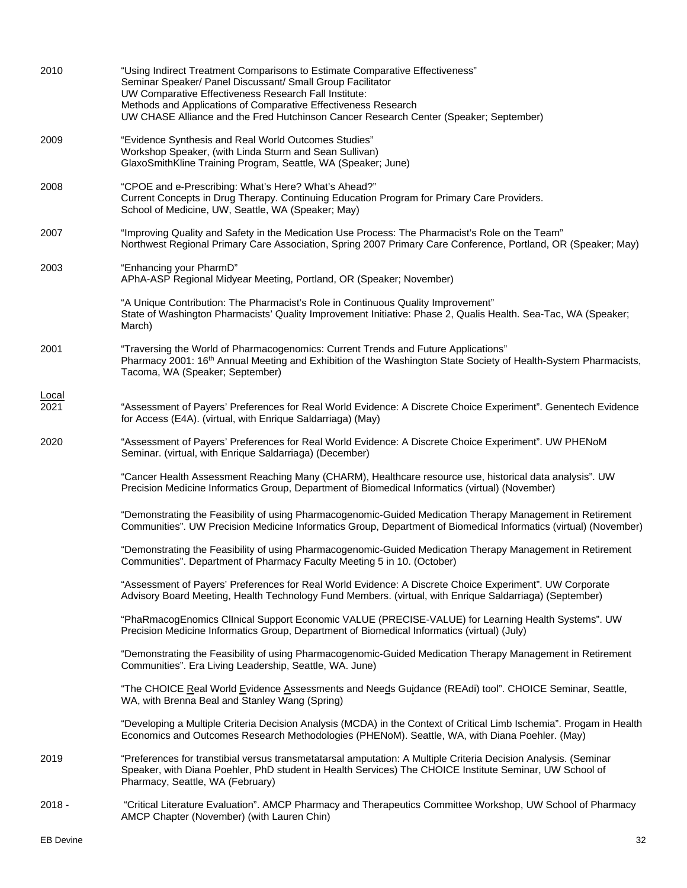| 2010                 | "Using Indirect Treatment Comparisons to Estimate Comparative Effectiveness"<br>Seminar Speaker/ Panel Discussant/ Small Group Facilitator<br>UW Comparative Effectiveness Research Fall Institute:<br>Methods and Applications of Comparative Effectiveness Research<br>UW CHASE Alliance and the Fred Hutchinson Cancer Research Center (Speaker; September) |
|----------------------|----------------------------------------------------------------------------------------------------------------------------------------------------------------------------------------------------------------------------------------------------------------------------------------------------------------------------------------------------------------|
| 2009                 | "Evidence Synthesis and Real World Outcomes Studies"<br>Workshop Speaker, (with Linda Sturm and Sean Sullivan)<br>GlaxoSmithKline Training Program, Seattle, WA (Speaker; June)                                                                                                                                                                                |
| 2008                 | "CPOE and e-Prescribing: What's Here? What's Ahead?"<br>Current Concepts in Drug Therapy. Continuing Education Program for Primary Care Providers.<br>School of Medicine, UW, Seattle, WA (Speaker; May)                                                                                                                                                       |
| 2007                 | "Improving Quality and Safety in the Medication Use Process: The Pharmacist's Role on the Team"<br>Northwest Regional Primary Care Association, Spring 2007 Primary Care Conference, Portland, OR (Speaker; May)                                                                                                                                               |
| 2003                 | "Enhancing your PharmD"<br>APhA-ASP Regional Midyear Meeting, Portland, OR (Speaker; November)                                                                                                                                                                                                                                                                 |
|                      | "A Unique Contribution: The Pharmacist's Role in Continuous Quality Improvement"<br>State of Washington Pharmacists' Quality Improvement Initiative: Phase 2, Qualis Health. Sea-Tac, WA (Speaker;<br>March)                                                                                                                                                   |
| 2001                 | "Traversing the World of Pharmacogenomics: Current Trends and Future Applications"<br>Pharmacy 2001: 16 <sup>th</sup> Annual Meeting and Exhibition of the Washington State Society of Health-System Pharmacists,<br>Tacoma, WA (Speaker; September)                                                                                                           |
| <b>Local</b><br>2021 | "Assessment of Payers' Preferences for Real World Evidence: A Discrete Choice Experiment". Genentech Evidence<br>for Access (E4A). (virtual, with Enrique Saldarriaga) (May)                                                                                                                                                                                   |
| 2020                 | "Assessment of Payers' Preferences for Real World Evidence: A Discrete Choice Experiment". UW PHENoM<br>Seminar. (virtual, with Enrique Saldarriaga) (December)                                                                                                                                                                                                |
|                      | "Cancer Health Assessment Reaching Many (CHARM), Healthcare resource use, historical data analysis". UW<br>Precision Medicine Informatics Group, Department of Biomedical Informatics (virtual) (November)                                                                                                                                                     |
|                      | "Demonstrating the Feasibility of using Pharmacogenomic-Guided Medication Therapy Management in Retirement<br>Communities". UW Precision Medicine Informatics Group, Department of Biomedical Informatics (virtual) (November)                                                                                                                                 |
|                      | "Demonstrating the Feasibility of using Pharmacogenomic-Guided Medication Therapy Management in Retirement<br>Communities". Department of Pharmacy Faculty Meeting 5 in 10. (October)                                                                                                                                                                          |
|                      | "Assessment of Payers' Preferences for Real World Evidence: A Discrete Choice Experiment". UW Corporate<br>Advisory Board Meeting, Health Technology Fund Members. (virtual, with Enrique Saldarriaga) (September)                                                                                                                                             |
|                      | "PhaRmacogEnomics ClInical Support Economic VALUE (PRECISE-VALUE) for Learning Health Systems". UW<br>Precision Medicine Informatics Group, Department of Biomedical Informatics (virtual) (July)                                                                                                                                                              |
|                      | "Demonstrating the Feasibility of using Pharmacogenomic-Guided Medication Therapy Management in Retirement<br>Communities". Era Living Leadership, Seattle, WA. June)                                                                                                                                                                                          |
|                      | "The CHOICE Real World Evidence Assessments and Needs Guidance (REAdi) tool". CHOICE Seminar, Seattle,<br>WA, with Brenna Beal and Stanley Wang (Spring)                                                                                                                                                                                                       |
|                      | "Developing a Multiple Criteria Decision Analysis (MCDA) in the Context of Critical Limb Ischemia". Progam in Health<br>Economics and Outcomes Research Methodologies (PHENoM). Seattle, WA, with Diana Poehler. (May)                                                                                                                                         |
| 2019                 | "Preferences for transtibial versus transmetatarsal amputation: A Multiple Criteria Decision Analysis. (Seminar<br>Speaker, with Diana Poehler, PhD student in Health Services) The CHOICE Institute Seminar, UW School of<br>Pharmacy, Seattle, WA (February)                                                                                                 |
| $2018 -$             | "Critical Literature Evaluation". AMCP Pharmacy and Therapeutics Committee Workshop, UW School of Pharmacy<br>AMCP Chapter (November) (with Lauren Chin)                                                                                                                                                                                                       |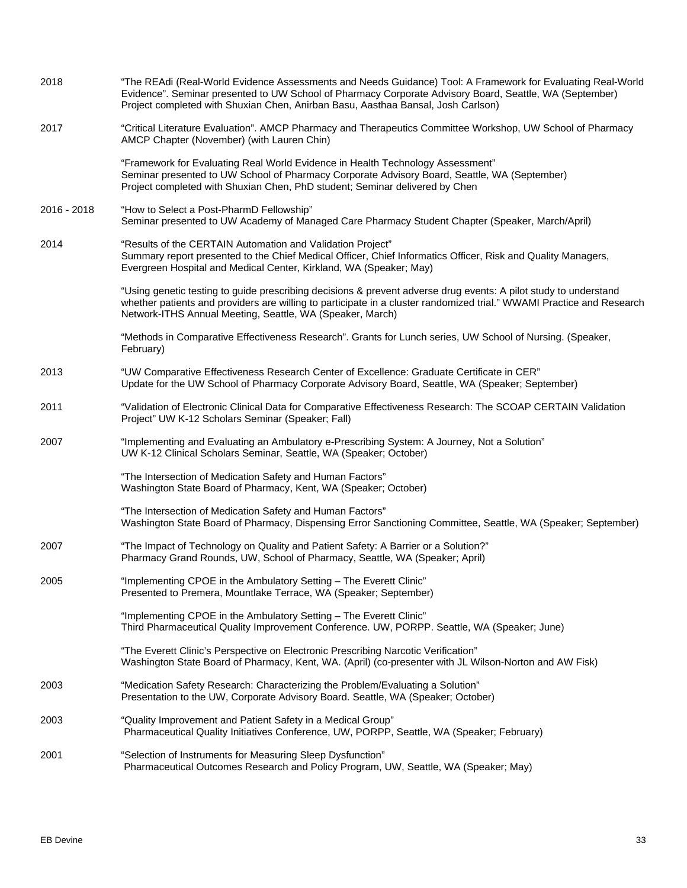| 2018        | "The REAdi (Real-World Evidence Assessments and Needs Guidance) Tool: A Framework for Evaluating Real-World<br>Evidence". Seminar presented to UW School of Pharmacy Corporate Advisory Board, Seattle, WA (September)<br>Project completed with Shuxian Chen, Anirban Basu, Aasthaa Bansal, Josh Carlson) |
|-------------|------------------------------------------------------------------------------------------------------------------------------------------------------------------------------------------------------------------------------------------------------------------------------------------------------------|
| 2017        | "Critical Literature Evaluation". AMCP Pharmacy and Therapeutics Committee Workshop, UW School of Pharmacy<br>AMCP Chapter (November) (with Lauren Chin)                                                                                                                                                   |
|             | "Framework for Evaluating Real World Evidence in Health Technology Assessment"<br>Seminar presented to UW School of Pharmacy Corporate Advisory Board, Seattle, WA (September)<br>Project completed with Shuxian Chen, PhD student; Seminar delivered by Chen                                              |
| 2016 - 2018 | "How to Select a Post-PharmD Fellowship"<br>Seminar presented to UW Academy of Managed Care Pharmacy Student Chapter (Speaker, March/April)                                                                                                                                                                |
| 2014        | "Results of the CERTAIN Automation and Validation Project"<br>Summary report presented to the Chief Medical Officer, Chief Informatics Officer, Risk and Quality Managers,<br>Evergreen Hospital and Medical Center, Kirkland, WA (Speaker; May)                                                           |
|             | "Using genetic testing to guide prescribing decisions & prevent adverse drug events: A pilot study to understand<br>whether patients and providers are willing to participate in a cluster randomized trial." WWAMI Practice and Research<br>Network-ITHS Annual Meeting, Seattle, WA (Speaker, March)     |
|             | "Methods in Comparative Effectiveness Research". Grants for Lunch series, UW School of Nursing. (Speaker,<br>February)                                                                                                                                                                                     |
| 2013        | "UW Comparative Effectiveness Research Center of Excellence: Graduate Certificate in CER"<br>Update for the UW School of Pharmacy Corporate Advisory Board, Seattle, WA (Speaker; September)                                                                                                               |
| 2011        | "Validation of Electronic Clinical Data for Comparative Effectiveness Research: The SCOAP CERTAIN Validation<br>Project" UW K-12 Scholars Seminar (Speaker; Fall)                                                                                                                                          |
| 2007        | "Implementing and Evaluating an Ambulatory e-Prescribing System: A Journey, Not a Solution"<br>UW K-12 Clinical Scholars Seminar, Seattle, WA (Speaker; October)                                                                                                                                           |
|             | "The Intersection of Medication Safety and Human Factors"<br>Washington State Board of Pharmacy, Kent, WA (Speaker; October)                                                                                                                                                                               |
|             | "The Intersection of Medication Safety and Human Factors"<br>Washington State Board of Pharmacy, Dispensing Error Sanctioning Committee, Seattle, WA (Speaker; September)                                                                                                                                  |
| 2007        | "The Impact of Technology on Quality and Patient Safety: A Barrier or a Solution?"<br>Pharmacy Grand Rounds, UW, School of Pharmacy, Seattle, WA (Speaker; April)                                                                                                                                          |
| 2005        | "Implementing CPOE in the Ambulatory Setting - The Everett Clinic"<br>Presented to Premera, Mountlake Terrace, WA (Speaker; September)                                                                                                                                                                     |
|             | "Implementing CPOE in the Ambulatory Setting - The Everett Clinic"<br>Third Pharmaceutical Quality Improvement Conference. UW, PORPP. Seattle, WA (Speaker; June)                                                                                                                                          |
|             | "The Everett Clinic's Perspective on Electronic Prescribing Narcotic Verification"<br>Washington State Board of Pharmacy, Kent, WA. (April) (co-presenter with JL Wilson-Norton and AW Fisk)                                                                                                               |
| 2003        | "Medication Safety Research: Characterizing the Problem/Evaluating a Solution"<br>Presentation to the UW, Corporate Advisory Board. Seattle, WA (Speaker; October)                                                                                                                                         |
| 2003        | "Quality Improvement and Patient Safety in a Medical Group"<br>Pharmaceutical Quality Initiatives Conference, UW, PORPP, Seattle, WA (Speaker; February)                                                                                                                                                   |
| 2001        | "Selection of Instruments for Measuring Sleep Dysfunction"<br>Pharmaceutical Outcomes Research and Policy Program, UW, Seattle, WA (Speaker; May)                                                                                                                                                          |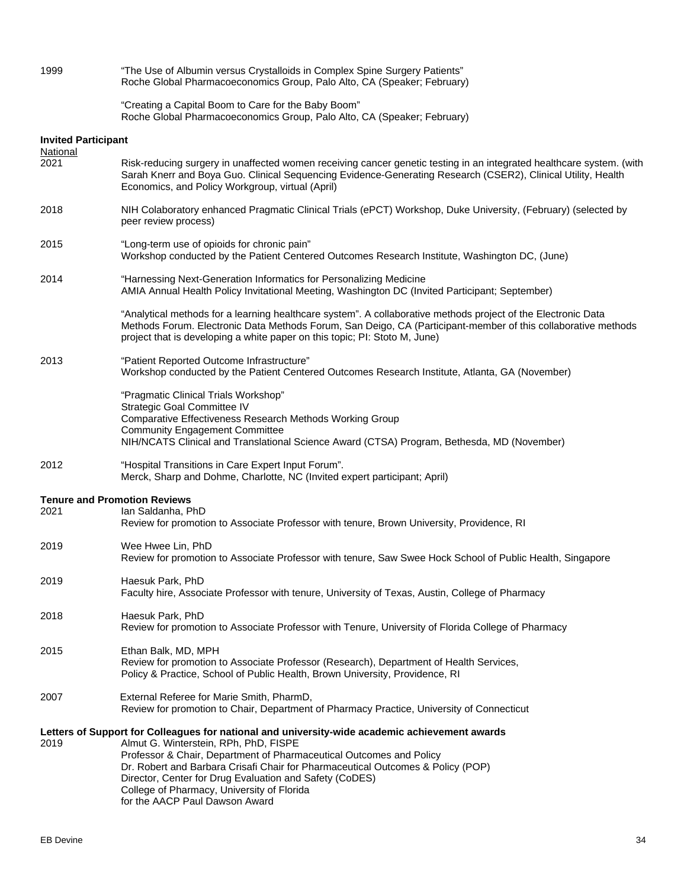| 1999                       | "The Use of Albumin versus Crystalloids in Complex Spine Surgery Patients"<br>Roche Global Pharmacoeconomics Group, Palo Alto, CA (Speaker; February)                                                                                                                                                                                                                                                                                        |
|----------------------------|----------------------------------------------------------------------------------------------------------------------------------------------------------------------------------------------------------------------------------------------------------------------------------------------------------------------------------------------------------------------------------------------------------------------------------------------|
|                            | "Creating a Capital Boom to Care for the Baby Boom"<br>Roche Global Pharmacoeconomics Group, Palo Alto, CA (Speaker; February)                                                                                                                                                                                                                                                                                                               |
| <b>Invited Participant</b> |                                                                                                                                                                                                                                                                                                                                                                                                                                              |
| <b>National</b><br>2021    | Risk-reducing surgery in unaffected women receiving cancer genetic testing in an integrated healthcare system. (with<br>Sarah Knerr and Boya Guo. Clinical Sequencing Evidence-Generating Research (CSER2), Clinical Utility, Health<br>Economics, and Policy Workgroup, virtual (April)                                                                                                                                                     |
| 2018                       | NIH Colaboratory enhanced Pragmatic Clinical Trials (ePCT) Workshop, Duke University, (February) (selected by<br>peer review process)                                                                                                                                                                                                                                                                                                        |
| 2015                       | "Long-term use of opioids for chronic pain"<br>Workshop conducted by the Patient Centered Outcomes Research Institute, Washington DC, (June)                                                                                                                                                                                                                                                                                                 |
| 2014                       | "Harnessing Next-Generation Informatics for Personalizing Medicine<br>AMIA Annual Health Policy Invitational Meeting, Washington DC (Invited Participant; September)                                                                                                                                                                                                                                                                         |
|                            | "Analytical methods for a learning healthcare system". A collaborative methods project of the Electronic Data<br>Methods Forum. Electronic Data Methods Forum, San Deigo, CA (Participant-member of this collaborative methods<br>project that is developing a white paper on this topic; PI: Stoto M, June)                                                                                                                                 |
| 2013                       | "Patient Reported Outcome Infrastructure"<br>Workshop conducted by the Patient Centered Outcomes Research Institute, Atlanta, GA (November)                                                                                                                                                                                                                                                                                                  |
|                            | "Pragmatic Clinical Trials Workshop"<br>Strategic Goal Committee IV<br>Comparative Effectiveness Research Methods Working Group<br><b>Community Engagement Committee</b><br>NIH/NCATS Clinical and Translational Science Award (CTSA) Program, Bethesda, MD (November)                                                                                                                                                                       |
| 2012                       | "Hospital Transitions in Care Expert Input Forum".<br>Merck, Sharp and Dohme, Charlotte, NC (Invited expert participant; April)                                                                                                                                                                                                                                                                                                              |
|                            | <b>Tenure and Promotion Reviews</b>                                                                                                                                                                                                                                                                                                                                                                                                          |
| 2021                       | Ian Saldanha, PhD<br>Review for promotion to Associate Professor with tenure, Brown University, Providence, RI                                                                                                                                                                                                                                                                                                                               |
| 2019                       | Wee Hwee Lin, PhD<br>Review for promotion to Associate Professor with tenure, Saw Swee Hock School of Public Health, Singapore                                                                                                                                                                                                                                                                                                               |
| 2019                       | Haesuk Park, PhD<br>Faculty hire, Associate Professor with tenure, University of Texas, Austin, College of Pharmacy                                                                                                                                                                                                                                                                                                                          |
| 2018                       | Haesuk Park, PhD<br>Review for promotion to Associate Professor with Tenure, University of Florida College of Pharmacy                                                                                                                                                                                                                                                                                                                       |
| 2015                       | Ethan Balk, MD, MPH<br>Review for promotion to Associate Professor (Research), Department of Health Services,<br>Policy & Practice, School of Public Health, Brown University, Providence, RI                                                                                                                                                                                                                                                |
| 2007                       | External Referee for Marie Smith, PharmD,<br>Review for promotion to Chair, Department of Pharmacy Practice, University of Connecticut                                                                                                                                                                                                                                                                                                       |
| 2019                       | Letters of Support for Colleagues for national and university-wide academic achievement awards<br>Almut G. Winterstein, RPh, PhD, FISPE<br>Professor & Chair, Department of Pharmaceutical Outcomes and Policy<br>Dr. Robert and Barbara Crisafi Chair for Pharmaceutical Outcomes & Policy (POP)<br>Director, Center for Drug Evaluation and Safety (CoDES)<br>College of Pharmacy, University of Florida<br>for the AACP Paul Dawson Award |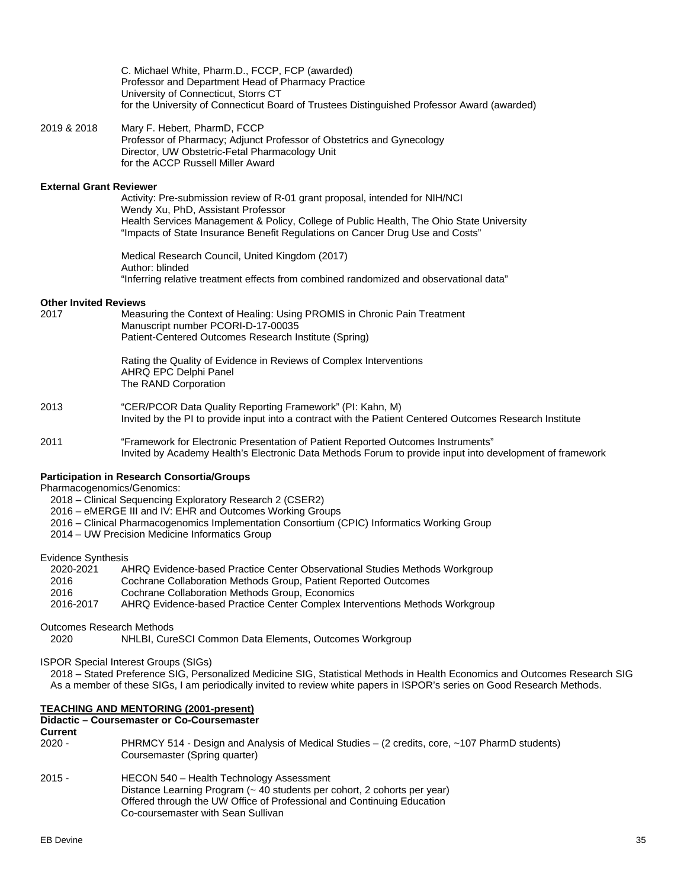C. Michael White, Pharm.D., FCCP, FCP (awarded) Professor and Department Head of Pharmacy Practice University of Connecticut, Storrs CT for the University of Connecticut Board of Trustees Distinguished Professor Award (awarded)

2019 & 2018 Mary F. Hebert, PharmD, FCCP Professor of Pharmacy; Adjunct Professor of Obstetrics and Gynecology Director, UW Obstetric-Fetal Pharmacology Unit for the ACCP Russell Miller Award

#### **External Grant Reviewer**

Activity: Pre-submission review of R-01 grant proposal, intended for NIH/NCI Wendy Xu, PhD, Assistant Professor Health Services Management & Policy, College of Public Health, The Ohio State University "Impacts of State Insurance Benefit Regulations on Cancer Drug Use and Costs"

Medical Research Council, United Kingdom (2017) Author: blinded "Inferring relative treatment effects from combined randomized and observational data"

# **Other Invited Reviews**<br>2017 Meas

Measuring the Context of Healing: Using PROMIS in Chronic Pain Treatment Manuscript number PCORI-D-17-00035 Patient-Centered Outcomes Research Institute (Spring)

Rating the Quality of Evidence in Reviews of Complex Interventions AHRQ EPC Delphi Panel The RAND Corporation

- 2013 "CER/PCOR Data Quality Reporting Framework" (PI: Kahn, M) Invited by the PI to provide input into a contract with the Patient Centered Outcomes Research Institute
- 2011 "Framework for Electronic Presentation of Patient Reported Outcomes Instruments" Invited by Academy Health's Electronic Data Methods Forum to provide input into development of framework

#### **Participation in Research Consortia/Groups**

Pharmacogenomics/Genomics:

- 2018 Clinical Sequencing Exploratory Research 2 (CSER2)
- 2016 eMERGE III and IV: EHR and Outcomes Working Groups
- 2016 Clinical Pharmacogenomics Implementation Consortium (CPIC) Informatics Working Group
- 2014 UW Precision Medicine Informatics Group

## Evidence Synthesis

| 2020-2021 | AHRQ Evidence-based Practice Center Observational Studies Methods Workgroup |
|-----------|-----------------------------------------------------------------------------|
| 2016      | Cochrane Collaboration Methods Group, Patient Reported Outcomes             |
| 2016      | Cochrane Collaboration Methods Group, Economics                             |
|           | $\blacksquare$                                                              |

2016-2017 AHRQ Evidence-based Practice Center Complex Interventions Methods Workgroup

Outcomes Research Methods

2020 NHLBI, CureSCI Common Data Elements, Outcomes Workgroup

ISPOR Special Interest Groups (SIGs)

2018 – Stated Preference SIG, Personalized Medicine SIG, Statistical Methods in Health Economics and Outcomes Research SIG As a member of these SIGs, I am periodically invited to review white papers in ISPOR's series on Good Research Methods.

### **TEACHING AND MENTORING (2001-present)**

## **Didactic – Coursemaster or Co-Coursemaster**

**Current**<br>2020 -

- PHRMCY 514 Design and Analysis of Medical Studies (2 credits, core, ~107 PharmD students) Coursemaster (Spring quarter)
- 2015 HECON 540 Health Technology Assessment Distance Learning Program (~ 40 students per cohort, 2 cohorts per year) Offered through the UW Office of Professional and Continuing Education Co-coursemaster with Sean Sullivan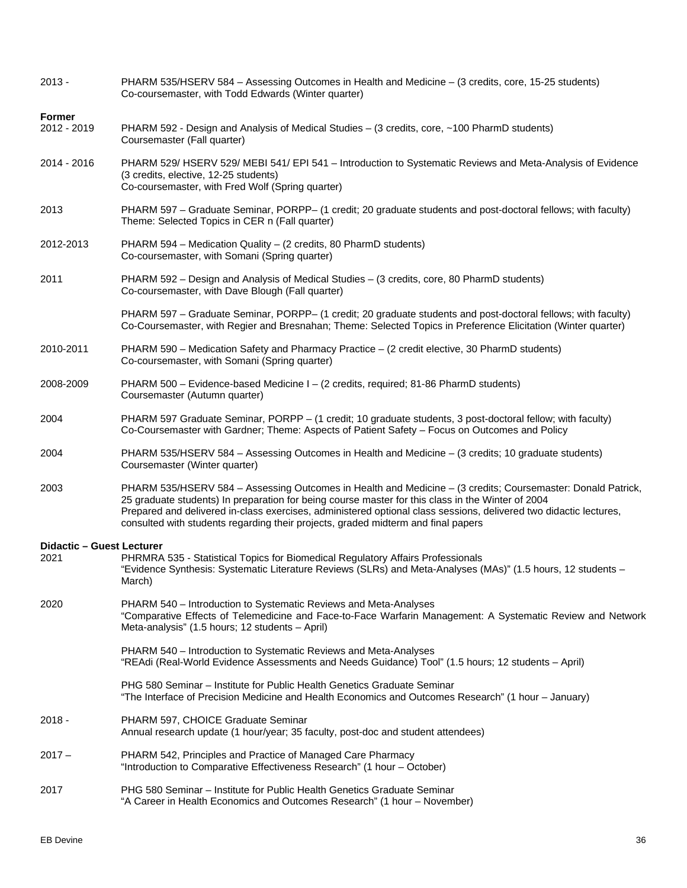| $2013 -$                                 | PHARM 535/HSERV 584 - Assessing Outcomes in Health and Medicine - (3 credits, core, 15-25 students)<br>Co-coursemaster, with Todd Edwards (Winter quarter)                                                                                                                                                                                                                                                                 |  |  |  |
|------------------------------------------|----------------------------------------------------------------------------------------------------------------------------------------------------------------------------------------------------------------------------------------------------------------------------------------------------------------------------------------------------------------------------------------------------------------------------|--|--|--|
| <b>Former</b><br>2012 - 2019             | PHARM 592 - Design and Analysis of Medical Studies – (3 credits, core, ~100 PharmD students)<br>Coursemaster (Fall quarter)                                                                                                                                                                                                                                                                                                |  |  |  |
| 2014 - 2016                              | PHARM 529/ HSERV 529/ MEBI 541/ EPI 541 - Introduction to Systematic Reviews and Meta-Analysis of Evidence<br>(3 credits, elective, 12-25 students)<br>Co-coursemaster, with Fred Wolf (Spring quarter)                                                                                                                                                                                                                    |  |  |  |
| 2013                                     | PHARM 597 - Graduate Seminar, PORPP- (1 credit; 20 graduate students and post-doctoral fellows; with faculty)<br>Theme: Selected Topics in CER n (Fall quarter)                                                                                                                                                                                                                                                            |  |  |  |
| 2012-2013                                | PHARM 594 - Medication Quality - (2 credits, 80 PharmD students)<br>Co-coursemaster, with Somani (Spring quarter)                                                                                                                                                                                                                                                                                                          |  |  |  |
| 2011                                     | PHARM 592 - Design and Analysis of Medical Studies - (3 credits, core, 80 PharmD students)<br>Co-coursemaster, with Dave Blough (Fall quarter)                                                                                                                                                                                                                                                                             |  |  |  |
|                                          | PHARM 597 - Graduate Seminar, PORPP- (1 credit; 20 graduate students and post-doctoral fellows; with faculty)<br>Co-Coursemaster, with Regier and Bresnahan; Theme: Selected Topics in Preference Elicitation (Winter quarter)                                                                                                                                                                                             |  |  |  |
| 2010-2011                                | PHARM 590 - Medication Safety and Pharmacy Practice - (2 credit elective, 30 PharmD students)<br>Co-coursemaster, with Somani (Spring quarter)                                                                                                                                                                                                                                                                             |  |  |  |
| 2008-2009                                | PHARM 500 - Evidence-based Medicine I - (2 credits, required; 81-86 PharmD students)<br>Coursemaster (Autumn quarter)                                                                                                                                                                                                                                                                                                      |  |  |  |
| 2004                                     | PHARM 597 Graduate Seminar, PORPP - (1 credit; 10 graduate students, 3 post-doctoral fellow; with faculty)<br>Co-Coursemaster with Gardner; Theme: Aspects of Patient Safety - Focus on Outcomes and Policy                                                                                                                                                                                                                |  |  |  |
| 2004                                     | PHARM 535/HSERV 584 - Assessing Outcomes in Health and Medicine - (3 credits; 10 graduate students)<br>Coursemaster (Winter quarter)                                                                                                                                                                                                                                                                                       |  |  |  |
| 2003                                     | PHARM 535/HSERV 584 - Assessing Outcomes in Health and Medicine - (3 credits; Coursemaster: Donald Patrick,<br>25 graduate students) In preparation for being course master for this class in the Winter of 2004<br>Prepared and delivered in-class exercises, administered optional class sessions, delivered two didactic lectures,<br>consulted with students regarding their projects, graded midterm and final papers |  |  |  |
| <b>Didactic - Guest Lecturer</b><br>2021 | PHRMRA 535 - Statistical Topics for Biomedical Regulatory Affairs Professionals<br>"Evidence Synthesis: Systematic Literature Reviews (SLRs) and Meta-Analyses (MAs)" (1.5 hours, 12 students -<br>March)                                                                                                                                                                                                                  |  |  |  |
| 2020                                     | PHARM 540 – Introduction to Systematic Reviews and Meta-Analyses<br>"Comparative Effects of Telemedicine and Face-to-Face Warfarin Management: A Systematic Review and Network<br>Meta-analysis" (1.5 hours; 12 students - April)                                                                                                                                                                                          |  |  |  |
|                                          | PHARM 540 - Introduction to Systematic Reviews and Meta-Analyses<br>"REAdi (Real-World Evidence Assessments and Needs Guidance) Tool" (1.5 hours; 12 students - April)                                                                                                                                                                                                                                                     |  |  |  |
|                                          | PHG 580 Seminar – Institute for Public Health Genetics Graduate Seminar<br>"The Interface of Precision Medicine and Health Economics and Outcomes Research" (1 hour - January)                                                                                                                                                                                                                                             |  |  |  |
| $2018 -$                                 | PHARM 597, CHOICE Graduate Seminar<br>Annual research update (1 hour/year; 35 faculty, post-doc and student attendees)                                                                                                                                                                                                                                                                                                     |  |  |  |
| $2017 -$                                 | PHARM 542, Principles and Practice of Managed Care Pharmacy<br>"Introduction to Comparative Effectiveness Research" (1 hour - October)                                                                                                                                                                                                                                                                                     |  |  |  |
| 2017                                     | PHG 580 Seminar – Institute for Public Health Genetics Graduate Seminar<br>"A Career in Health Economics and Outcomes Research" (1 hour - November)                                                                                                                                                                                                                                                                        |  |  |  |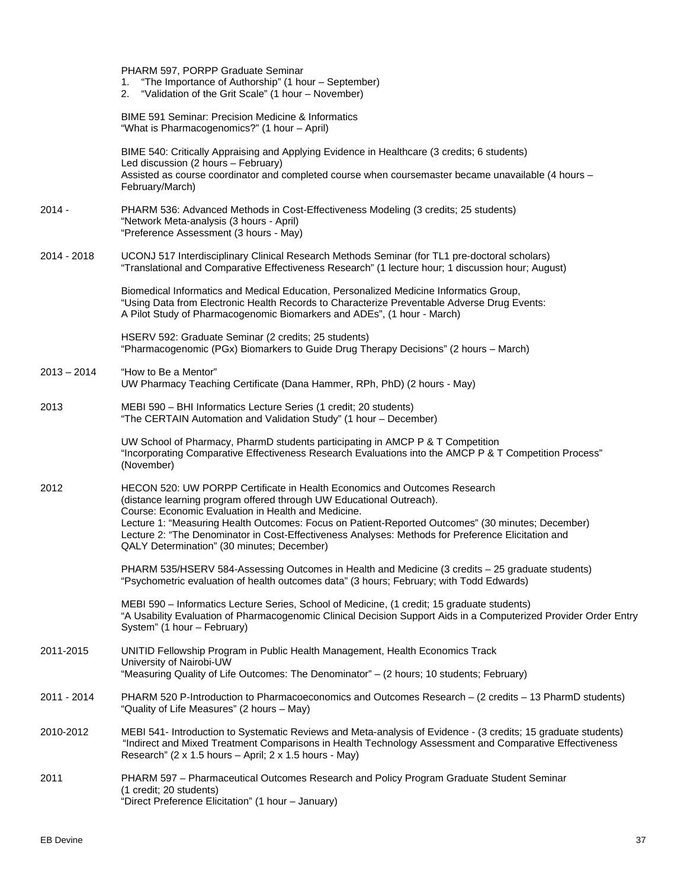|               | PHARM 597, PORPP Graduate Seminar<br>"The Importance of Authorship" (1 hour - September)<br>1.<br>"Validation of the Grit Scale" (1 hour - November)<br>2.                                                                                                                                                                                                                                                                                                        |
|---------------|-------------------------------------------------------------------------------------------------------------------------------------------------------------------------------------------------------------------------------------------------------------------------------------------------------------------------------------------------------------------------------------------------------------------------------------------------------------------|
|               | <b>BIME 591 Seminar: Precision Medicine &amp; Informatics</b><br>"What is Pharmacogenomics?" (1 hour - April)                                                                                                                                                                                                                                                                                                                                                     |
|               | BIME 540: Critically Appraising and Applying Evidence in Healthcare (3 credits; 6 students)<br>Led discussion (2 hours - February)<br>Assisted as course coordinator and completed course when coursemaster became unavailable (4 hours -<br>February/March)                                                                                                                                                                                                      |
| $2014 -$      | PHARM 536: Advanced Methods in Cost-Effectiveness Modeling (3 credits; 25 students)<br>"Network Meta-analysis (3 hours - April)<br>"Preference Assessment (3 hours - May)                                                                                                                                                                                                                                                                                         |
| 2014 - 2018   | UCONJ 517 Interdisciplinary Clinical Research Methods Seminar (for TL1 pre-doctoral scholars)<br>"Translational and Comparative Effectiveness Research" (1 lecture hour; 1 discussion hour; August)                                                                                                                                                                                                                                                               |
|               | Biomedical Informatics and Medical Education, Personalized Medicine Informatics Group,<br>"Using Data from Electronic Health Records to Characterize Preventable Adverse Drug Events:<br>A Pilot Study of Pharmacogenomic Biomarkers and ADEs", (1 hour - March)                                                                                                                                                                                                  |
|               | HSERV 592: Graduate Seminar (2 credits; 25 students)<br>"Pharmacogenomic (PGx) Biomarkers to Guide Drug Therapy Decisions" (2 hours - March)                                                                                                                                                                                                                                                                                                                      |
| $2013 - 2014$ | "How to Be a Mentor"<br>UW Pharmacy Teaching Certificate (Dana Hammer, RPh, PhD) (2 hours - May)                                                                                                                                                                                                                                                                                                                                                                  |
| 2013          | MEBI 590 - BHI Informatics Lecture Series (1 credit; 20 students)<br>"The CERTAIN Automation and Validation Study" (1 hour - December)                                                                                                                                                                                                                                                                                                                            |
|               | UW School of Pharmacy, PharmD students participating in AMCP P & T Competition<br>"Incorporating Comparative Effectiveness Research Evaluations into the AMCP P & T Competition Process"<br>(November)                                                                                                                                                                                                                                                            |
| 2012          | HECON 520: UW PORPP Certificate in Health Economics and Outcomes Research<br>(distance learning program offered through UW Educational Outreach).<br>Course: Economic Evaluation in Health and Medicine.<br>Lecture 1: "Measuring Health Outcomes: Focus on Patient-Reported Outcomes" (30 minutes; December)<br>Lecture 2: "The Denominator in Cost-Effectiveness Analyses: Methods for Preference Elicitation and<br>QALY Determination" (30 minutes; December) |
|               | PHARM 535/HSERV 584-Assessing Outcomes in Health and Medicine (3 credits - 25 graduate students)<br>"Psychometric evaluation of health outcomes data" (3 hours; February; with Todd Edwards)                                                                                                                                                                                                                                                                      |
|               | MEBI 590 - Informatics Lecture Series, School of Medicine, (1 credit; 15 graduate students)<br>"A Usability Evaluation of Pharmacogenomic Clinical Decision Support Aids in a Computerized Provider Order Entry<br>System" (1 hour - February)                                                                                                                                                                                                                    |
| 2011-2015     | UNITID Fellowship Program in Public Health Management, Health Economics Track<br>University of Nairobi-UW<br>"Measuring Quality of Life Outcomes: The Denominator" - (2 hours; 10 students; February)                                                                                                                                                                                                                                                             |
| 2011 - 2014   | PHARM 520 P-Introduction to Pharmacoeconomics and Outcomes Research - (2 credits - 13 PharmD students)<br>"Quality of Life Measures" (2 hours – May)                                                                                                                                                                                                                                                                                                              |
| 2010-2012     | MEBI 541- Introduction to Systematic Reviews and Meta-analysis of Evidence - (3 credits; 15 graduate students)<br>"Indirect and Mixed Treatment Comparisons in Health Technology Assessment and Comparative Effectiveness<br>Research" (2 x 1.5 hours - April; 2 x 1.5 hours - May)                                                                                                                                                                               |
| 2011          | PHARM 597 - Pharmaceutical Outcomes Research and Policy Program Graduate Student Seminar<br>(1 credit; 20 students)<br>"Direct Preference Elicitation" (1 hour - January)                                                                                                                                                                                                                                                                                         |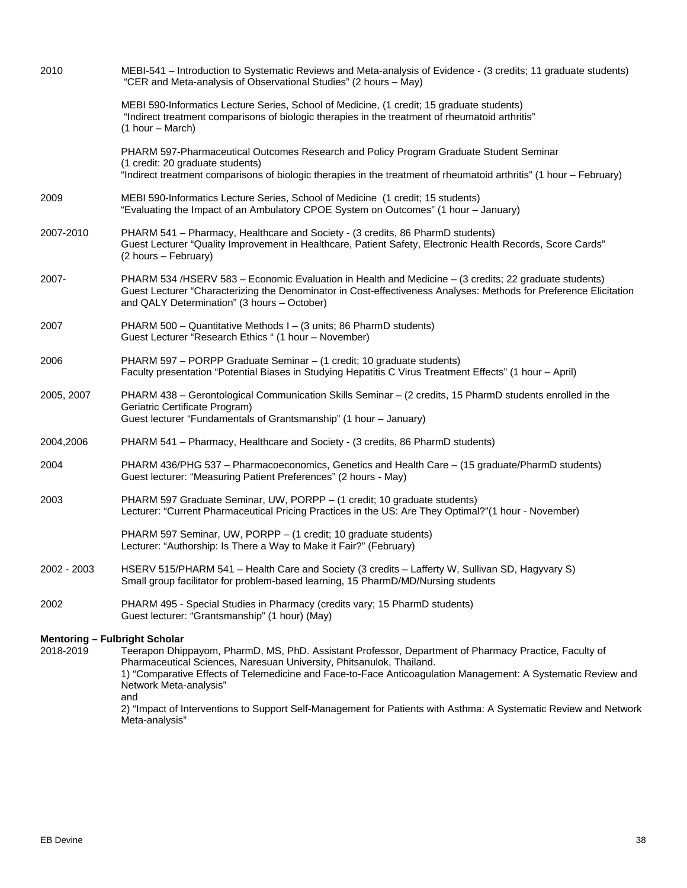| 2010                                              | MEBI-541 - Introduction to Systematic Reviews and Meta-analysis of Evidence - (3 credits; 11 graduate students)<br>"CER and Meta-analysis of Observational Studies" (2 hours - May)                                                                                                                                            |
|---------------------------------------------------|--------------------------------------------------------------------------------------------------------------------------------------------------------------------------------------------------------------------------------------------------------------------------------------------------------------------------------|
|                                                   | MEBI 590-Informatics Lecture Series, School of Medicine, (1 credit; 15 graduate students)<br>"Indirect treatment comparisons of biologic therapies in the treatment of rheumatoid arthritis"<br>$(1 hour - March)$                                                                                                             |
|                                                   | PHARM 597-Pharmaceutical Outcomes Research and Policy Program Graduate Student Seminar<br>(1 credit: 20 graduate students)<br>"Indirect treatment comparisons of biologic therapies in the treatment of rheumatoid arthritis" (1 hour - February)                                                                              |
| 2009                                              | MEBI 590-Informatics Lecture Series, School of Medicine (1 credit; 15 students)<br>"Evaluating the Impact of an Ambulatory CPOE System on Outcomes" (1 hour - January)                                                                                                                                                         |
| 2007-2010                                         | PHARM 541 - Pharmacy, Healthcare and Society - (3 credits, 86 PharmD students)<br>Guest Lecturer "Quality Improvement in Healthcare, Patient Safety, Electronic Health Records, Score Cards"<br>(2 hours - February)                                                                                                           |
| 2007-                                             | PHARM 534 /HSERV 583 - Economic Evaluation in Health and Medicine - (3 credits; 22 graduate students)<br>Guest Lecturer "Characterizing the Denominator in Cost-effectiveness Analyses: Methods for Preference Elicitation<br>and QALY Determination" (3 hours - October)                                                      |
| 2007                                              | PHARM 500 - Quantitative Methods I - (3 units; 86 PharmD students)<br>Guest Lecturer "Research Ethics " (1 hour - November)                                                                                                                                                                                                    |
| 2006                                              | PHARM 597 - PORPP Graduate Seminar - (1 credit; 10 graduate students)<br>Faculty presentation "Potential Biases in Studying Hepatitis C Virus Treatment Effects" (1 hour - April)                                                                                                                                              |
| 2005, 2007                                        | PHARM 438 - Gerontological Communication Skills Seminar - (2 credits, 15 PharmD students enrolled in the<br>Geriatric Certificate Program)<br>Guest lecturer "Fundamentals of Grantsmanship" (1 hour - January)                                                                                                                |
| 2004,2006                                         | PHARM 541 - Pharmacy, Healthcare and Society - (3 credits, 86 PharmD students)                                                                                                                                                                                                                                                 |
| 2004                                              | PHARM 436/PHG 537 - Pharmacoeconomics, Genetics and Health Care - (15 graduate/PharmD students)<br>Guest lecturer: "Measuring Patient Preferences" (2 hours - May)                                                                                                                                                             |
| 2003                                              | PHARM 597 Graduate Seminar, UW, PORPP - (1 credit; 10 graduate students)<br>Lecturer: "Current Pharmaceutical Pricing Practices in the US: Are They Optimal?"(1 hour - November)                                                                                                                                               |
|                                                   | PHARM 597 Seminar, UW, PORPP - (1 credit; 10 graduate students)<br>Lecturer: "Authorship: Is There a Way to Make it Fair?" (February)                                                                                                                                                                                          |
| 2002 - 2003                                       | HSERV 515/PHARM 541 - Health Care and Society (3 credits - Lafferty W, Sullivan SD, Hagyvary S)<br>Small group facilitator for problem-based learning, 15 PharmD/MD/Nursing students                                                                                                                                           |
| 2002                                              | PHARM 495 - Special Studies in Pharmacy (credits vary; 15 PharmD students)<br>Guest lecturer: "Grantsmanship" (1 hour) (May)                                                                                                                                                                                                   |
| <b>Mentoring - Fulbright Scholar</b><br>2018-2019 | Teerapon Dhippayom, PharmD, MS, PhD. Assistant Professor, Department of Pharmacy Practice, Faculty of<br>Pharmaceutical Sciences, Naresuan University, Phitsanulok, Thailand.<br>1) "Comparative Effects of Telemedicine and Face-to-Face Anticoagulation Management: A Systematic Review and<br>Network Meta-analysis"<br>and |
|                                                   | 2) "Impact of Interventions to Support Self-Management for Patients with Asthma: A Systematic Review and Network<br>Meta-analysis"                                                                                                                                                                                             |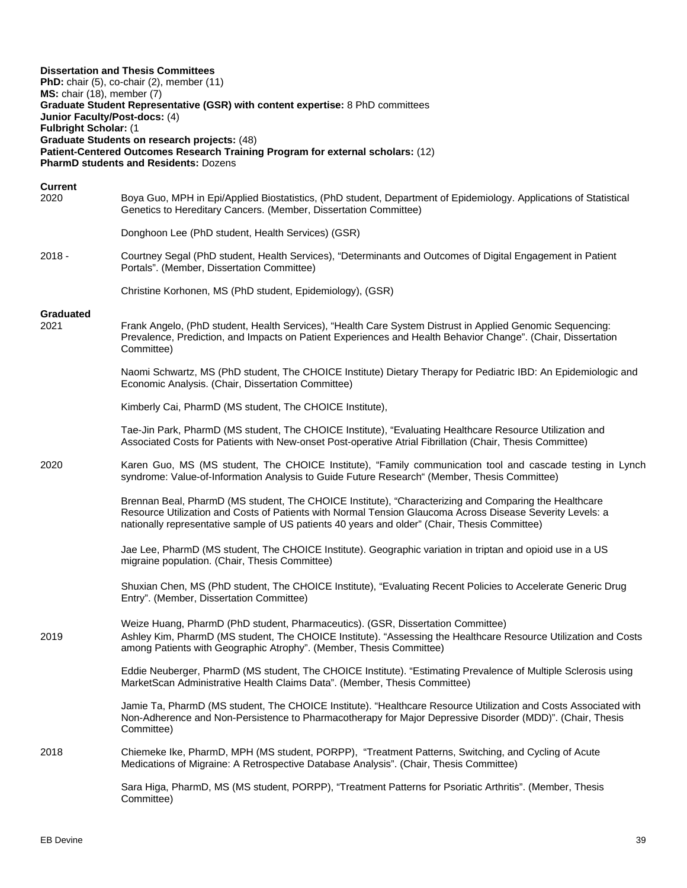| MS: chair (18), member (7)<br>Junior Faculty/Post-docs: (4)<br>Fulbright Scholar: (1 | <b>Dissertation and Thesis Committees</b><br>PhD: chair (5), co-chair (2), member (11)<br>Graduate Student Representative (GSR) with content expertise: 8 PhD committees<br>Graduate Students on research projects: (48)<br>Patient-Centered Outcomes Research Training Program for external scholars: (12)<br><b>PharmD students and Residents: Dozens</b> |
|--------------------------------------------------------------------------------------|-------------------------------------------------------------------------------------------------------------------------------------------------------------------------------------------------------------------------------------------------------------------------------------------------------------------------------------------------------------|
| <b>Current</b><br>2020                                                               | Boya Guo, MPH in Epi/Applied Biostatistics, (PhD student, Department of Epidemiology. Applications of Statistical<br>Genetics to Hereditary Cancers. (Member, Dissertation Committee)                                                                                                                                                                       |
|                                                                                      | Donghoon Lee (PhD student, Health Services) (GSR)                                                                                                                                                                                                                                                                                                           |
| $2018 -$                                                                             | Courtney Segal (PhD student, Health Services), "Determinants and Outcomes of Digital Engagement in Patient<br>Portals". (Member, Dissertation Committee)                                                                                                                                                                                                    |
|                                                                                      | Christine Korhonen, MS (PhD student, Epidemiology), (GSR)                                                                                                                                                                                                                                                                                                   |
| Graduated<br>2021                                                                    | Frank Angelo, (PhD student, Health Services), "Health Care System Distrust in Applied Genomic Sequencing:<br>Prevalence, Prediction, and Impacts on Patient Experiences and Health Behavior Change". (Chair, Dissertation<br>Committee)                                                                                                                     |
|                                                                                      | Naomi Schwartz, MS (PhD student, The CHOICE Institute) Dietary Therapy for Pediatric IBD: An Epidemiologic and<br>Economic Analysis. (Chair, Dissertation Committee)                                                                                                                                                                                        |
|                                                                                      | Kimberly Cai, PharmD (MS student, The CHOICE Institute),                                                                                                                                                                                                                                                                                                    |
|                                                                                      | Tae-Jin Park, PharmD (MS student, The CHOICE Institute), "Evaluating Healthcare Resource Utilization and<br>Associated Costs for Patients with New-onset Post-operative Atrial Fibrillation (Chair, Thesis Committee)                                                                                                                                       |
| 2020                                                                                 | Karen Guo, MS (MS student, The CHOICE Institute), "Family communication tool and cascade testing in Lynch<br>syndrome: Value-of-Information Analysis to Guide Future Research" (Member, Thesis Committee)                                                                                                                                                   |
|                                                                                      | Brennan Beal, PharmD (MS student, The CHOICE Institute), "Characterizing and Comparing the Healthcare<br>Resource Utilization and Costs of Patients with Normal Tension Glaucoma Across Disease Severity Levels: a<br>nationally representative sample of US patients 40 years and older" (Chair, Thesis Committee)                                         |
|                                                                                      | Jae Lee, PharmD (MS student, The CHOICE Institute). Geographic variation in triptan and opioid use in a US<br>migraine population. (Chair, Thesis Committee)                                                                                                                                                                                                |
|                                                                                      | Shuxian Chen, MS (PhD student, The CHOICE Institute), "Evaluating Recent Policies to Accelerate Generic Drug<br>Entry". (Member, Dissertation Committee)                                                                                                                                                                                                    |
| 2019                                                                                 | Weize Huang, PharmD (PhD student, Pharmaceutics). (GSR, Dissertation Committee)<br>Ashley Kim, PharmD (MS student, The CHOICE Institute). "Assessing the Healthcare Resource Utilization and Costs<br>among Patients with Geographic Atrophy". (Member, Thesis Committee)                                                                                   |
|                                                                                      | Eddie Neuberger, PharmD (MS student, The CHOICE Institute). "Estimating Prevalence of Multiple Sclerosis using<br>MarketScan Administrative Health Claims Data". (Member, Thesis Committee)                                                                                                                                                                 |
|                                                                                      | Jamie Ta, PharmD (MS student, The CHOICE Institute). "Healthcare Resource Utilization and Costs Associated with<br>Non-Adherence and Non-Persistence to Pharmacotherapy for Major Depressive Disorder (MDD)". (Chair, Thesis<br>Committee)                                                                                                                  |
| 2018                                                                                 | Chiemeke Ike, PharmD, MPH (MS student, PORPP), "Treatment Patterns, Switching, and Cycling of Acute<br>Medications of Migraine: A Retrospective Database Analysis". (Chair, Thesis Committee)                                                                                                                                                               |
|                                                                                      | Sara Higa, PharmD, MS (MS student, PORPP), "Treatment Patterns for Psoriatic Arthritis". (Member, Thesis<br>Committee)                                                                                                                                                                                                                                      |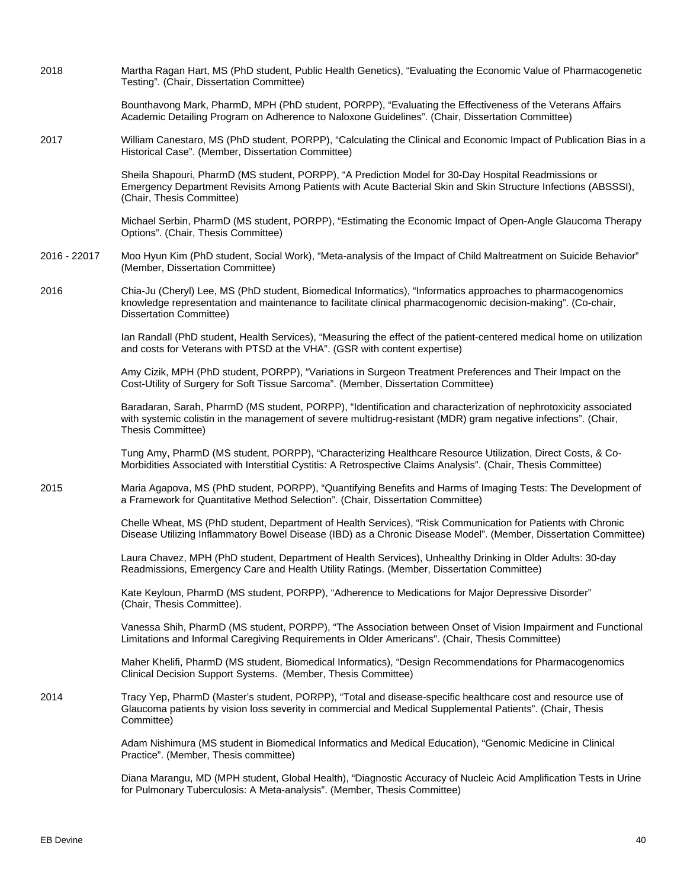| 2018         | Martha Ragan Hart, MS (PhD student, Public Health Genetics), "Evaluating the Economic Value of Pharmacogenetic<br>Testing". (Chair, Dissertation Committee)                                                                                                   |
|--------------|---------------------------------------------------------------------------------------------------------------------------------------------------------------------------------------------------------------------------------------------------------------|
|              | Bounthavong Mark, PharmD, MPH (PhD student, PORPP), "Evaluating the Effectiveness of the Veterans Affairs<br>Academic Detailing Program on Adherence to Naloxone Guidelines". (Chair, Dissertation Committee)                                                 |
| 2017         | William Canestaro, MS (PhD student, PORPP), "Calculating the Clinical and Economic Impact of Publication Bias in a<br>Historical Case". (Member, Dissertation Committee)                                                                                      |
|              | Sheila Shapouri, PharmD (MS student, PORPP), "A Prediction Model for 30-Day Hospital Readmissions or<br>Emergency Department Revisits Among Patients with Acute Bacterial Skin and Skin Structure Infections (ABSSSI),<br>(Chair, Thesis Committee)           |
|              | Michael Serbin, PharmD (MS student, PORPP), "Estimating the Economic Impact of Open-Angle Glaucoma Therapy<br>Options". (Chair, Thesis Committee)                                                                                                             |
| 2016 - 22017 | Moo Hyun Kim (PhD student, Social Work), "Meta-analysis of the Impact of Child Maltreatment on Suicide Behavior"<br>(Member, Dissertation Committee)                                                                                                          |
| 2016         | Chia-Ju (Cheryl) Lee, MS (PhD student, Biomedical Informatics), "Informatics approaches to pharmacogenomics<br>knowledge representation and maintenance to facilitate clinical pharmacogenomic decision-making". (Co-chair,<br><b>Dissertation Committee)</b> |
|              | Ian Randall (PhD student, Health Services), "Measuring the effect of the patient-centered medical home on utilization<br>and costs for Veterans with PTSD at the VHA". (GSR with content expertise)                                                           |
|              | Amy Cizik, MPH (PhD student, PORPP), "Variations in Surgeon Treatment Preferences and Their Impact on the<br>Cost-Utility of Surgery for Soft Tissue Sarcoma". (Member, Dissertation Committee)                                                               |
|              | Baradaran, Sarah, PharmD (MS student, PORPP), "Identification and characterization of nephrotoxicity associated<br>with systemic colistin in the management of severe multidrug-resistant (MDR) gram negative infections". (Chair,<br>Thesis Committee)       |
|              | Tung Amy, PharmD (MS student, PORPP), "Characterizing Healthcare Resource Utilization, Direct Costs, & Co-<br>Morbidities Associated with Interstitial Cystitis: A Retrospective Claims Analysis". (Chair, Thesis Committee)                                  |
| 2015         | Maria Agapova, MS (PhD student, PORPP), "Quantifying Benefits and Harms of Imaging Tests: The Development of<br>a Framework for Quantitative Method Selection". (Chair, Dissertation Committee)                                                               |
|              | Chelle Wheat, MS (PhD student, Department of Health Services), "Risk Communication for Patients with Chronic<br>Disease Utilizing Inflammatory Bowel Disease (IBD) as a Chronic Disease Model". (Member, Dissertation Committee)                              |
|              | Laura Chavez, MPH (PhD student, Department of Health Services), Unhealthy Drinking in Older Adults: 30-day<br>Readmissions, Emergency Care and Health Utility Ratings. (Member, Dissertation Committee)                                                       |
|              | Kate Keyloun, PharmD (MS student, PORPP), "Adherence to Medications for Major Depressive Disorder"<br>(Chair, Thesis Committee).                                                                                                                              |
|              | Vanessa Shih, PharmD (MS student, PORPP), "The Association between Onset of Vision Impairment and Functional<br>Limitations and Informal Caregiving Requirements in Older Americans". (Chair, Thesis Committee)                                               |
|              | Maher Khelifi, PharmD (MS student, Biomedical Informatics), "Design Recommendations for Pharmacogenomics<br>Clinical Decision Support Systems. (Member, Thesis Committee)                                                                                     |
| 2014         | Tracy Yep, PharmD (Master's student, PORPP), "Total and disease-specific healthcare cost and resource use of<br>Glaucoma patients by vision loss severity in commercial and Medical Supplemental Patients". (Chair, Thesis<br>Committee)                      |
|              | Adam Nishimura (MS student in Biomedical Informatics and Medical Education), "Genomic Medicine in Clinical<br>Practice". (Member, Thesis committee)                                                                                                           |
|              | Diana Marangu, MD (MPH student, Clobal Health), "Diagnostic Accuracy of Nucleic Acid Amplification Tests in Urine                                                                                                                                             |

Diana Marangu, MD (MPH student, Global Health), "Diagnostic Accuracy of Nucleic Acid Amplification Tests in Urine for Pulmonary Tuberculosis: A Meta-analysis". (Member, Thesis Committee)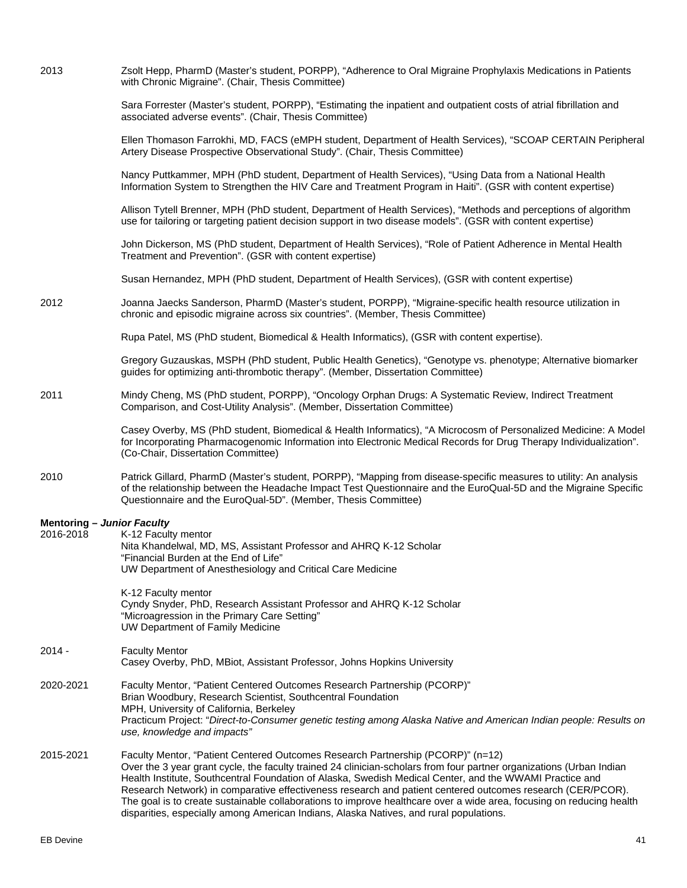| 2013 | Zsolt Hepp, PharmD (Master's student, PORPP), "Adherence to Oral Migraine Prophylaxis Medications in Patients |
|------|---------------------------------------------------------------------------------------------------------------|
|      | with Chronic Migraine". (Chair, Thesis Committee)                                                             |

Sara Forrester (Master's student, PORPP), "Estimating the inpatient and outpatient costs of atrial fibrillation and associated adverse events". (Chair, Thesis Committee)

Ellen Thomason Farrokhi, MD, FACS (eMPH student, Department of Health Services), "SCOAP CERTAIN Peripheral Artery Disease Prospective Observational Study". (Chair, Thesis Committee)

Nancy Puttkammer, MPH (PhD student, Department of Health Services), "Using Data from a National Health Information System to Strengthen the HIV Care and Treatment Program in Haiti". (GSR with content expertise)

Allison Tytell Brenner, MPH (PhD student, Department of Health Services), "Methods and perceptions of algorithm use for tailoring or targeting patient decision support in two disease models". (GSR with content expertise)

John Dickerson, MS (PhD student, Department of Health Services), "Role of Patient Adherence in Mental Health Treatment and Prevention". (GSR with content expertise)

Susan Hernandez, MPH (PhD student, Department of Health Services), (GSR with content expertise)

2012 Joanna Jaecks Sanderson, PharmD (Master's student, PORPP), "Migraine-specific health resource utilization in chronic and episodic migraine across six countries". (Member, Thesis Committee)

Rupa Patel, MS (PhD student, Biomedical & Health Informatics), (GSR with content expertise).

Gregory Guzauskas, MSPH (PhD student, Public Health Genetics), "Genotype vs. phenotype; Alternative biomarker guides for optimizing anti-thrombotic therapy". (Member, Dissertation Committee)

## 2011 Mindy Cheng, MS (PhD student, PORPP), "Oncology Orphan Drugs: A Systematic Review, Indirect Treatment Comparison, and Cost-Utility Analysis". (Member, Dissertation Committee)

Casey Overby, MS (PhD student, Biomedical & Health Informatics), "A Microcosm of Personalized Medicine: A Model for Incorporating Pharmacogenomic Information into Electronic Medical Records for Drug Therapy Individualization". (Co-Chair, Dissertation Committee)

2010 Patrick Gillard, PharmD (Master's student, PORPP), "Mapping from disease-specific measures to utility: An analysis of the relationship between the Headache Impact Test Questionnaire and the EuroQual-5D and the Migraine Specific Questionnaire and the EuroQual-5D". (Member, Thesis Committee)

#### **Mentoring –** *Junior Faculty*

| 2016-2018 | K-12 Faculty mentor<br>Nita Khandelwal, MD, MS, Assistant Professor and AHRQ K-12 Scholar<br>"Financial Burden at the End of Life"<br>UW Department of Anesthesiology and Critical Care Medicine                                                                                                                                                                                                                                                                                                                                                         |
|-----------|----------------------------------------------------------------------------------------------------------------------------------------------------------------------------------------------------------------------------------------------------------------------------------------------------------------------------------------------------------------------------------------------------------------------------------------------------------------------------------------------------------------------------------------------------------|
|           | K-12 Faculty mentor<br>Cyndy Snyder, PhD, Research Assistant Professor and AHRQ K-12 Scholar<br>"Microagression in the Primary Care Setting"<br>UW Department of Family Medicine                                                                                                                                                                                                                                                                                                                                                                         |
| $2014 -$  | <b>Faculty Mentor</b><br>Casey Overby, PhD, MBiot, Assistant Professor, Johns Hopkins University                                                                                                                                                                                                                                                                                                                                                                                                                                                         |
| 2020-2021 | Faculty Mentor, "Patient Centered Outcomes Research Partnership (PCORP)"<br>Brian Woodbury, Research Scientist, Southcentral Foundation<br>MPH, University of California, Berkeley<br>Practicum Project: "Direct-to-Consumer genetic testing among Alaska Native and American Indian people: Results on<br>use, knowledge and impacts"                                                                                                                                                                                                                   |
| 2015-2021 | Faculty Mentor, "Patient Centered Outcomes Research Partnership (PCORP)" (n=12)<br>Over the 3 year grant cycle, the faculty trained 24 clinician-scholars from four partner organizations (Urban Indian<br>Health Institute, Southcentral Foundation of Alaska, Swedish Medical Center, and the WWAMI Practice and<br>Research Network) in comparative effectiveness research and patient centered outcomes research (CER/PCOR).<br>The goal is to create sustainable collaborations to improve healthcare over a wide area, focusing on reducing health |

disparities, especially among American Indians, Alaska Natives, and rural populations.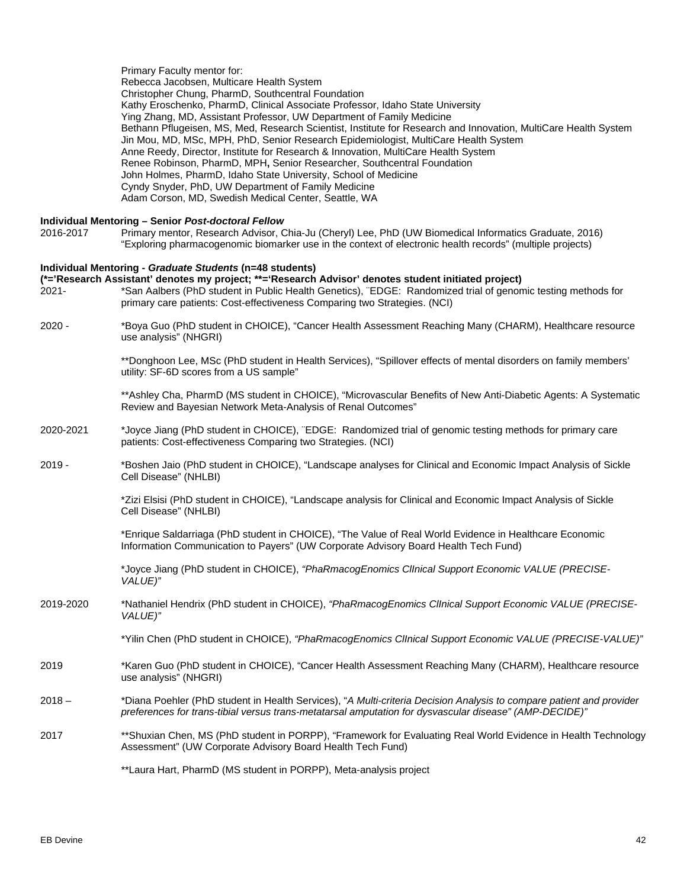Primary Faculty mentor for: Rebecca Jacobsen, Multicare Health System Christopher Chung, PharmD, Southcentral Foundation Kathy Eroschenko, PharmD, Clinical Associate Professor, Idaho State University Ying Zhang, MD, Assistant Professor, UW Department of Family Medicine Bethann Pflugeisen, MS, Med, Research Scientist, Institute for Research and Innovation, MultiCare Health System Jin Mou, MD, MSc, MPH, PhD, Senior Research Epidemiologist, MultiCare Health System Anne Reedy, Director, Institute for Research & Innovation, MultiCare Health System Renee Robinson, PharmD, MPH**,** Senior Researcher, Southcentral Foundation John Holmes, PharmD, Idaho State University, School of Medicine Cyndy Snyder, PhD, UW Department of Family Medicine Adam Corson, MD, Swedish Medical Center, Seattle, WA

# **Individual Mentoring – Senior** *Post-doctoral Fellow*

2016-2017 Primary mentor, Research Advisor, Chia-Ju (Cheryl) Lee, PhD (UW Biomedical Informatics Graduate, 2016) "Exploring pharmacogenomic biomarker use in the context of electronic health records" (multiple projects)

### **Individual Mentoring -** *Graduate Students* **(n=48 students)**

# **(\*='Research Assistant' denotes my project; \*\*='Research Advisor' denotes student initiated project)**

- 2021- \*San Aalbers (PhD student in Public Health Genetics), ¨EDGE: Randomized trial of genomic testing methods for primary care patients: Cost-effectiveness Comparing two Strategies. (NCI)
- 2020 \*Boya Guo (PhD student in CHOICE), "Cancer Health Assessment Reaching Many (CHARM), Healthcare resource use analysis" (NHGRI)

\*\*Donghoon Lee, MSc (PhD student in Health Services), "Spillover effects of mental disorders on family members' utility: SF-6D scores from a US sample"

\*\*Ashley Cha, PharmD (MS student in CHOICE), "Microvascular Benefits of New Anti-Diabetic Agents: A Systematic Review and Bayesian Network Meta-Analysis of Renal Outcomes"

- 2020-2021 \*Joyce Jiang (PhD student in CHOICE), ¨EDGE: Randomized trial of genomic testing methods for primary care patients: Cost-effectiveness Comparing two Strategies. (NCI)
- 2019 \*Boshen Jaio (PhD student in CHOICE), "Landscape analyses for Clinical and Economic Impact Analysis of Sickle Cell Disease" (NHLBI)

\*Zizi Elsisi (PhD student in CHOICE), "Landscape analysis for Clinical and Economic Impact Analysis of Sickle Cell Disease" (NHLBI)

\*Enrique Saldarriaga (PhD student in CHOICE), "The Value of Real World Evidence in Healthcare Economic Information Communication to Payers" (UW Corporate Advisory Board Health Tech Fund)

\*Joyce Jiang (PhD student in CHOICE), *"PhaRmacogEnomics ClInical Support Economic VALUE (PRECISE-VALUE)"*

2019-2020 \*Nathaniel Hendrix (PhD student in CHOICE), *"PhaRmacogEnomics ClInical Support Economic VALUE (PRECISE-VALUE)"*

\*Yilin Chen (PhD student in CHOICE), *"PhaRmacogEnomics ClInical Support Economic VALUE (PRECISE-VALUE)"*

- 2019 \*Karen Guo (PhD student in CHOICE), "Cancer Health Assessment Reaching Many (CHARM), Healthcare resource use analysis" (NHGRI)
- 2018 \*Diana Poehler (PhD student in Health Services), "*A Multi-criteria Decision Analysis to compare patient and provider preferences for trans-tibial versus trans-metatarsal amputation for dysvascular disease" (AMP-DECIDE)"*
- 2017 \*\*Shuxian Chen, MS (PhD student in PORPP), "Framework for Evaluating Real World Evidence in Health Technology Assessment" (UW Corporate Advisory Board Health Tech Fund)

\*\*Laura Hart, PharmD (MS student in PORPP), Meta-analysis project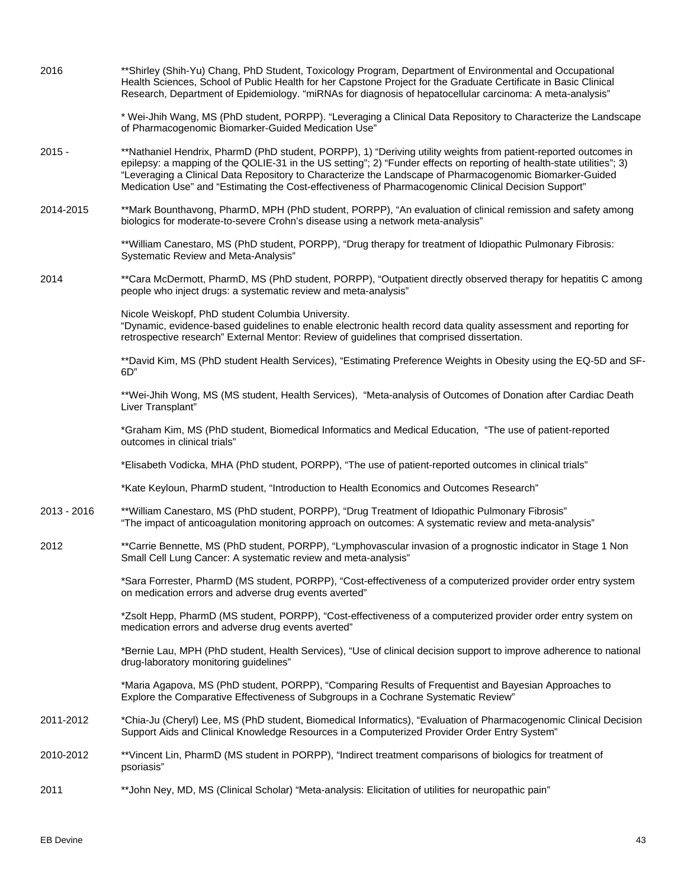| 2016        | **Shirley (Shih-Yu) Chang, PhD Student, Toxicology Program, Department of Environmental and Occupational<br>Health Sciences, School of Public Health for her Capstone Project for the Graduate Certificate in Basic Clinical<br>Research, Department of Epidemiology. "miRNAs for diagnosis of hepatocellular carcinoma: A meta-analysis"                                                                                                                      |
|-------------|----------------------------------------------------------------------------------------------------------------------------------------------------------------------------------------------------------------------------------------------------------------------------------------------------------------------------------------------------------------------------------------------------------------------------------------------------------------|
|             | * Wei-Jhih Wang, MS (PhD student, PORPP). "Leveraging a Clinical Data Repository to Characterize the Landscape<br>of Pharmacogenomic Biomarker-Guided Medication Use"                                                                                                                                                                                                                                                                                          |
| $2015 -$    | **Nathaniel Hendrix, PharmD (PhD student, PORPP), 1) "Deriving utility weights from patient-reported outcomes in<br>epilepsy: a mapping of the QOLIE-31 in the US setting"; 2) "Funder effects on reporting of health-state utilities"; 3)<br>"Leveraging a Clinical Data Repository to Characterize the Landscape of Pharmacogenomic Biomarker-Guided<br>Medication Use" and "Estimating the Cost-effectiveness of Pharmacogenomic Clinical Decision Support" |
| 2014-2015   | **Mark Bounthavong, PharmD, MPH (PhD student, PORPP), "An evaluation of clinical remission and safety among<br>biologics for moderate-to-severe Crohn's disease using a network meta-analysis"                                                                                                                                                                                                                                                                 |
|             | **William Canestaro, MS (PhD student, PORPP), "Drug therapy for treatment of Idiopathic Pulmonary Fibrosis:<br>Systematic Review and Meta-Analysis"                                                                                                                                                                                                                                                                                                            |
| 2014        | **Cara McDermott, PharmD, MS (PhD student, PORPP), "Outpatient directly observed therapy for hepatitis C among<br>people who inject drugs: a systematic review and meta-analysis"                                                                                                                                                                                                                                                                              |
|             | Nicole Weiskopf, PhD student Columbia University.<br>"Dynamic, evidence-based guidelines to enable electronic health record data quality assessment and reporting for<br>retrospective research" External Mentor: Review of guidelines that comprised dissertation.                                                                                                                                                                                            |
|             | **David Kim, MS (PhD student Health Services), "Estimating Preference Weights in Obesity using the EQ-5D and SF-<br>6D"                                                                                                                                                                                                                                                                                                                                        |
|             | **Wei-Jhih Wong, MS (MS student, Health Services), "Meta-analysis of Outcomes of Donation after Cardiac Death<br>Liver Transplant"                                                                                                                                                                                                                                                                                                                             |
|             | *Graham Kim, MS (PhD student, Biomedical Informatics and Medical Education, "The use of patient-reported<br>outcomes in clinical trials"                                                                                                                                                                                                                                                                                                                       |
|             | "Elisabeth Vodicka, MHA (PhD student, PORPP), "The use of patient-reported outcomes in clinical trials"                                                                                                                                                                                                                                                                                                                                                        |
|             | *Kate Keyloun, PharmD student, "Introduction to Health Economics and Outcomes Research"                                                                                                                                                                                                                                                                                                                                                                        |
| 2013 - 2016 | **William Canestaro, MS (PhD student, PORPP), "Drug Treatment of Idiopathic Pulmonary Fibrosis"<br>"The impact of anticoagulation monitoring approach on outcomes: A systematic review and meta-analysis"                                                                                                                                                                                                                                                      |
| 2012        | **Carrie Bennette, MS (PhD student, PORPP), "Lymphovascular invasion of a prognostic indicator in Stage 1 Non<br>Small Cell Lung Cancer: A systematic review and meta-analysis"                                                                                                                                                                                                                                                                                |
|             | *Sara Forrester, PharmD (MS student, PORPP), "Cost-effectiveness of a computerized provider order entry system<br>on medication errors and adverse drug events averted"                                                                                                                                                                                                                                                                                        |
|             | *Zsolt Hepp, PharmD (MS student, PORPP), "Cost-effectiveness of a computerized provider order entry system on<br>medication errors and adverse drug events averted"                                                                                                                                                                                                                                                                                            |
|             | *Bernie Lau, MPH (PhD student, Health Services), "Use of clinical decision support to improve adherence to national<br>drug-laboratory monitoring guidelines"                                                                                                                                                                                                                                                                                                  |
|             | *Maria Agapova, MS (PhD student, PORPP), "Comparing Results of Frequentist and Bayesian Approaches to<br>Explore the Comparative Effectiveness of Subgroups in a Cochrane Systematic Review"                                                                                                                                                                                                                                                                   |
| 2011-2012   | *Chia-Ju (Cheryl) Lee, MS (PhD student, Biomedical Informatics), "Evaluation of Pharmacogenomic Clinical Decision<br>Support Aids and Clinical Knowledge Resources in a Computerized Provider Order Entry System"                                                                                                                                                                                                                                              |
| 2010-2012   | **Vincent Lin, PharmD (MS student in PORPP), "Indirect treatment comparisons of biologics for treatment of<br>psoriasis"                                                                                                                                                                                                                                                                                                                                       |
| 2011        | **John Ney, MD, MS (Clinical Scholar) "Meta-analysis: Elicitation of utilities for neuropathic pain"                                                                                                                                                                                                                                                                                                                                                           |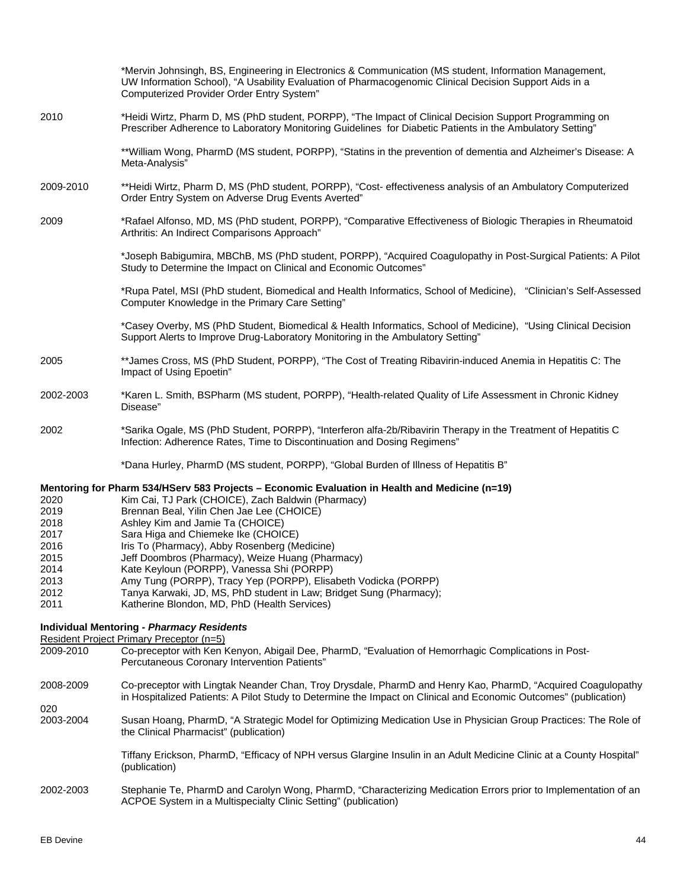|                                                                              | *Mervin Johnsingh, BS, Engineering in Electronics & Communication (MS student, Information Management,<br>UW Information School), "A Usability Evaluation of Pharmacogenomic Clinical Decision Support Aids in a<br>Computerized Provider Order Entry System"                                                                                                                                                                                                                                                                                                                                                           |
|------------------------------------------------------------------------------|-------------------------------------------------------------------------------------------------------------------------------------------------------------------------------------------------------------------------------------------------------------------------------------------------------------------------------------------------------------------------------------------------------------------------------------------------------------------------------------------------------------------------------------------------------------------------------------------------------------------------|
| 2010                                                                         | *Heidi Wirtz, Pharm D, MS (PhD student, PORPP), "The Impact of Clinical Decision Support Programming on<br>Prescriber Adherence to Laboratory Monitoring Guidelines for Diabetic Patients in the Ambulatory Setting"                                                                                                                                                                                                                                                                                                                                                                                                    |
|                                                                              | **William Wong, PharmD (MS student, PORPP), "Statins in the prevention of dementia and Alzheimer's Disease: A<br>Meta-Analysis"                                                                                                                                                                                                                                                                                                                                                                                                                                                                                         |
| 2009-2010                                                                    | **Heidi Wirtz, Pharm D, MS (PhD student, PORPP), "Cost- effectiveness analysis of an Ambulatory Computerized<br>Order Entry System on Adverse Drug Events Averted"                                                                                                                                                                                                                                                                                                                                                                                                                                                      |
| 2009                                                                         | *Rafael Alfonso, MD, MS (PhD student, PORPP), "Comparative Effectiveness of Biologic Therapies in Rheumatoid<br>Arthritis: An Indirect Comparisons Approach"                                                                                                                                                                                                                                                                                                                                                                                                                                                            |
|                                                                              | *Joseph Babigumira, MBChB, MS (PhD student, PORPP), "Acquired Coagulopathy in Post-Surgical Patients: A Pilot<br>Study to Determine the Impact on Clinical and Economic Outcomes"                                                                                                                                                                                                                                                                                                                                                                                                                                       |
|                                                                              | *Rupa Patel, MSI (PhD student, Biomedical and Health Informatics, School of Medicine), "Clinician's Self-Assessed<br>Computer Knowledge in the Primary Care Setting"                                                                                                                                                                                                                                                                                                                                                                                                                                                    |
|                                                                              | *Casey Overby, MS (PhD Student, Biomedical & Health Informatics, School of Medicine), "Using Clinical Decision<br>Support Alerts to Improve Drug-Laboratory Monitoring in the Ambulatory Setting"                                                                                                                                                                                                                                                                                                                                                                                                                       |
| 2005                                                                         | **James Cross, MS (PhD Student, PORPP), "The Cost of Treating Ribavirin-induced Anemia in Hepatitis C: The<br>Impact of Using Epoetin"                                                                                                                                                                                                                                                                                                                                                                                                                                                                                  |
| 2002-2003                                                                    | *Karen L. Smith, BSPharm (MS student, PORPP), "Health-related Quality of Life Assessment in Chronic Kidney<br>Disease"                                                                                                                                                                                                                                                                                                                                                                                                                                                                                                  |
| 2002                                                                         | *Sarika Ogale, MS (PhD Student, PORPP), "Interferon alfa-2b/Ribavirin Therapy in the Treatment of Hepatitis C<br>Infection: Adherence Rates, Time to Discontinuation and Dosing Regimens"                                                                                                                                                                                                                                                                                                                                                                                                                               |
|                                                                              | *Dana Hurley, PharmD (MS student, PORPP), "Global Burden of Illness of Hepatitis B"                                                                                                                                                                                                                                                                                                                                                                                                                                                                                                                                     |
| 2020<br>2019<br>2018<br>2017<br>2016<br>2015<br>2014<br>2013<br>2012<br>2011 | Mentoring for Pharm 534/HServ 583 Projects - Economic Evaluation in Health and Medicine (n=19)<br>Kim Cai, TJ Park (CHOICE), Zach Baldwin (Pharmacy)<br>Brennan Beal, Yilin Chen Jae Lee (CHOICE)<br>Ashley Kim and Jamie Ta (CHOICE)<br>Sara Higa and Chiemeke Ike (CHOICE)<br>Iris To (Pharmacy), Abby Rosenberg (Medicine)<br>Jeff Doombros (Pharmacy), Weize Huang (Pharmacy)<br>Kate Keyloun (PORPP), Vanessa Shi (PORPP)<br>Amy Tung (PORPP), Tracy Yep (PORPP), Elisabeth Vodicka (PORPP)<br>Tanya Karwaki, JD, MS, PhD student in Law; Bridget Sung (Pharmacy);<br>Katherine Blondon, MD, PhD (Health Services) |
|                                                                              | <b>Individual Mentoring - Pharmacy Residents</b><br>Resident Project Primary Preceptor (n=5)                                                                                                                                                                                                                                                                                                                                                                                                                                                                                                                            |
| 2009-2010                                                                    | Co-preceptor with Ken Kenyon, Abigail Dee, PharmD, "Evaluation of Hemorrhagic Complications in Post-<br>Percutaneous Coronary Intervention Patients"                                                                                                                                                                                                                                                                                                                                                                                                                                                                    |
| 2008-2009                                                                    | Co-preceptor with Lingtak Neander Chan, Troy Drysdale, PharmD and Henry Kao, PharmD, "Acquired Coagulopathy<br>in Hospitalized Patients: A Pilot Study to Determine the Impact on Clinical and Economic Outcomes" (publication)                                                                                                                                                                                                                                                                                                                                                                                         |
| 020<br>2003-2004                                                             | Susan Hoang, PharmD, "A Strategic Model for Optimizing Medication Use in Physician Group Practices: The Role of<br>the Clinical Pharmacist" (publication)                                                                                                                                                                                                                                                                                                                                                                                                                                                               |
|                                                                              | Tiffany Erickson, PharmD, "Efficacy of NPH versus Glargine Insulin in an Adult Medicine Clinic at a County Hospital"<br>(publication)                                                                                                                                                                                                                                                                                                                                                                                                                                                                                   |
| 2002-2003                                                                    | Stephanie Te, PharmD and Carolyn Wong, PharmD, "Characterizing Medication Errors prior to Implementation of an<br>ACPOE System in a Multispecialty Clinic Setting" (publication)                                                                                                                                                                                                                                                                                                                                                                                                                                        |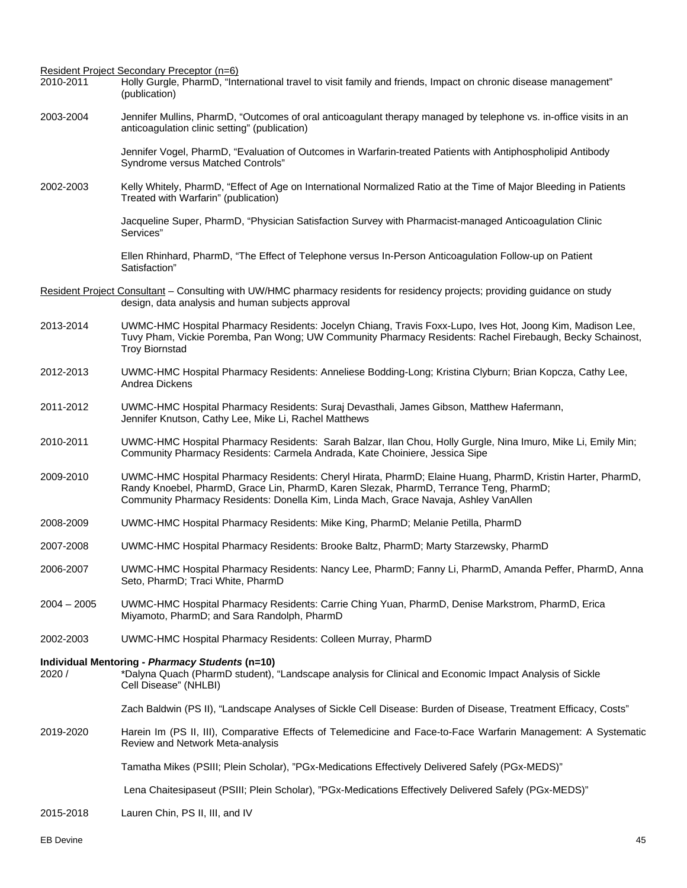Resident Project Secondary Preceptor (n=6) 2010-2011 Holly Gurgle, PharmD, "International travel to visit family and friends, Impact on chronic disease management" (publication) 2003-2004 Jennifer Mullins, PharmD, "Outcomes of oral anticoagulant therapy managed by telephone vs. in-office visits in an anticoagulation clinic setting" (publication) Jennifer Vogel, PharmD, "Evaluation of Outcomes in Warfarin-treated Patients with Antiphospholipid Antibody Syndrome versus Matched Controls" 2002-2003 Kelly Whitely, PharmD, "Effect of Age on International Normalized Ratio at the Time of Major Bleeding in Patients Treated with Warfarin" (publication) Jacqueline Super, PharmD, "Physician Satisfaction Survey with Pharmacist-managed Anticoagulation Clinic Services" Ellen Rhinhard, PharmD, "The Effect of Telephone versus In-Person Anticoagulation Follow-up on Patient Satisfaction" Resident Project Consultant – Consulting with UW/HMC pharmacy residents for residency projects; providing guidance on study design, data analysis and human subjects approval 2013-2014 UWMC-HMC Hospital Pharmacy Residents: Jocelyn Chiang, Travis Foxx-Lupo, Ives Hot, Joong Kim, Madison Lee, Tuvy Pham, Vickie Poremba, Pan Wong; UW Community Pharmacy Residents: Rachel Firebaugh, Becky Schainost, Troy Biornstad 2012-2013 UWMC-HMC Hospital Pharmacy Residents: Anneliese Bodding-Long; Kristina Clyburn; Brian Kopcza, Cathy Lee, Andrea Dickens 2011-2012 UWMC-HMC Hospital Pharmacy Residents: Suraj Devasthali, James Gibson, Matthew Hafermann, Jennifer Knutson, Cathy Lee, Mike Li, Rachel Matthews 2010-2011 UWMC-HMC Hospital Pharmacy Residents: Sarah Balzar, Ilan Chou, Holly Gurgle, Nina Imuro, Mike Li, Emily Min; Community Pharmacy Residents: Carmela Andrada, Kate Choiniere, Jessica Sipe 2009-2010 UWMC-HMC Hospital Pharmacy Residents: Cheryl Hirata, PharmD; Elaine Huang, PharmD, Kristin Harter, PharmD, Randy Knoebel, PharmD, Grace Lin, PharmD, Karen Slezak, PharmD, Terrance Teng, PharmD; Community Pharmacy Residents: Donella Kim, Linda Mach, Grace Navaja, Ashley VanAllen 2008-2009 UWMC-HMC Hospital Pharmacy Residents: Mike King, PharmD; Melanie Petilla, PharmD 2007-2008 UWMC-HMC Hospital Pharmacy Residents: Brooke Baltz, PharmD; Marty Starzewsky, PharmD 2006-2007 UWMC-HMC Hospital Pharmacy Residents: Nancy Lee, PharmD; Fanny Li, PharmD, Amanda Peffer, PharmD, Anna Seto, PharmD; Traci White, PharmD 2004 – 2005 UWMC-HMC Hospital Pharmacy Residents: Carrie Ching Yuan, PharmD, Denise Markstrom, PharmD, Erica Miyamoto, PharmD; and Sara Randolph, PharmD 2002-2003 UWMC-HMC Hospital Pharmacy Residents: Colleen Murray, PharmD **Individual Mentoring -** *Pharmacy Students* **(n=10)** 2020 / \*Dalyna Quach (PharmD student), "Landscape analysis for Clinical and Economic Impact Analysis of Sickle Cell Disease" (NHLBI) Zach Baldwin (PS II), "Landscape Analyses of Sickle Cell Disease: Burden of Disease, Treatment Efficacy, Costs" 2019-2020 Harein Im (PS II, III), Comparative Effects of Telemedicine and Face-to-Face Warfarin Management: A Systematic Review and Network Meta-analysis Tamatha Mikes (PSIII; Plein Scholar), "PGx-Medications Effectively Delivered Safely (PGx-MEDS)" Lena Chaitesipaseut (PSIII; Plein Scholar), "PGx-Medications Effectively Delivered Safely (PGx-MEDS)" 2015-2018 Lauren Chin, PS II, III, and IV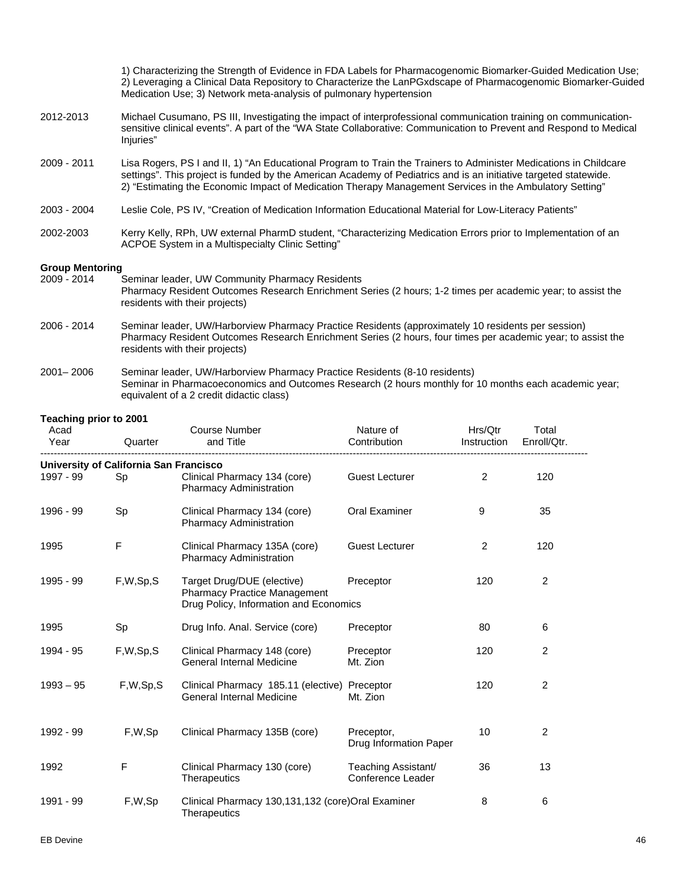1) Characterizing the Strength of Evidence in FDA Labels for Pharmacogenomic Biomarker-Guided Medication Use; 2) Leveraging a Clinical Data Repository to Characterize the LanPGxdscape of Pharmacogenomic Biomarker-Guided Medication Use; 3) Network meta-analysis of pulmonary hypertension 2012-2013 Michael Cusumano, PS III, Investigating the impact of interprofessional communication training on communicationsensitive clinical events". A part of the "WA State Collaborative: Communication to Prevent and Respond to Medical Iniuries" 2009 - 2011 Lisa Rogers, PS I and II, 1) "An Educational Program to Train the Trainers to Administer Medications in Childcare settings". This project is funded by the American Academy of Pediatrics and is an initiative targeted statewide. 2) "Estimating the Economic Impact of Medication Therapy Management Services in the Ambulatory Setting" 2003 - 2004 Leslie Cole, PS IV, "Creation of Medication Information Educational Material for Low-Literacy Patients" 2002-2003 Kerry Kelly, RPh, UW external PharmD student, "Characterizing Medication Errors prior to Implementation of an ACPOE System in a Multispecialty Clinic Setting" **Group Mentoring**  Seminar leader, UW Community Pharmacy Residents Pharmacy Resident Outcomes Research Enrichment Series (2 hours; 1-2 times per academic year; to assist the residents with their projects) 2006 - 2014 Seminar leader, UW/Harborview Pharmacy Practice Residents (approximately 10 residents per session) Pharmacy Resident Outcomes Research Enrichment Series (2 hours, four times per academic year; to assist the residents with their projects) 2001– 2006 Seminar leader, UW/Harborview Pharmacy Practice Residents (8-10 residents) Seminar in Pharmacoeconomics and Outcomes Research (2 hours monthly for 10 months each academic year; equivalent of a 2 credit didactic class)

## **Teaching prior to 2001**

| Acad<br>Year                           | Quarter     | <b>Course Number</b><br>and Title                                                                           | Nature of<br>Contribution                | Hrs/Qtr<br>Instruction | Total<br>Enroll/Qtr. |  |
|----------------------------------------|-------------|-------------------------------------------------------------------------------------------------------------|------------------------------------------|------------------------|----------------------|--|
| University of California San Francisco |             |                                                                                                             |                                          |                        |                      |  |
| 1997 - 99                              | Sp          | Clinical Pharmacy 134 (core)<br><b>Pharmacy Administration</b>                                              | <b>Guest Lecturer</b>                    | 2                      | 120                  |  |
| 1996 - 99                              | Sp          | Clinical Pharmacy 134 (core)<br><b>Pharmacy Administration</b>                                              | Oral Examiner                            | 9                      | 35                   |  |
| 1995                                   | F           | Clinical Pharmacy 135A (core)<br><b>Pharmacy Administration</b>                                             | <b>Guest Lecturer</b>                    | 2                      | 120                  |  |
| 1995 - 99                              | F,W,Sp,S    | Target Drug/DUE (elective)<br><b>Pharmacy Practice Management</b><br>Drug Policy, Information and Economics | Preceptor                                | 120                    | 2                    |  |
| 1995                                   | Sp          | Drug Info. Anal. Service (core)                                                                             | Preceptor                                | 80                     | 6                    |  |
| 1994 - 95                              | F, W, Sp, S | Clinical Pharmacy 148 (core)<br><b>General Internal Medicine</b>                                            | Preceptor<br>Mt. Zion                    | 120                    | 2                    |  |
| $1993 - 95$                            | F,W,Sp,S    | Clinical Pharmacy 185.11 (elective) Preceptor<br>General Internal Medicine                                  | Mt. Zion                                 | 120                    | $\overline{c}$       |  |
| 1992 - 99                              | F,W,Sp      | Clinical Pharmacy 135B (core)                                                                               | Preceptor,<br>Drug Information Paper     | 10                     | 2                    |  |
| 1992                                   | F           | Clinical Pharmacy 130 (core)<br>Therapeutics                                                                | Teaching Assistant/<br>Conference Leader | 36                     | 13                   |  |
| 1991 - 99                              | F,W,Sp      | Clinical Pharmacy 130,131,132 (core) Oral Examiner<br>Therapeutics                                          |                                          | 8                      | 6                    |  |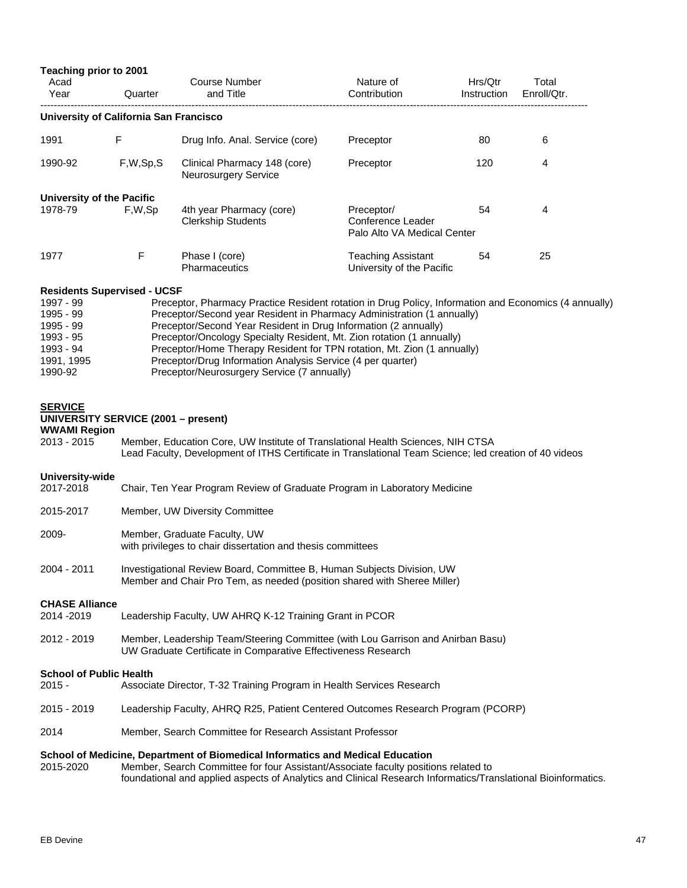| Teaching prior to 2001                                                                             |          |                                                                                                                                                                                                                                                                                                                                                                                                                                                                                                                      |                                                                |                        |                      |  |
|----------------------------------------------------------------------------------------------------|----------|----------------------------------------------------------------------------------------------------------------------------------------------------------------------------------------------------------------------------------------------------------------------------------------------------------------------------------------------------------------------------------------------------------------------------------------------------------------------------------------------------------------------|----------------------------------------------------------------|------------------------|----------------------|--|
| Acad<br>Year                                                                                       | Quarter  | <b>Course Number</b><br>and Title                                                                                                                                                                                                                                                                                                                                                                                                                                                                                    | Nature of<br>Contribution                                      | Hrs/Qtr<br>Instruction | Total<br>Enroll/Qtr. |  |
| University of California San Francisco                                                             |          |                                                                                                                                                                                                                                                                                                                                                                                                                                                                                                                      |                                                                |                        |                      |  |
| 1991                                                                                               | F        | Drug Info. Anal. Service (core)                                                                                                                                                                                                                                                                                                                                                                                                                                                                                      | Preceptor                                                      | 80                     | 6                    |  |
| 1990-92                                                                                            | F,W,Sp,S | Clinical Pharmacy 148 (core)<br>Neurosurgery Service                                                                                                                                                                                                                                                                                                                                                                                                                                                                 | Preceptor                                                      | 120                    | 4                    |  |
| <b>University of the Pacific</b><br>1978-79                                                        | F,W,Sp   | 4th year Pharmacy (core)<br><b>Clerkship Students</b>                                                                                                                                                                                                                                                                                                                                                                                                                                                                | Preceptor/<br>Conference Leader<br>Palo Alto VA Medical Center | 54                     | 4                    |  |
| 1977                                                                                               | F        | Phase I (core)<br><b>Pharmaceutics</b>                                                                                                                                                                                                                                                                                                                                                                                                                                                                               | <b>Teaching Assistant</b><br>University of the Pacific         | 54                     | 25                   |  |
| 1997 - 99<br>1995 - 99<br>1995 - 99<br>1993 - 95<br>1993 - 94<br>1991, 1995<br>1990-92             |          | Preceptor, Pharmacy Practice Resident rotation in Drug Policy, Information and Economics (4 annually)<br>Preceptor/Second year Resident in Pharmacy Administration (1 annually)<br>Preceptor/Second Year Resident in Drug Information (2 annually)<br>Preceptor/Oncology Specialty Resident, Mt. Zion rotation (1 annually)<br>Preceptor/Home Therapy Resident for TPN rotation, Mt. Zion (1 annually)<br>Preceptor/Drug Information Analysis Service (4 per quarter)<br>Preceptor/Neurosurgery Service (7 annually) |                                                                |                        |                      |  |
| <b>SERVICE</b><br><b>UNIVERSITY SERVICE (2001 - present)</b><br><b>WWAMI Region</b><br>2013 - 2015 |          | Member, Education Core, UW Institute of Translational Health Sciences, NIH CTSA<br>Lead Faculty, Development of ITHS Certificate in Translational Team Science; led creation of 40 videos                                                                                                                                                                                                                                                                                                                            |                                                                |                        |                      |  |
| University-wide<br>2017-2018                                                                       |          | Chair, Ten Year Program Review of Graduate Program in Laboratory Medicine                                                                                                                                                                                                                                                                                                                                                                                                                                            |                                                                |                        |                      |  |
| 2015-2017                                                                                          |          | Member, UW Diversity Committee                                                                                                                                                                                                                                                                                                                                                                                                                                                                                       |                                                                |                        |                      |  |
| 2009-                                                                                              |          | Member, Graduate Faculty, UW<br>with privileges to chair dissertation and thesis committees                                                                                                                                                                                                                                                                                                                                                                                                                          |                                                                |                        |                      |  |
| 2004 - 2011                                                                                        |          | Investigational Review Board, Committee B, Human Subjects Division, UW<br>Member and Chair Pro Tem, as needed (position shared with Sheree Miller)                                                                                                                                                                                                                                                                                                                                                                   |                                                                |                        |                      |  |
| <b>CHASE Alliance</b><br>2014 - 2019                                                               |          | Leadership Faculty, UW AHRQ K-12 Training Grant in PCOR                                                                                                                                                                                                                                                                                                                                                                                                                                                              |                                                                |                        |                      |  |
| 2012 - 2019                                                                                        |          | Member, Leadership Team/Steering Committee (with Lou Garrison and Anirban Basu)<br>UW Graduate Certificate in Comparative Effectiveness Research                                                                                                                                                                                                                                                                                                                                                                     |                                                                |                        |                      |  |
| <b>School of Public Health</b><br>$2015 -$                                                         |          | Associate Director, T-32 Training Program in Health Services Research                                                                                                                                                                                                                                                                                                                                                                                                                                                |                                                                |                        |                      |  |
| 2015 - 2019                                                                                        |          | Leadership Faculty, AHRQ R25, Patient Centered Outcomes Research Program (PCORP)                                                                                                                                                                                                                                                                                                                                                                                                                                     |                                                                |                        |                      |  |
| 2014                                                                                               |          | Member, Search Committee for Research Assistant Professor                                                                                                                                                                                                                                                                                                                                                                                                                                                            |                                                                |                        |                      |  |
| 2015-2020                                                                                          |          | School of Medicine, Department of Biomedical Informatics and Medical Education<br>Member, Search Committee for four Assistant/Associate faculty positions related to<br>foundational and applied aspects of Analytics and Clinical Research Informatics/Translational Bioinformatics.                                                                                                                                                                                                                                |                                                                |                        |                      |  |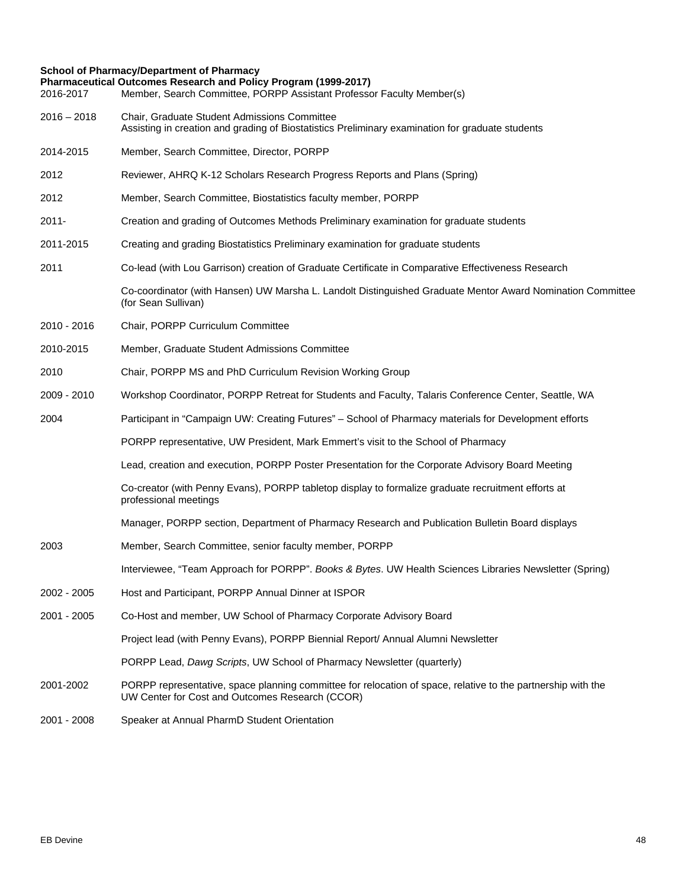## **School of Pharmacy/Department of Pharmacy**

| 2016-2017     | Pharmaceutical Outcomes Research and Policy Program (1999-2017)<br>Member, Search Committee, PORPP Assistant Professor Faculty Member(s)                        |  |  |  |  |
|---------------|-----------------------------------------------------------------------------------------------------------------------------------------------------------------|--|--|--|--|
| $2016 - 2018$ | Chair, Graduate Student Admissions Committee<br>Assisting in creation and grading of Biostatistics Preliminary examination for graduate students                |  |  |  |  |
| 2014-2015     | Member, Search Committee, Director, PORPP                                                                                                                       |  |  |  |  |
| 2012          | Reviewer, AHRQ K-12 Scholars Research Progress Reports and Plans (Spring)                                                                                       |  |  |  |  |
| 2012          | Member, Search Committee, Biostatistics faculty member, PORPP                                                                                                   |  |  |  |  |
| $2011 -$      | Creation and grading of Outcomes Methods Preliminary examination for graduate students                                                                          |  |  |  |  |
| 2011-2015     | Creating and grading Biostatistics Preliminary examination for graduate students                                                                                |  |  |  |  |
| 2011          | Co-lead (with Lou Garrison) creation of Graduate Certificate in Comparative Effectiveness Research                                                              |  |  |  |  |
|               | Co-coordinator (with Hansen) UW Marsha L. Landolt Distinguished Graduate Mentor Award Nomination Committee<br>(for Sean Sullivan)                               |  |  |  |  |
| 2010 - 2016   | Chair, PORPP Curriculum Committee                                                                                                                               |  |  |  |  |
| 2010-2015     | Member, Graduate Student Admissions Committee                                                                                                                   |  |  |  |  |
| 2010          | Chair, PORPP MS and PhD Curriculum Revision Working Group                                                                                                       |  |  |  |  |
| 2009 - 2010   | Workshop Coordinator, PORPP Retreat for Students and Faculty, Talaris Conference Center, Seattle, WA                                                            |  |  |  |  |
| 2004          | Participant in "Campaign UW: Creating Futures" - School of Pharmacy materials for Development efforts                                                           |  |  |  |  |
|               | PORPP representative, UW President, Mark Emmert's visit to the School of Pharmacy                                                                               |  |  |  |  |
|               | Lead, creation and execution, PORPP Poster Presentation for the Corporate Advisory Board Meeting                                                                |  |  |  |  |
|               | Co-creator (with Penny Evans), PORPP tabletop display to formalize graduate recruitment efforts at<br>professional meetings                                     |  |  |  |  |
|               | Manager, PORPP section, Department of Pharmacy Research and Publication Bulletin Board displays                                                                 |  |  |  |  |
| 2003          | Member, Search Committee, senior faculty member, PORPP                                                                                                          |  |  |  |  |
|               | Interviewee, "Team Approach for PORPP". Books & Bytes. UW Health Sciences Libraries Newsletter (Spring)                                                         |  |  |  |  |
| 2002 - 2005   | Host and Participant, PORPP Annual Dinner at ISPOR                                                                                                              |  |  |  |  |
| 2001 - 2005   | Co-Host and member, UW School of Pharmacy Corporate Advisory Board                                                                                              |  |  |  |  |
|               | Project lead (with Penny Evans), PORPP Biennial Report/ Annual Alumni Newsletter                                                                                |  |  |  |  |
|               | PORPP Lead, Dawg Scripts, UW School of Pharmacy Newsletter (quarterly)                                                                                          |  |  |  |  |
| 2001-2002     | PORPP representative, space planning committee for relocation of space, relative to the partnership with the<br>UW Center for Cost and Outcomes Research (CCOR) |  |  |  |  |
| 2001 - 2008   | Speaker at Annual PharmD Student Orientation                                                                                                                    |  |  |  |  |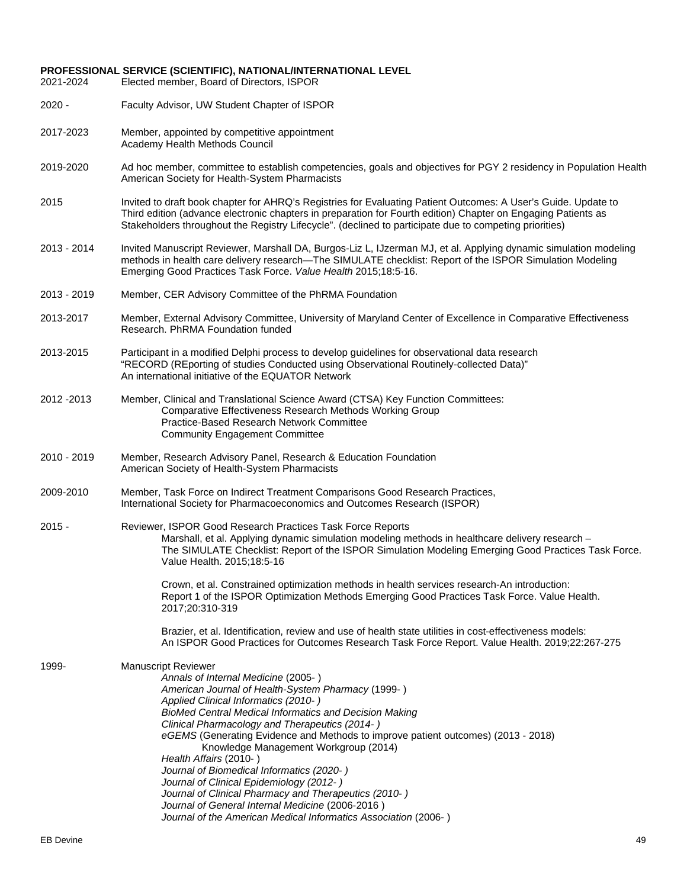# **PROFESSIONAL SERVICE (SCIENTIFIC), NATIONAL/INTERNATIONAL LEVEL**

Elected member, Board of Directors, ISPOR

- 2020 Faculty Advisor, UW Student Chapter of ISPOR
- 2017-2023 Member, appointed by competitive appointment Academy Health Methods Council
- 2019-2020 Ad hoc member, committee to establish competencies, goals and objectives for PGY 2 residency in Population Health American Society for Health-System Pharmacists
- 2015 Invited to draft book chapter for AHRQ's Registries for Evaluating Patient Outcomes: A User's Guide. Update to Third edition (advance electronic chapters in preparation for Fourth edition) Chapter on Engaging Patients as Stakeholders throughout the Registry Lifecycle". (declined to participate due to competing priorities)
- 2013 2014 Invited Manuscript Reviewer, Marshall DA, Burgos-Liz L, IJzerman MJ, et al. Applying dynamic simulation modeling methods in health care delivery research—The SIMULATE checklist: Report of the ISPOR Simulation Modeling Emerging Good Practices Task Force. *Value Health* 2015;18:5-16.
- 2013 2019 Member, CER Advisory Committee of the PhRMA Foundation
- 2013-2017 Member, External Advisory Committee, University of Maryland Center of Excellence in Comparative Effectiveness Research. PhRMA Foundation funded
- 2013-2015 Participant in a modified Delphi process to develop guidelines for observational data research "RECORD (REporting of studies Conducted using Observational Routinely-collected Data)" An international initiative of the EQUATOR Network
- 2012 -2013 Member, Clinical and Translational Science Award (CTSA) Key Function Committees: Comparative Effectiveness Research Methods Working Group Practice-Based Research Network Committee Community Engagement Committee
- 2010 2019 Member, Research Advisory Panel, Research & Education Foundation American Society of Health-System Pharmacists
- 2009-2010 Member, Task Force on Indirect Treatment Comparisons Good Research Practices, International Society for Pharmacoeconomics and Outcomes Research (ISPOR)
- 2015 Reviewer, ISPOR Good Research Practices Task Force Reports Marshall, et al. Applying dynamic simulation modeling methods in healthcare delivery research – The SIMULATE Checklist: Report of the ISPOR Simulation Modeling Emerging Good Practices Task Force. Value Health. 2015;18:5-16

Crown, et al. Constrained optimization methods in health services research-An introduction: Report 1 of the ISPOR Optimization Methods Emerging Good Practices Task Force. Value Health. 2017;20:310-319

Brazier, et al. Identification, review and use of health state utilities in cost-effectiveness models: An ISPOR Good Practices for Outcomes Research Task Force Report. Value Health. 2019;22:267-275

- 1999- Manuscript Reviewer *Annals of Internal Medicine* (2005- ) *American Journal of Health-System Pharmacy* (1999- ) *Applied Clinical Informatics (2010- ) BioMed Central Medical Informatics and Decision Making Clinical Pharmacology and Therapeutics (2014- ) eGEMS* (Generating Evidence and Methods to improve patient outcomes) (2013 - 2018) Knowledge Management Workgroup (2014) *Health Affairs* (2010- ) *Journal of Biomedical Informatics (2020- ) Journal of Clinical Epidemiology (2012- ) Journal of Clinical Pharmacy and Therapeutics (2010- ) Journal of General Internal Medicine* (2006-2016 )
	- *Journal of the American Medical Informatics Association* (2006- )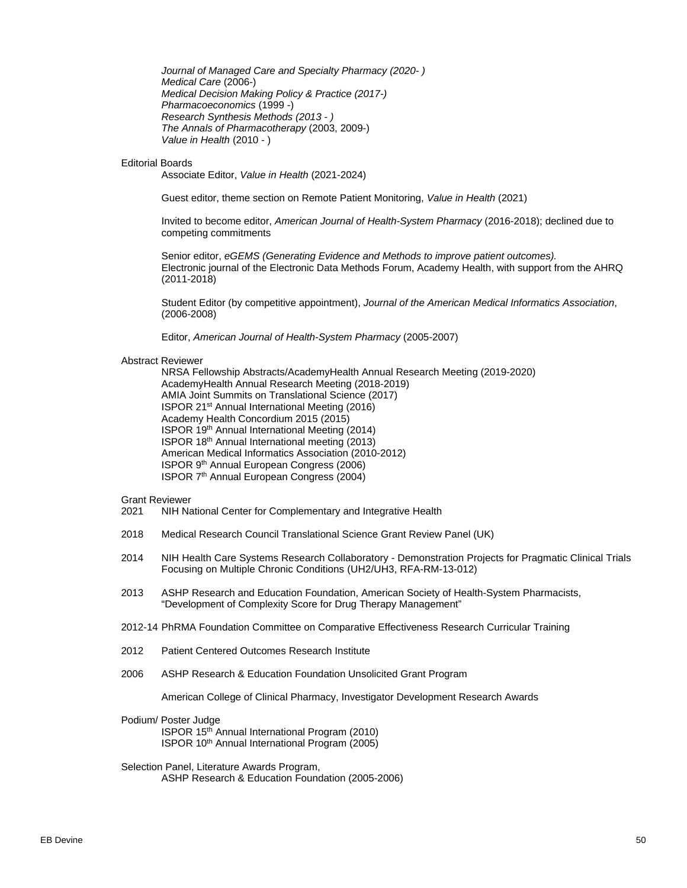*Journal of Managed Care and Specialty Pharmacy (2020- ) Medical Care* (2006-) *Medical Decision Making Policy & Practice (2017-) Pharmacoeconomics* (1999 -) *Research Synthesis Methods (2013 - ) The Annals of Pharmacotherapy* (2003, 2009-) *Value in Health* (2010 - )

#### Editorial Boards

Associate Editor, *Value in Health* (2021-2024)

Guest editor, theme section on Remote Patient Monitoring, *Value in Health* (2021)

Invited to become editor, *American Journal of Health-System Pharmacy* (2016-2018); declined due to competing commitments

Senior editor, *eGEMS (Generating Evidence and Methods to improve patient outcomes).* Electronic journal of the Electronic Data Methods Forum, Academy Health, with support from the AHRQ (2011-2018)

Student Editor (by competitive appointment), *Journal of the American Medical Informatics Association*, (2006-2008)

Editor, *American Journal of Health-System Pharmacy* (2005-2007)

#### Abstract Reviewer

NRSA Fellowship Abstracts/AcademyHealth Annual Research Meeting (2019-2020) AcademyHealth Annual Research Meeting (2018-2019) AMIA Joint Summits on Translational Science (2017) ISPOR 21st Annual International Meeting (2016) Academy Health Concordium 2015 (2015) ISPOR 19th Annual International Meeting (2014) ISPOR 18th Annual International meeting (2013) American Medical Informatics Association (2010-2012) ISPOR 9th Annual European Congress (2006) ISPOR 7th Annual European Congress (2004)

Grant Reviewer<br>2021 NIH Na

- NIH National Center for Complementary and Integrative Health
- 2018 Medical Research Council Translational Science Grant Review Panel (UK)
- 2014 NIH Health Care Systems Research Collaboratory Demonstration Projects for Pragmatic Clinical Trials Focusing on Multiple Chronic Conditions (UH2/UH3, RFA-RM-13-012)
- 2013 ASHP Research and Education Foundation, American Society of Health-System Pharmacists, "Development of Complexity Score for Drug Therapy Management"
- 2012-14 PhRMA Foundation Committee on Comparative Effectiveness Research Curricular Training
- 2012 Patient Centered Outcomes Research Institute
- 2006 ASHP Research & Education Foundation Unsolicited Grant Program

American College of Clinical Pharmacy, Investigator Development Research Awards

Podium/ Poster Judge

ISPOR 15th Annual International Program (2010) ISPOR 10th Annual International Program (2005)

## Selection Panel, Literature Awards Program,

ASHP Research & Education Foundation (2005-2006)